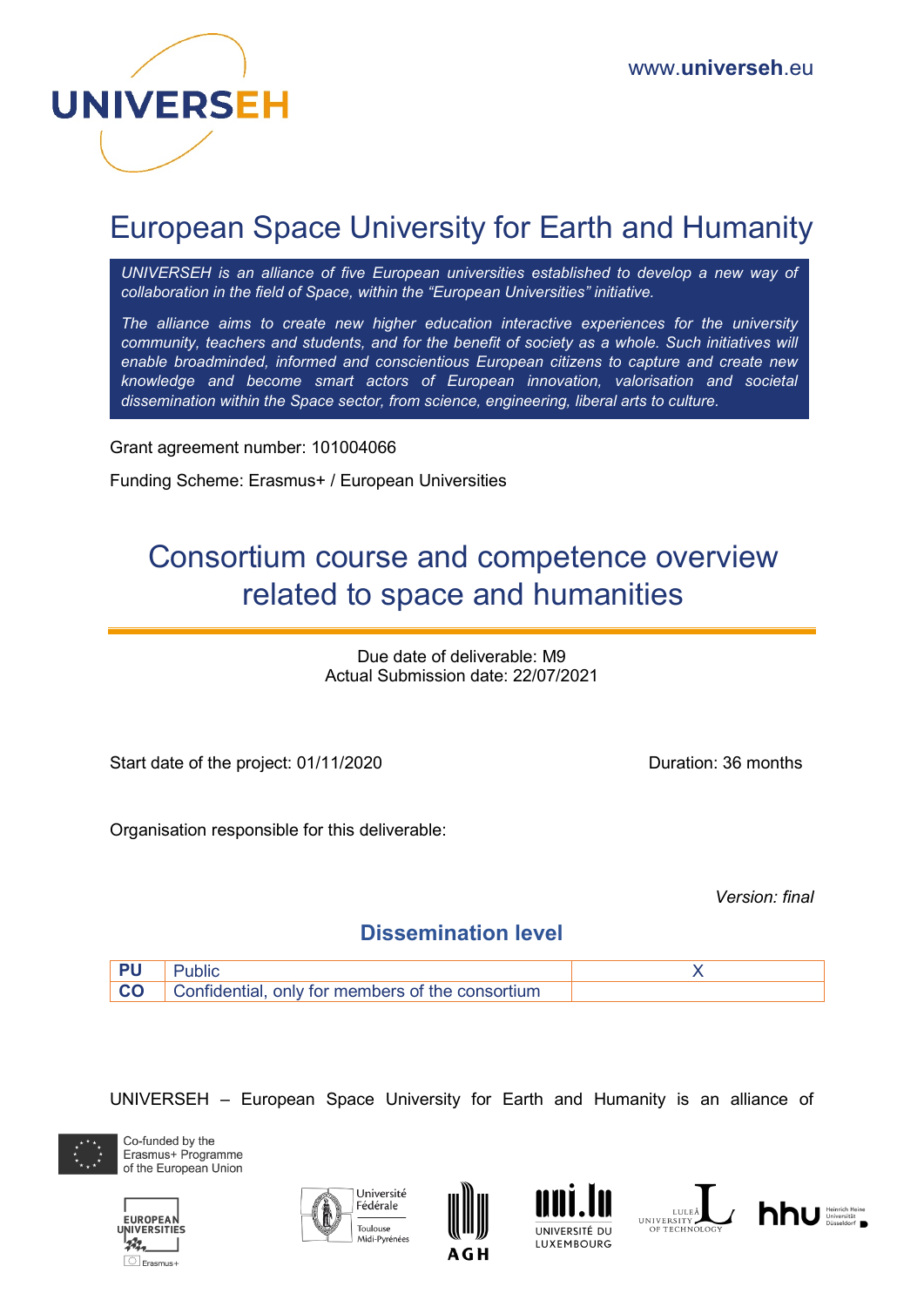

# European Space University for Earth and Humanity

*UNIVERSEH is an alliance of five European universities established to develop a new way of collaboration in the field of Space, within the "European Universities" initiative.*

*The alliance aims to create new higher education interactive experiences for the university community, teachers and students, and for the benefit of society as a whole. Such initiatives will enable broadminded, informed and conscientious European citizens to capture and create new knowledge and become smart actors of European innovation, valorisation and societal dissemination within the Space sector, from science, engineering, liberal arts to culture.*

Grant agreement number: 101004066

Funding Scheme: Erasmus+ / European Universities

# Consortium course and competence overview related to space and humanities

Due date of deliverable: M9 Actual Submission date: 22/07/2021

Start date of the project: 01/11/2020 Duration: 36 months

Organisation responsible for this deliverable:

*Version: final* 

### **Dissemination level**



UNIVERSEH – European Space University for Earth and Humanity is an alliance of



Co-funded by the Erasmus+ Programme of the European Union











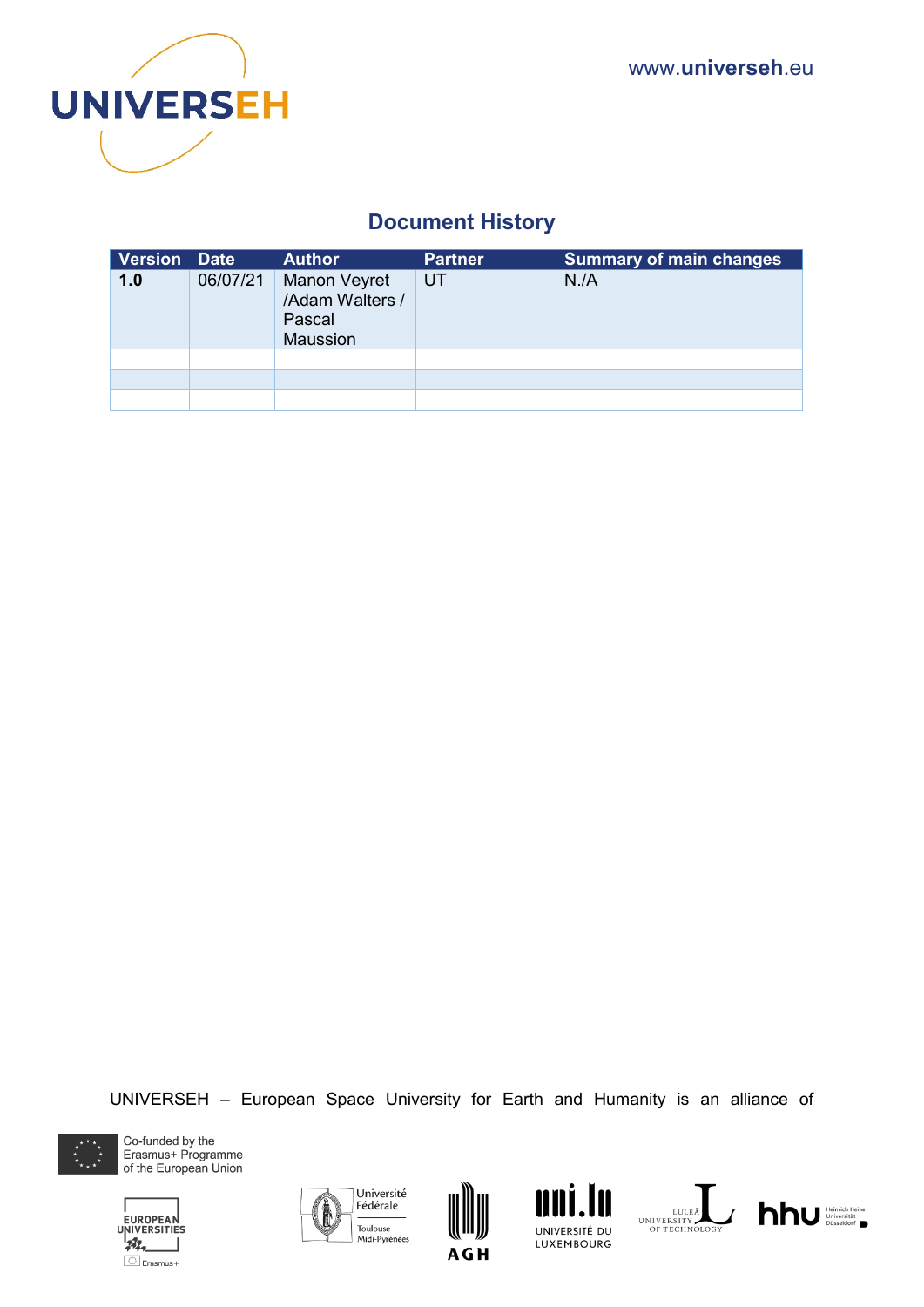

# **Document History**

| Version Date |          | <b>Author</b>                                                       | <b>Partner</b> | <b>Summary of main changes</b> |
|--------------|----------|---------------------------------------------------------------------|----------------|--------------------------------|
| 1.0          | 06/07/21 | <b>Manon Veyret</b><br>/Adam Walters /<br>Pascal<br><b>Maussion</b> | UT             | N.A                            |
|              |          |                                                                     |                |                                |
|              |          |                                                                     |                |                                |
|              |          |                                                                     |                |                                |

UNIVERSEH – European Space University for Earth and Humanity is an alliance of



Co-funded by the<br>Erasmus+ Programme of the European Union











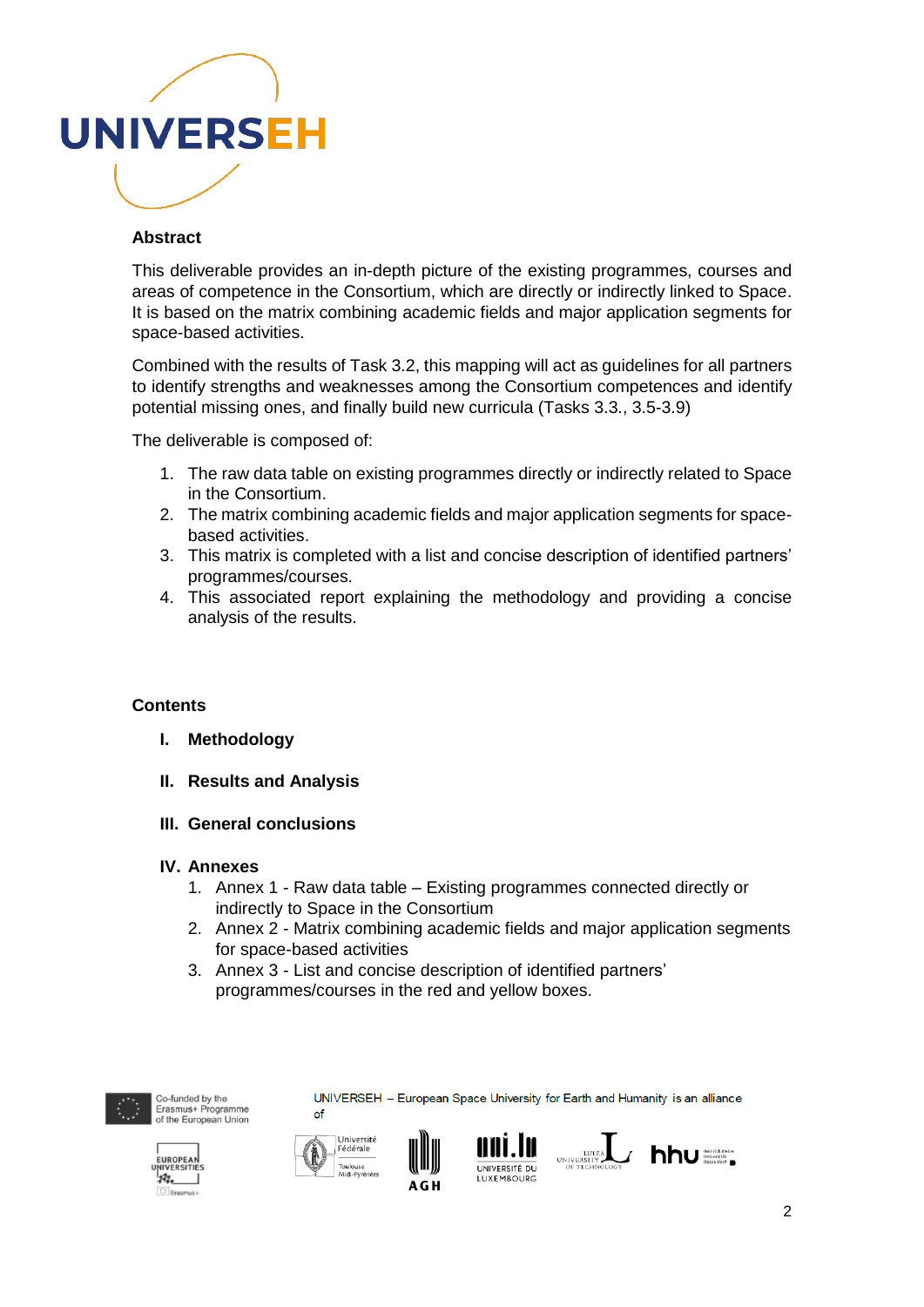

#### **Abstract**

This deliverable provides an in-depth picture of the existing programmes, courses and areas of competence in the Consortium, which are directly or indirectly linked to Space. It is based on the matrix combining academic fields and major application segments for space-based activities.

Combined with the results of Task 3.2, this mapping will act as guidelines for all partners to identify strengths and weaknesses among the Consortium competences and identify potential missing ones, and finally build new curricula (Tasks 3.3., 3.5-3.9)

The deliverable is composed of:

- 1. The raw data table on existing programmes directly or indirectly related to Space in the Consortium.
- 2. The matrix combining academic fields and major application segments for spacebased activities.
- 3. This matrix is completed with a list and concise description of identified partners' programmes/courses.
- 4. This associated report explaining the methodology and providing a concise analysis of the results.

#### **Contents**

- **I. Methodology**
- **II. Results and Analysis**
- **III. General conclusions**

#### **IV. Annexes**

- 1. Annex 1 Raw data table Existing programmes connected directly or indirectly to Space in the Consortium
- 2. Annex 2 Matrix combining academic fields and major application segments for space-based activities
- 3. Annex 3 List and concise description of identified partners' programmes/courses in the red and yellow boxes.



Co-funded by the Erasmus+ Programme<br>of the European Union









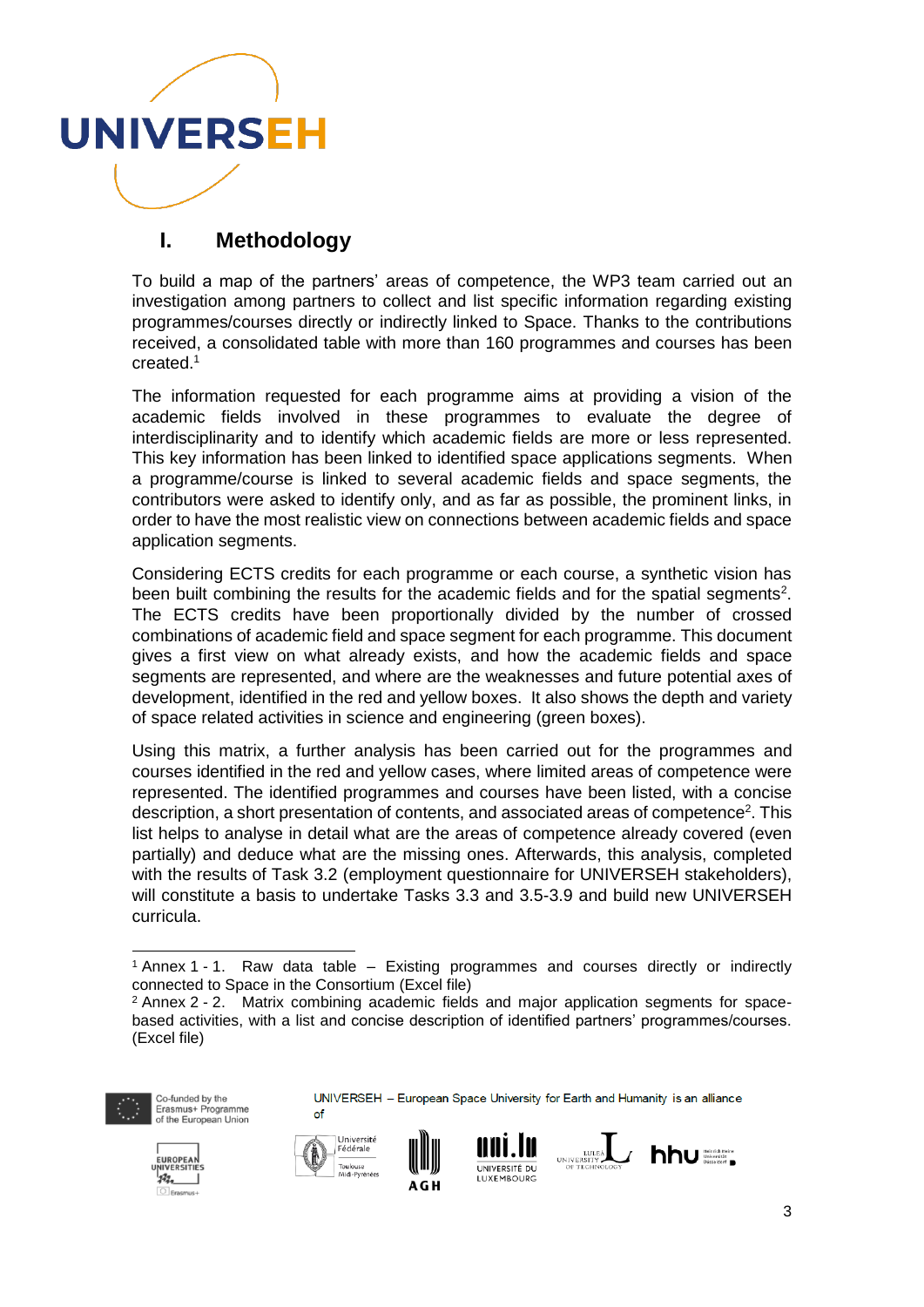

# **I. Methodology**

To build a map of the partners' areas of competence, the WP3 team carried out an investigation among partners to collect and list specific information regarding existing programmes/courses directly or indirectly linked to Space. Thanks to the contributions received, a consolidated table with more than 160 programmes and courses has been created.<sup>1</sup>

The information requested for each programme aims at providing a vision of the academic fields involved in these programmes to evaluate the degree of interdisciplinarity and to identify which academic fields are more or less represented. This key information has been linked to identified space applications segments. When a programme/course is linked to several academic fields and space segments, the contributors were asked to identify only, and as far as possible, the prominent links, in order to have the most realistic view on connections between academic fields and space application segments.

Considering ECTS credits for each programme or each course, a synthetic vision has been built combining the results for the academic fields and for the spatial segments<sup>2</sup>. The ECTS credits have been proportionally divided by the number of crossed combinations of academic field and space segment for each programme. This document gives a first view on what already exists, and how the academic fields and space segments are represented, and where are the weaknesses and future potential axes of development, identified in the red and yellow boxes. It also shows the depth and variety of space related activities in science and engineering (green boxes).

Using this matrix, a further analysis has been carried out for the programmes and courses identified in the red and yellow cases, where limited areas of competence were represented. The identified programmes and courses have been listed, with a concise description, a short presentation of contents, and associated areas of competence<sup>2</sup>. This list helps to analyse in detail what are the areas of competence already covered (even partially) and deduce what are the missing ones. Afterwards, this analysis, completed with the results of Task 3.2 (employment questionnaire for UNIVERSEH stakeholders), will constitute a basis to undertake Tasks 3.3 and 3.5-3.9 and build new UNIVERSEH curricula.

<sup>2</sup> Annex 2 - 2. Matrix combining academic fields and major application segments for spacebased activities, with a list and concise description of identified partners' programmes/courses. (Excel file)



1

Co-funded by the Erasmus+ Programme<br>of the European Union



A G H

of







<sup>1</sup> Annex 1 - 1. Raw data table – Existing programmes and courses directly or indirectly connected to Space in the Consortium (Excel file)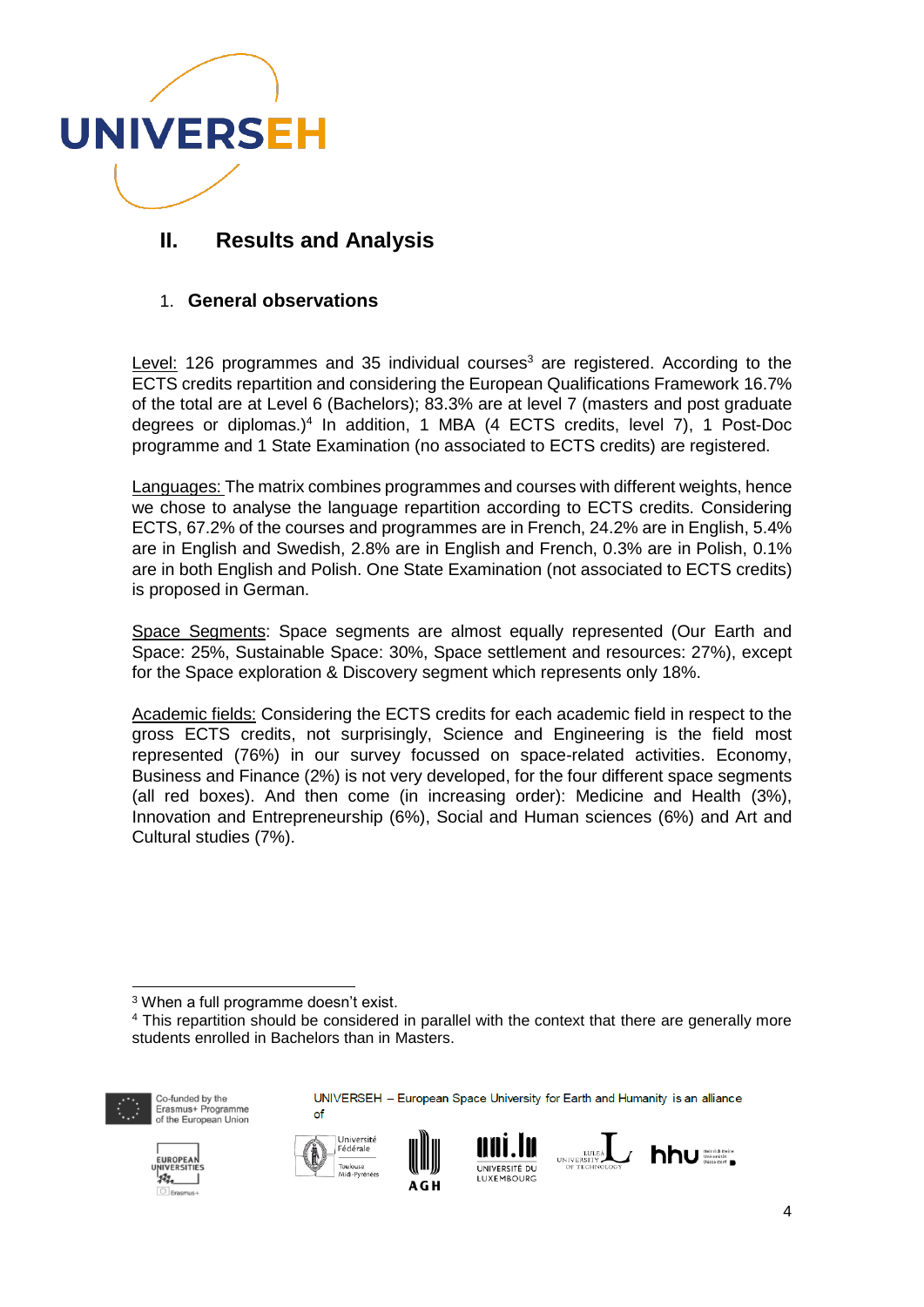

# **II. Results and Analysis**

#### 1. **General observations**

Level: 126 programmes and 35 individual courses<sup>3</sup> are registered. According to the ECTS credits repartition and considering the European Qualifications Framework 16.7% of the total are at Level 6 (Bachelors); 83.3% are at level 7 (masters and post graduate degrees or diplomas.)<sup>4</sup> In addition, 1 MBA (4 ECTS credits, level 7), 1 Post-Doc programme and 1 State Examination (no associated to ECTS credits) are registered.

Languages: The matrix combines programmes and courses with different weights, hence we chose to analyse the language repartition according to ECTS credits. Considering ECTS, 67.2% of the courses and programmes are in French, 24.2% are in English, 5.4% are in English and Swedish, 2.8% are in English and French, 0.3% are in Polish, 0.1% are in both English and Polish. One State Examination (not associated to ECTS credits) is proposed in German.

Space Segments: Space segments are almost equally represented (Our Earth and Space: 25%, Sustainable Space: 30%, Space settlement and resources: 27%), except for the Space exploration & Discovery segment which represents only 18%.

Academic fields: Considering the ECTS credits for each academic field in respect to the gross ECTS credits, not surprisingly, Science and Engineering is the field most represented (76%) in our survey focussed on space-related activities. Economy, Business and Finance (2%) is not very developed, for the four different space segments (all red boxes). And then come (in increasing order): Medicine and Health (3%), Innovation and Entrepreneurship (6%), Social and Human sciences (6%) and Art and Cultural studies (7%).

<sup>4</sup> This repartition should be considered in parallel with the context that there are generally more students enrolled in Bachelors than in Masters.



1

Co-funded by the Erasmus+ Programme<br>of the European Union











<sup>3</sup> When a full programme doesn't exist.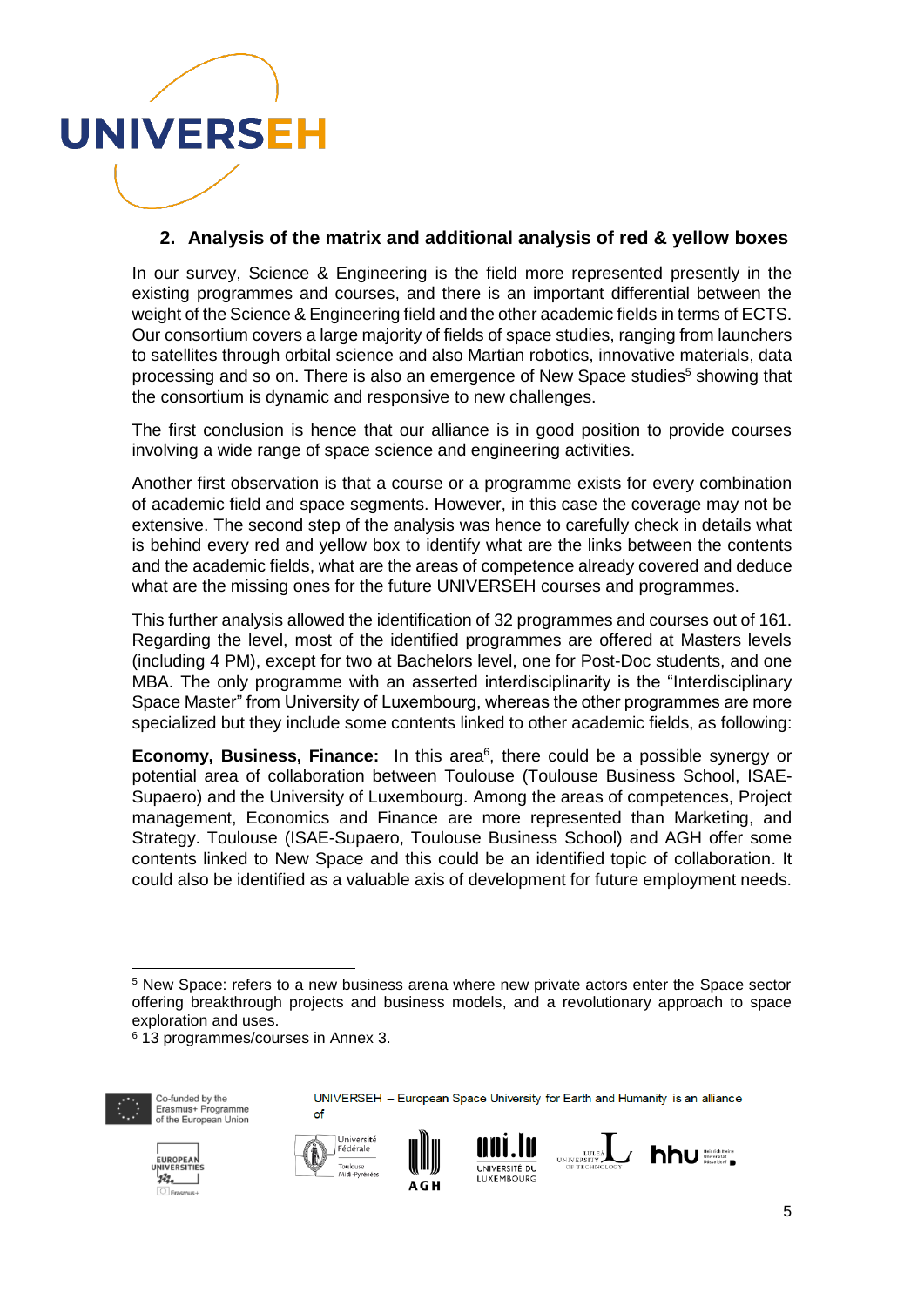

#### **2. Analysis of the matrix and additional analysis of red & yellow boxes**

In our survey, Science & Engineering is the field more represented presently in the existing programmes and courses, and there is an important differential between the weight of the Science & Engineering field and the other academic fields in terms of ECTS. Our consortium covers a large majority of fields of space studies, ranging from launchers to satellites through orbital science and also Martian robotics, innovative materials, data processing and so on. There is also an emergence of New Space studies<sup>5</sup> showing that the consortium is dynamic and responsive to new challenges.

The first conclusion is hence that our alliance is in good position to provide courses involving a wide range of space science and engineering activities.

Another first observation is that a course or a programme exists for every combination of academic field and space segments. However, in this case the coverage may not be extensive. The second step of the analysis was hence to carefully check in details what is behind every red and yellow box to identify what are the links between the contents and the academic fields, what are the areas of competence already covered and deduce what are the missing ones for the future UNIVERSEH courses and programmes.

This further analysis allowed the identification of 32 programmes and courses out of 161. Regarding the level, most of the identified programmes are offered at Masters levels (including 4 PM), except for two at Bachelors level, one for Post-Doc students, and one MBA. The only programme with an asserted interdisciplinarity is the "Interdisciplinary Space Master" from University of Luxembourg, whereas the other programmes are more specialized but they include some contents linked to other academic fields, as following:

**Economy, Business, Finance:** In this area<sup>6</sup>, there could be a possible synergy or potential area of collaboration between Toulouse (Toulouse Business School, ISAE-Supaero) and the University of Luxembourg. Among the areas of competences, Project management, Economics and Finance are more represented than Marketing, and Strategy. Toulouse (ISAE-Supaero, Toulouse Business School) and AGH offer some contents linked to New Space and this could be an identified topic of collaboration. It could also be identified as a valuable axis of development for future employment needs.

<sup>6</sup> 13 programmes/courses in Annex 3.



1

Co-funded by the Erasmus+ Programme<br>of the European Union



of







<sup>5</sup> New Space: refers to a new business arena where new private actors enter the Space sector offering breakthrough projects and business models, and a revolutionary approach to space exploration and uses.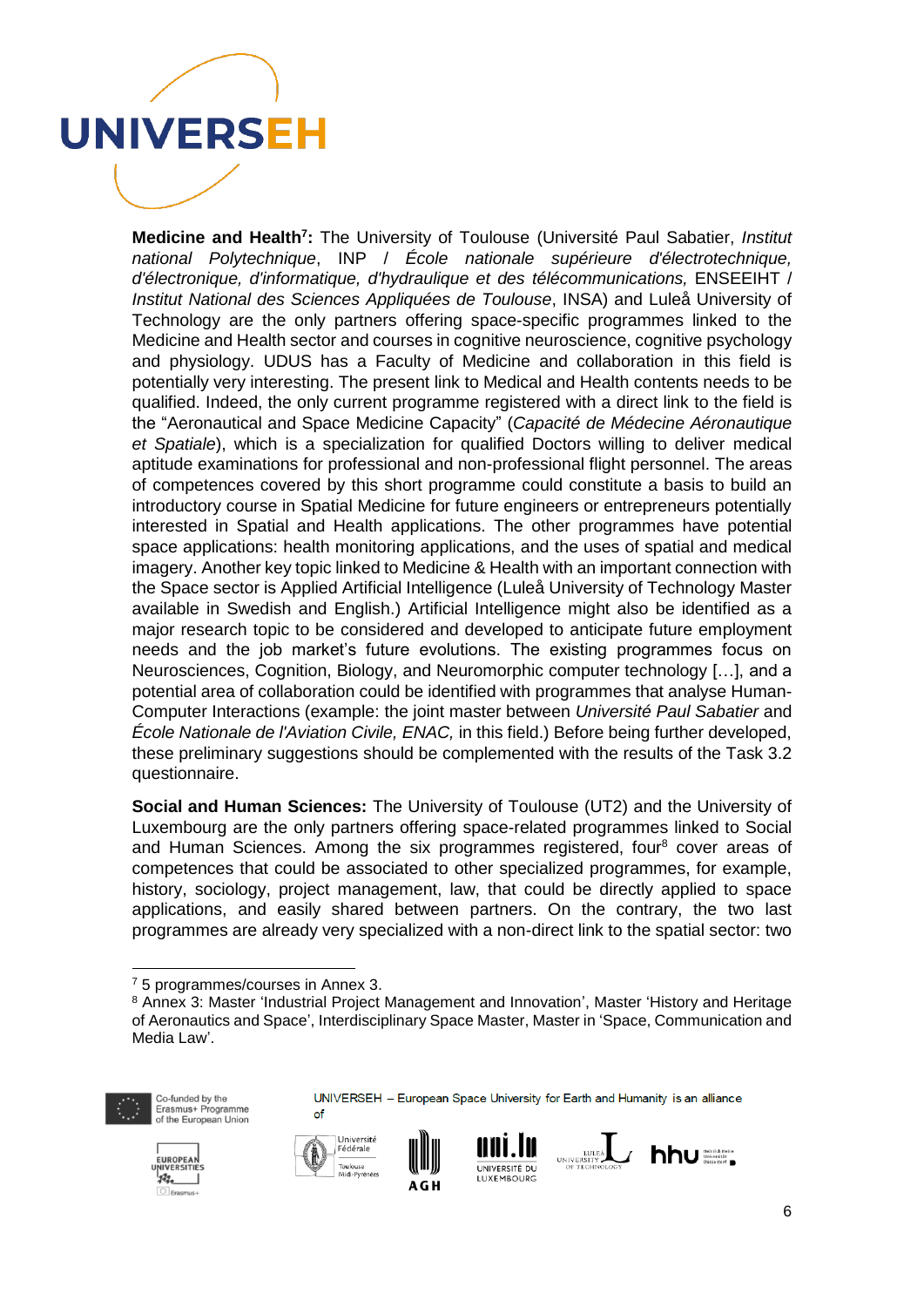

**Medicine and Health<sup>7</sup> :** The University of Toulouse (Université Paul Sabatier, *Institut national Polytechnique*, INP / *École nationale supérieure d'électrotechnique, d'électronique, d'informatique, d'hydraulique et des télécommunications,* ENSEEIHT / *Institut National des Sciences Appliquées de Toulouse*, INSA) and Luleå University of Technology are the only partners offering space-specific programmes linked to the Medicine and Health sector and courses in cognitive neuroscience, cognitive psychology and physiology. UDUS has a Faculty of Medicine and collaboration in this field is potentially very interesting. The present link to Medical and Health contents needs to be qualified. Indeed, the only current programme registered with a direct link to the field is the "Aeronautical and Space Medicine Capacity" (*Capacité de Médecine Aéronautique et Spatiale*), which is a specialization for qualified Doctors willing to deliver medical aptitude examinations for professional and non-professional flight personnel. The areas of competences covered by this short programme could constitute a basis to build an introductory course in Spatial Medicine for future engineers or entrepreneurs potentially interested in Spatial and Health applications. The other programmes have potential space applications: health monitoring applications, and the uses of spatial and medical imagery. Another key topic linked to Medicine & Health with an important connection with the Space sector is Applied Artificial Intelligence (Luleå University of Technology Master available in Swedish and English.) Artificial Intelligence might also be identified as a major research topic to be considered and developed to anticipate future employment needs and the job market's future evolutions. The existing programmes focus on Neurosciences, Cognition, Biology, and Neuromorphic computer technology […], and a potential area of collaboration could be identified with programmes that analyse Human-Computer Interactions (example: the joint master between *Université Paul Sabatier* and *École Nationale de l'Aviation Civile, ENAC,* in this field.) Before being further developed, these preliminary suggestions should be complemented with the results of the Task 3.2 questionnaire.

**Social and Human Sciences:** The University of Toulouse (UT2) and the University of Luxembourg are the only partners offering space-related programmes linked to Social and Human Sciences. Among the six programmes registered, four<sup>8</sup> cover areas of competences that could be associated to other specialized programmes, for example, history, sociology, project management, law, that could be directly applied to space applications, and easily shared between partners. On the contrary, the two last programmes are already very specialized with a non-direct link to the spatial sector: two

<sup>8</sup> Annex 3: Master 'Industrial Project Management and Innovation', Master 'History and Heritage of Aeronautics and Space', Interdisciplinary Space Master, Master in 'Space, Communication and Media Law'.



1

Erasmus+ Programme<br>of the European Union











<sup>7</sup> 5 programmes/courses in Annex 3.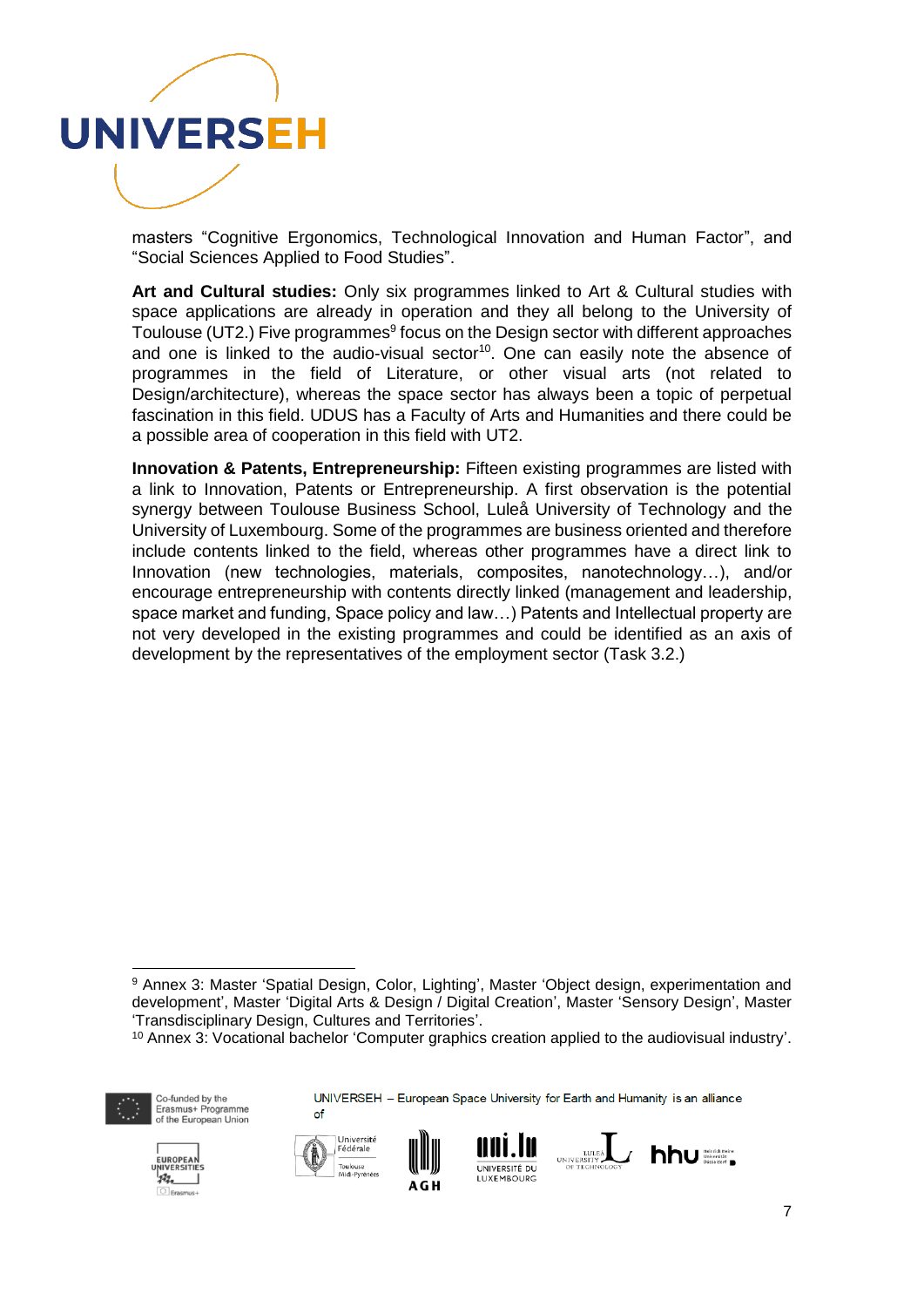

masters "Cognitive Ergonomics, Technological Innovation and Human Factor", and "Social Sciences Applied to Food Studies".

**Art and Cultural studies:** Only six programmes linked to Art & Cultural studies with space applications are already in operation and they all belong to the University of Toulouse (UT2.) Five programmes<sup>9</sup> focus on the Design sector with different approaches and one is linked to the audio-visual sector<sup>10</sup>. One can easily note the absence of programmes in the field of Literature, or other visual arts (not related to Design/architecture), whereas the space sector has always been a topic of perpetual fascination in this field. UDUS has a Faculty of Arts and Humanities and there could be a possible area of cooperation in this field with UT2.

**Innovation & Patents, Entrepreneurship:** Fifteen existing programmes are listed with a link to Innovation, Patents or Entrepreneurship. A first observation is the potential synergy between Toulouse Business School, Luleå University of Technology and the University of Luxembourg. Some of the programmes are business oriented and therefore include contents linked to the field, whereas other programmes have a direct link to Innovation (new technologies, materials, composites, nanotechnology…), and/or encourage entrepreneurship with contents directly linked (management and leadership, space market and funding, Space policy and law…) Patents and Intellectual property are not very developed in the existing programmes and could be identified as an axis of development by the representatives of the employment sector (Task 3.2.)

<sup>&</sup>lt;sup>10</sup> Annex 3: Vocational bachelor 'Computer graphics creation applied to the audiovisual industry'.



1

Co-funded by the Erasmus+ Programme<br>of the European Union













<sup>9</sup> Annex 3: Master 'Spatial Design, Color, Lighting', Master 'Object design, experimentation and development', Master 'Digital Arts & Design / Digital Creation', Master 'Sensory Design', Master 'Transdisciplinary Design, Cultures and Territories'.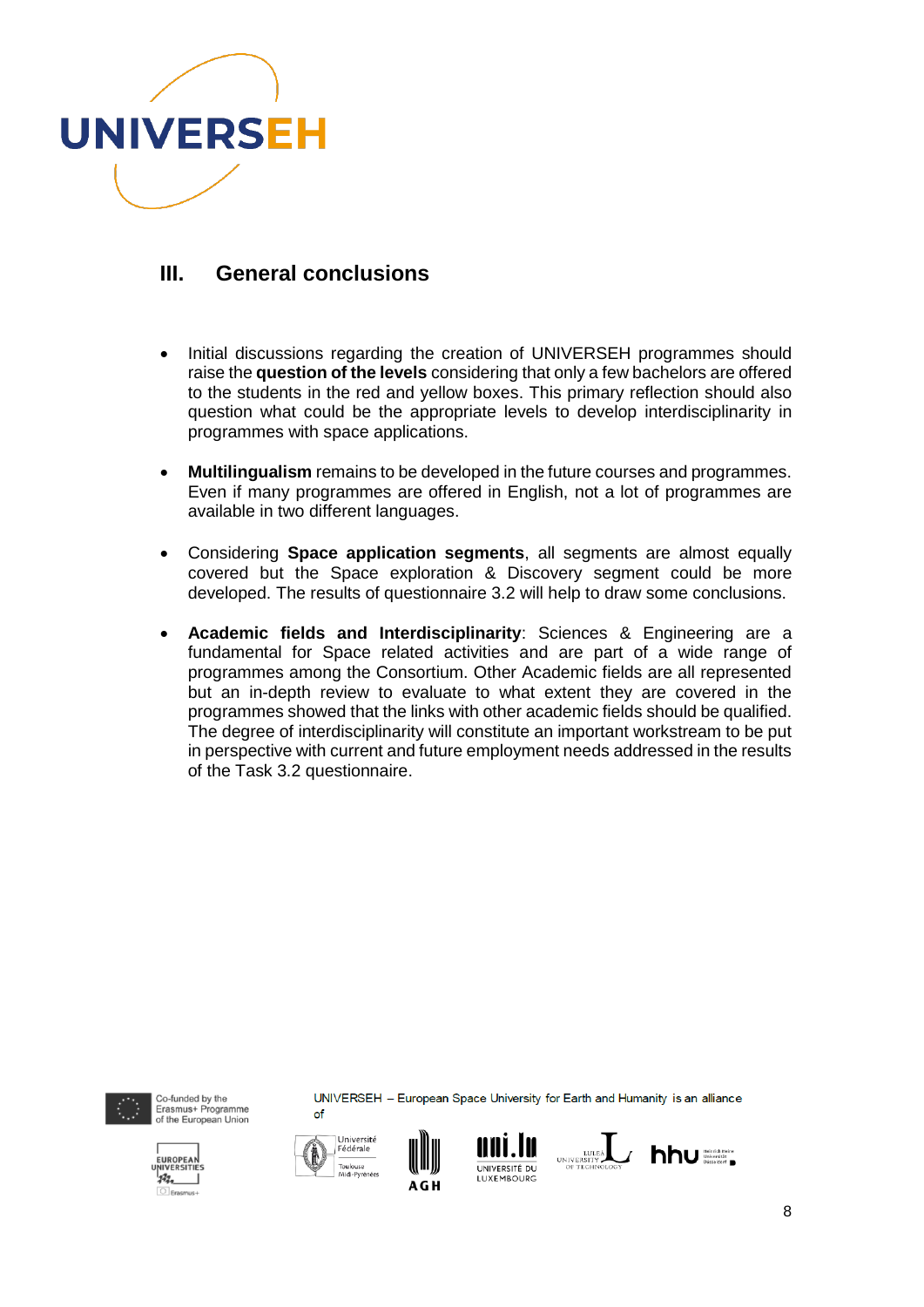

### **III. General conclusions**

- Initial discussions regarding the creation of UNIVERSEH programmes should raise the **question of the levels** considering that only a few bachelors are offered to the students in the red and yellow boxes. This primary reflection should also question what could be the appropriate levels to develop interdisciplinarity in programmes with space applications.
- **Multilingualism** remains to be developed in the future courses and programmes. Even if many programmes are offered in English, not a lot of programmes are available in two different languages.
- Considering **Space application segments**, all segments are almost equally covered but the Space exploration & Discovery segment could be more developed. The results of questionnaire 3.2 will help to draw some conclusions.
- **Academic fields and Interdisciplinarity**: Sciences & Engineering are a fundamental for Space related activities and are part of a wide range of programmes among the Consortium. Other Academic fields are all represented but an in-depth review to evaluate to what extent they are covered in the programmes showed that the links with other academic fields should be qualified. The degree of interdisciplinarity will constitute an important workstream to be put in perspective with current and future employment needs addressed in the results of the Task 3.2 questionnaire.



Co-funded by the Erasmus+ Programme<br>of the European Union









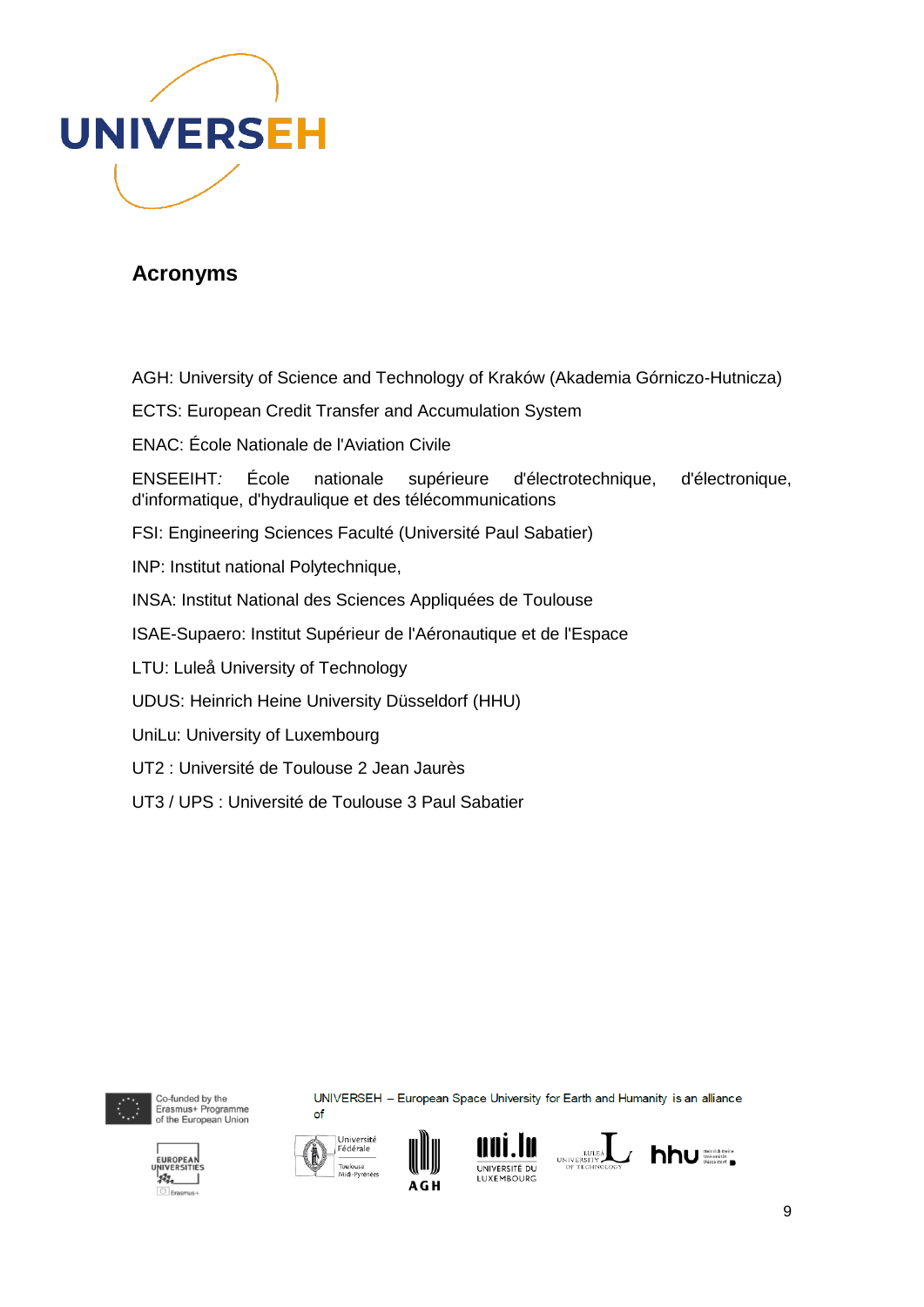

## **Acronyms**

AGH: University of Science and Technology of Kraków (Akademia Górniczo-Hutnicza)

- ECTS: European Credit Transfer and Accumulation System
- ENAC: École Nationale de l'Aviation Civile

ENSEEIHT*:* École nationale supérieure d'électrotechnique, d'électronique, d'informatique, d'hydraulique et des télécommunications

- FSI: Engineering Sciences Faculté (Université Paul Sabatier)
- INP: Institut national Polytechnique,
- INSA: Institut National des Sciences Appliquées de Toulouse
- ISAE-Supaero: Institut Supérieur de l'Aéronautique et de l'Espace
- LTU: Luleå University of Technology
- UDUS: Heinrich Heine University Düsseldorf (HHU)
- UniLu: University of Luxembourg
- UT2 : Université de Toulouse 2 Jean Jaurès
- UT3 / UPS : Université de Toulouse 3 Paul Sabatier



 $23.$ 

Co-funded by the Erasmus+ Programme<br>of the European Union





of





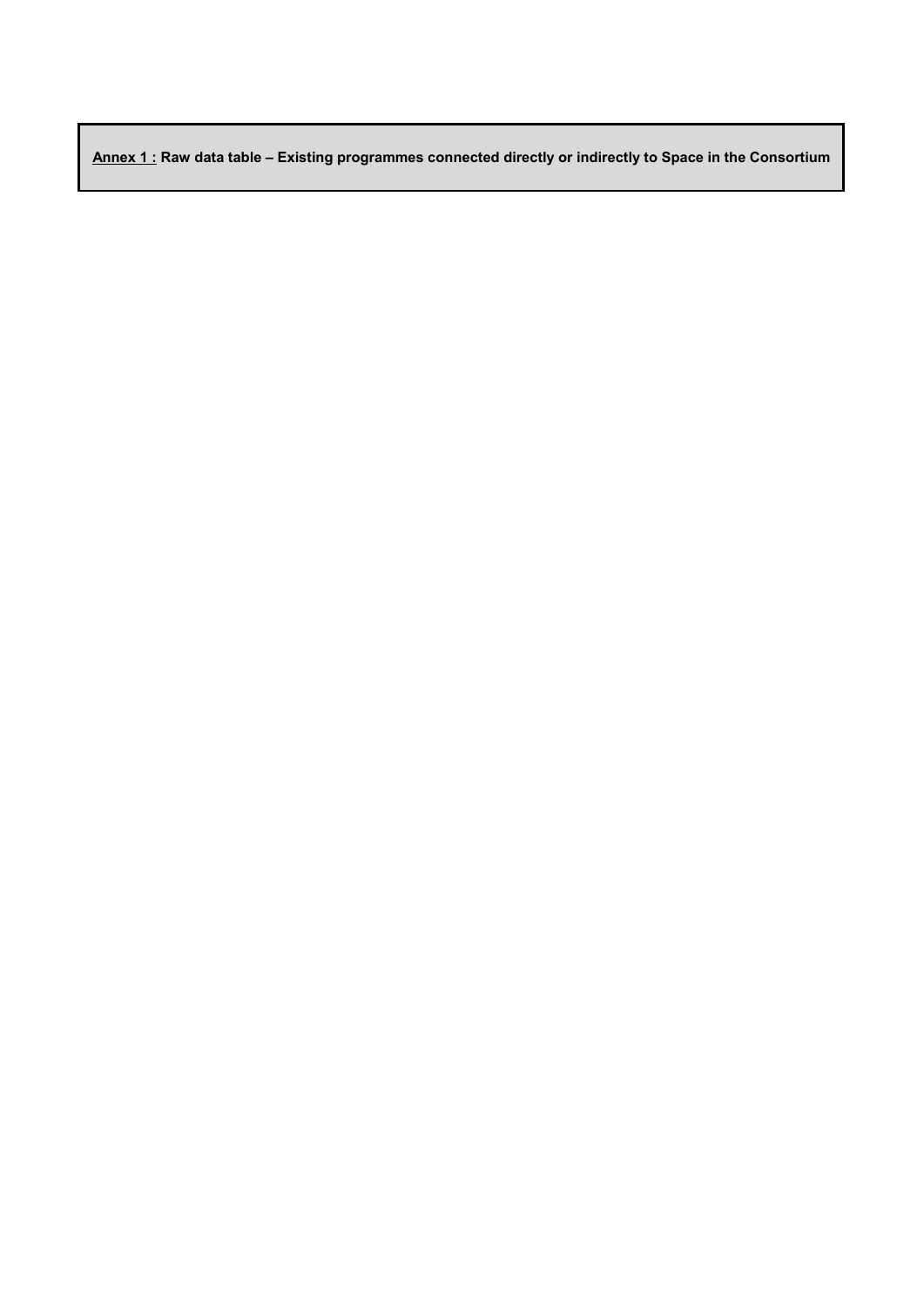**Annex 1 : Raw data table – Existing programmes connected directly or indirectly to Space in the Consortium**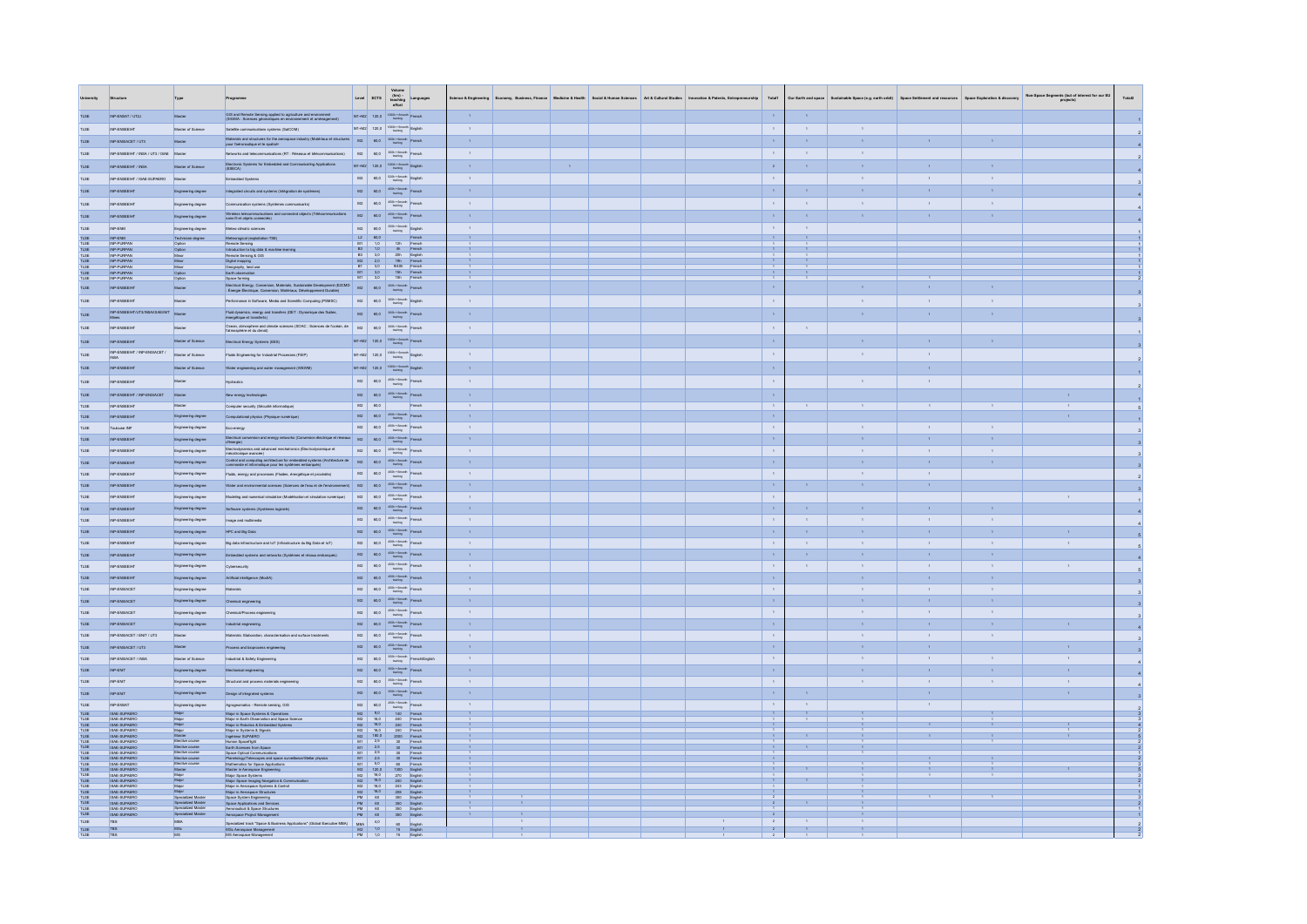|                                                      | Structure                                                                                                                           | Type                                                          | Programm                                                                                                                                                                     |                               |                                                                       |                                                                                                                                                                   | $\begin{tabular}{ c c c } \hline \multicolumn{1}{c}{\textbf{Volume}} & \multicolumn{1}{c}{\textbf{Volume}} \\ \hline \multicolumn{1}{c}{\textbf{Low} & (hrs)} \multicolumn{1}{c}{\textbf{Language}} \\ \hline \multicolumn{1}{c}{\textbf{Every} & (hrs)} \multicolumn{1}{c}{\textbf{Language}} \\ \hline \multicolumn{1}{c}{\textbf{ECTS}} & \multicolumn{1}{c}{\textbf{theaching} & \textbf{Language}} \\ \hline \multicolumn{1}{c}{\textbf{H3} & \textbf{The image} \\ \hline \multicolumn{1}{c}{\textbf{H4} & \$ | <b>Jence &amp; Engin</b> |  | ness, Finance Medicine & Health Social & Human Sciences | Art & Cultural Studies | Total1                           | Our Earth and space    |                              |                              |                              | Non-Space Segments (but of interest for our EU<br>projects) |  |
|------------------------------------------------------|-------------------------------------------------------------------------------------------------------------------------------------|---------------------------------------------------------------|------------------------------------------------------------------------------------------------------------------------------------------------------------------------------|-------------------------------|-----------------------------------------------------------------------|-------------------------------------------------------------------------------------------------------------------------------------------------------------------|---------------------------------------------------------------------------------------------------------------------------------------------------------------------------------------------------------------------------------------------------------------------------------------------------------------------------------------------------------------------------------------------------------------------------------------------------------------------------------------------------------------------|--------------------------|--|---------------------------------------------------------|------------------------|----------------------------------|------------------------|------------------------------|------------------------------|------------------------------|-------------------------------------------------------------|--|
| <b>TLSE</b>                                          | INPLEMBAT / LIT2.L                                                                                                                  | Master                                                        | GIS and Remote Sensing applied to agriculture and environment<br>(SIGMA : Sciences géomatiques en emironnement et aménagement)                                               |                               |                                                                       | $M1+M2$ 120,0 $1000h + 6$ meth French                                                                                                                             |                                                                                                                                                                                                                                                                                                                                                                                                                                                                                                                     | $\mathcal{A}$            |  |                                                         |                        | $\mathbf{A}$                     |                        |                              |                              |                              |                                                             |  |
| <b>TLSE</b>                                          | INP-ENSEEIHT                                                                                                                        | Master of Science                                             | Satelite communications systems (SatCOM)                                                                                                                                     |                               |                                                                       | $M1+M2$ 120,0 $1000h + 6$ month English                                                                                                                           |                                                                                                                                                                                                                                                                                                                                                                                                                                                                                                                     | $\sim$                   |  |                                                         |                        | $\sim$                           | $\sim$                 | $\sim$                       |                              |                              |                                                             |  |
| TLSE                                                 | INP-ENSIACET / UT3                                                                                                                  | Master                                                        | Materials and structures for the aerospace industry (Matériaux et structures _ M2 _ 60,0 _ 30th + finenth French<br>pour l'aéronautique et le spatial=                       |                               |                                                                       |                                                                                                                                                                   |                                                                                                                                                                                                                                                                                                                                                                                                                                                                                                                     | $\mathcal{A}^{\pm}$      |  |                                                         |                        | $\mathcal{A}^{\pm}$              | $\alpha$               | $\Lambda$ .                  |                              |                              |                                                             |  |
| TLSE.                                                | INP-ENREEIHT / INRA / LIT3 / IRAE Master                                                                                            |                                                               | Networks and telecommunications (RT : Réseaux et télécommunications)                                                                                                         |                               |                                                                       | $M2$ $60,0$ $300h + 6m \text{or}$ French                                                                                                                          |                                                                                                                                                                                                                                                                                                                                                                                                                                                                                                                     | $\mathbf{A}$             |  |                                                         |                        | $\sim$ 1                         | $\sim$                 | $-1$                         |                              |                              |                                                             |  |
| $_{\text{TLSE}}$                                     | INP-ENSEEIHT / INSA                                                                                                                 | Master of Science                                             | Electronic Systems for Embedded and Communicating Applications<br>(ESECA)                                                                                                    |                               |                                                                       | $M1+M2$ 120,0 $1000h + 6$ month English                                                                                                                           |                                                                                                                                                                                                                                                                                                                                                                                                                                                                                                                     | $\mathbf{A}$             |  |                                                         |                        | $\mathbf{z}$                     | $\mathbf{A}$           | $\Lambda$ .                  | $\mathbf{A}$                 |                              |                                                             |  |
| <b>TLSE</b>                                          | INP-ENSEEIHT / ISAE-SUPAERO Master                                                                                                  |                                                               | Embedded Systems                                                                                                                                                             |                               |                                                                       | $M2$ $\begin{array}{ c c c c c } \hline & 60,0 & \frac{520h+6m\alpha r\hbar}{\hline & \text{English}} \hline \end{array}$                                         |                                                                                                                                                                                                                                                                                                                                                                                                                                                                                                                     | $\sim$                   |  |                                                         |                        | $\sim$                           |                        | $\sim$                       | $\,$ 1 $\,$                  | $\mathbf{1}$                 |                                                             |  |
| $_{\text{nse}}$                                      | INP-ENSEEIHT                                                                                                                        | Engineering degree                                            | Integrated circuits and systems (Intégration de systèmes)                                                                                                                    |                               |                                                                       | $M2$ $60,0$ $450h + 6$ month Franch                                                                                                                               |                                                                                                                                                                                                                                                                                                                                                                                                                                                                                                                     | $\mathbf{A}$             |  |                                                         |                        | $\mathcal{A}^{\mathcal{A}}$      | $\alpha$ .             | $\mathbf{A}$                 | $\mathbf{r}$                 | $\mathbf{A}$                 |                                                             |  |
| <b>TLSE</b>                                          | INP-ENSEEIHT                                                                                                                        |                                                               | Communication systems (Systèmes communicants)                                                                                                                                |                               |                                                                       | $M2$ $60,0$ $32h+6m$ ch French                                                                                                                                    |                                                                                                                                                                                                                                                                                                                                                                                                                                                                                                                     | $\sim$                   |  |                                                         |                        | $\sim$                           | $\sim$                 | $\sim$                       | $\sim$                       | $\sim 10^{-1}$               |                                                             |  |
|                                                      |                                                                                                                                     | Engineering degree                                            |                                                                                                                                                                              | M2                            |                                                                       |                                                                                                                                                                   |                                                                                                                                                                                                                                                                                                                                                                                                                                                                                                                     | $\mathbf{A}$             |  |                                                         |                        |                                  | $\mathbf{A}$           | $\mathcal{A}$                | $\mathbf{r}$                 |                              |                                                             |  |
| TLSE                                                 | INP-ENSEEIHT                                                                                                                        | Engineering degree                                            | Wireless telecommunications and connected objects (Télécommunications sans fil et objets connectés)                                                                          |                               |                                                                       | $60,0$ $450h + 6$ month French                                                                                                                                    |                                                                                                                                                                                                                                                                                                                                                                                                                                                                                                                     |                          |  |                                                         |                        | $\alpha$                         |                        |                              |                              |                              |                                                             |  |
| $_{\text{TLSE}}$                                     | INP-ENM<br>INP-ENM                                                                                                                  | Engineering degree<br>Technician degree                       | Meteo-climatic sciences<br>Meteorogical (exploitation TSE)                                                                                                                   |                               | $L2$ $60,0$                                                           | $M2$ $\begin{array}{ c c c c c } \hline & 450h & \text{Gmarch} & \text{English} \\ & & \text{training} & \hline \end{array}$                                      |                                                                                                                                                                                                                                                                                                                                                                                                                                                                                                                     | $\sim$<br>$\mathbf{A}$   |  |                                                         |                        | $\sim$<br>$\sim$ 1 $\sim$        | $\sim$<br>$\mathbf{A}$ |                              |                              |                              |                                                             |  |
| TLSE<br>TLSE<br>TLSE<br>TLSE<br>TLSE<br>TLSE<br>TLSE | INP-PURPAN<br>INP-PURPAN                                                                                                            | Option<br>Option                                              | Remote Sensing<br>Introduction to big data & machine learning                                                                                                                |                               |                                                                       | $\frac{1}{2h}$<br>11 1,0 12h French<br>B3 1,0 4h French                                                                                                           | French<br>French                                                                                                                                                                                                                                                                                                                                                                                                                                                                                                    | $A = 0$                  |  |                                                         |                        | $\rightarrow$                    | $\frac{1}{2}$          |                              |                              |                              |                                                             |  |
|                                                      | INP-PURPAN                                                                                                                          | Minor<br>Minor                                                | Remote Sensing & GIS<br>Digital mapping                                                                                                                                      |                               |                                                                       | 3,0 20h English<br>2,0 19h French<br>3,0 9/40h French                                                                                                             |                                                                                                                                                                                                                                                                                                                                                                                                                                                                                                                     |                          |  |                                                         |                        | $\frac{1}{1}$                    |                        |                              |                              |                              |                                                             |  |
|                                                      | INP-PURPAN                                                                                                                          | Minor<br>Option                                               | Geography, land use<br>Earth observation                                                                                                                                     | B1                            |                                                                       |                                                                                                                                                                   |                                                                                                                                                                                                                                                                                                                                                                                                                                                                                                                     | $-1 - 1$                 |  |                                                         |                        |                                  | $A = 0$                |                              |                              |                              |                                                             |  |
|                                                      | INP-PURPAN                                                                                                                          | Option                                                        | Space farming                                                                                                                                                                |                               |                                                                       |                                                                                                                                                                   | M1 3,0 15h French<br>M1 3,0 15h French                                                                                                                                                                                                                                                                                                                                                                                                                                                                              |                          |  |                                                         |                        | $\frac{1}{1}$                    |                        |                              |                              |                              |                                                             |  |
| TLSE                                                 | INP-ENSEEIHT                                                                                                                        | Master                                                        | Electrical Energy, Conversion, Materials, Sustainable Development (E2CMD M2 60,0 30th + 6month French<br>: Énergie Électrique, Conversion, Matériaux, Développement Durable) |                               |                                                                       |                                                                                                                                                                   |                                                                                                                                                                                                                                                                                                                                                                                                                                                                                                                     | $\mathbf{A}$             |  |                                                         |                        | $\mathbf{A}$                     |                        | $\mathbf{A}$                 | $\mathbf{A}$                 |                              |                                                             |  |
| <b>TLSE</b>                                          | INP-ENSEEIHT                                                                                                                        | Master                                                        | Performance in Software, Media and Scientific Computing (PSMSC)                                                                                                              |                               |                                                                       | $M2$ 60,0 $300h + 6$ month English                                                                                                                                |                                                                                                                                                                                                                                                                                                                                                                                                                                                                                                                     | $\sim$                   |  |                                                         |                        | $\mathbb{R}$                     |                        | $\sim$                       | $\sim$                       | $\sim 10^{-1}$               |                                                             |  |
| TLSE                                                 | INP-ENSEEIHT/UT3/INSA/ISAE/IMT Master                                                                                               |                                                               | Fluid dynamics, energy and transfers (DET : Dynamique des fluides,<br>énergétique et transferts)                                                                             |                               |                                                                       | $M2$ $\begin{array}{ c c } \hline 60,0 & \frac{300h+6m\alpha r \hbar}{\hline 6m\alpha r \hbar} \end{array}$ French                                                |                                                                                                                                                                                                                                                                                                                                                                                                                                                                                                                     |                          |  |                                                         |                        | $\alpha$                         |                        |                              |                              |                              |                                                             |  |
| <b>TLSE</b>                                          | INPLEMBER IHT                                                                                                                       | Master                                                        | Ocean, atmosphere and climate sciences (SOAC : Sciences de l'océan, de M2 60,0 30th « Emonth French                                                                          |                               |                                                                       |                                                                                                                                                                   |                                                                                                                                                                                                                                                                                                                                                                                                                                                                                                                     | $\sim$ 1                 |  |                                                         |                        | $\sim$                           | $-1$                   |                              |                              |                              |                                                             |  |
| TLSE                                                 | INP-ENSEEIHT                                                                                                                        | Master of Science                                             | Electrical Energy Systems (EES)                                                                                                                                              |                               |                                                                       | M1+M2 120,0 1000h + 6month French                                                                                                                                 |                                                                                                                                                                                                                                                                                                                                                                                                                                                                                                                     | $\sim 10^{-1}$           |  |                                                         |                        | $\sim 10$                        |                        | $\Lambda$                    | $\Lambda$                    | $\mathbf{A}$                 |                                                             |  |
| TLSE                                                 | INP-ENSEEIHT / INP-ENSIACET /                                                                                                       | Master of Science                                             | Fluids Engineering for Industrial Processes (FEIP)                                                                                                                           |                               |                                                                       | $M1+M2$ 120,0 $\frac{1000h + 6 \text{mech}}{\text{tuning}}$ English                                                                                               |                                                                                                                                                                                                                                                                                                                                                                                                                                                                                                                     | $\sim$                   |  |                                                         |                        | $\sim$                           |                        | $\sim$                       | $\bar{1}$                    |                              |                                                             |  |
|                                                      |                                                                                                                                     |                                                               |                                                                                                                                                                              |                               |                                                                       |                                                                                                                                                                   |                                                                                                                                                                                                                                                                                                                                                                                                                                                                                                                     | $\sim$                   |  |                                                         |                        |                                  |                        |                              |                              |                              |                                                             |  |
| TLSE                                                 | INP-ENSEEIHT                                                                                                                        | Master of Science                                             | Water engineering and water management (WEWM)                                                                                                                                |                               |                                                                       | $M1+M2$ 120,0 $\frac{1000h+6m\alpha h}{\text{tuning}}$ English                                                                                                    |                                                                                                                                                                                                                                                                                                                                                                                                                                                                                                                     |                          |  |                                                         |                        | $\mathcal{A}^{\pm}$              |                        |                              | $\epsilon$                   |                              |                                                             |  |
| TLSE                                                 | INP-ENSEEIHT                                                                                                                        | Master                                                        | <b>Hydraulics</b>                                                                                                                                                            |                               |                                                                       | $M2$ $60,0$ $450h + 6$ month French                                                                                                                               |                                                                                                                                                                                                                                                                                                                                                                                                                                                                                                                     | $\sim$                   |  |                                                         |                        | $\mathbf{I}$                     |                        | $\sim$                       | $\sim$                       |                              |                                                             |  |
| TLSE                                                 | INP-ENSEEIHT / INP-ENSIACET                                                                                                         | Master                                                        | New energy technologies                                                                                                                                                      |                               |                                                                       | $M2$ $60,0$ $450h + 6$ month Franch                                                                                                                               |                                                                                                                                                                                                                                                                                                                                                                                                                                                                                                                     |                          |  |                                                         |                        | $\bar{z}$                        |                        |                              |                              |                              |                                                             |  |
| TLSE                                                 | INP-ENSEEIHT                                                                                                                        | Master                                                        | Computer security (Sécurité informatique)                                                                                                                                    |                               | $M2$ $60,0$                                                           |                                                                                                                                                                   | French                                                                                                                                                                                                                                                                                                                                                                                                                                                                                                              | $\sim$                   |  |                                                         |                        | $\sim$                           | $\sim$                 | $\blacksquare$               | $-1$                         | $-1$                         |                                                             |  |
| $_{\text{TLSE}}$                                     | INP-ENSEEIHT                                                                                                                        | Engineering degree                                            | Computational physics (Physique numérique)                                                                                                                                   |                               |                                                                       | M2 60,0 45th + Emonth French                                                                                                                                      |                                                                                                                                                                                                                                                                                                                                                                                                                                                                                                                     | $\mathbf{A}$             |  |                                                         |                        | $\mathcal{A}$                    |                        |                              |                              |                              |                                                             |  |
| TLSE                                                 | Toulouse INP                                                                                                                        | Engineering degree                                            | Eco-energy                                                                                                                                                                   |                               |                                                                       | $M2$ $60,0$ $450h + 6$ month French                                                                                                                               |                                                                                                                                                                                                                                                                                                                                                                                                                                                                                                                     | $\sim$                   |  |                                                         |                        | $\mathbb{R}$                     |                        | $\sim$                       | $\sim$                       | $\sim$ 1 $^{-1}$             |                                                             |  |
| <b>TLSE</b>                                          | INP-ENSEEIHT                                                                                                                        | Engineering degree                                            | Electrical conversion and energy networks (Conversion électrique et réseaux $M2$                                                                                             |                               |                                                                       | 60,0 45th + 6month French                                                                                                                                         |                                                                                                                                                                                                                                                                                                                                                                                                                                                                                                                     | $\mathbf{A}$             |  |                                                         |                        | $\bar{z}$                        |                        | $\mathbf{A}$                 | $\mathbf{r}$                 |                              |                                                             |  |
| TLSE                                                 | INP-ENSEEIHT                                                                                                                        | Engineering degree                                            | Electrodynamics and advanced mechatronics (Électrodynamique et<br>mécatronique avancée)                                                                                      |                               |                                                                       | $M2$ $60,0$ $450h + 6$ month French                                                                                                                               |                                                                                                                                                                                                                                                                                                                                                                                                                                                                                                                     | $-1$                     |  |                                                         |                        | $\sim$                           |                        | $\sim$                       | $\sim$                       | $-1$                         |                                                             |  |
| TLSE                                                 | INP-ENSEEIHT                                                                                                                        | Engineering degree                                            | $\label{cor:conjugation} \begin{tabular}{ l l } \hline \textbf{Control} and computing architecture for embedded systems (Architecture de \\\hline \end{tabular}$             |                               |                                                                       | $60,0$ 45th + Emonth French                                                                                                                                       |                                                                                                                                                                                                                                                                                                                                                                                                                                                                                                                     | $\mathcal{A}^{\pm}$      |  |                                                         |                        | $\sim$                           |                        | $\Lambda$                    | $\mathbf{r}$                 |                              |                                                             |  |
| TLSE                                                 | INP-ENSEEIHT                                                                                                                        | Engineering degree                                            | Fluids, energy and processes (Fluides, énergétique et procédés)                                                                                                              |                               |                                                                       | $M2$ $60,0$ $35h + 6m$ orth French                                                                                                                                |                                                                                                                                                                                                                                                                                                                                                                                                                                                                                                                     | $\sim 10^{-1}$           |  |                                                         |                        | l a                              |                        | $\sim$                       | $\sim$                       |                              |                                                             |  |
| $_{\text{TLSE}}$                                     | INP-ENSEEIHT                                                                                                                        | Engineering degree                                            | Water and environmental sciences (Sciences de l'eau et de l'environnement)                                                                                                   | M2                            |                                                                       | 60,0 45th + Emonth French                                                                                                                                         |                                                                                                                                                                                                                                                                                                                                                                                                                                                                                                                     |                          |  |                                                         |                        | $\bar{1}$                        |                        |                              |                              |                              |                                                             |  |
| TLSE                                                 | INP-ENSEEIHT                                                                                                                        | Engineering degree                                            | Modeling and numerical simulation (Modélisation et simulation numérique)                                                                                                     |                               |                                                                       | M2 60,0 450h + 6month Franch                                                                                                                                      |                                                                                                                                                                                                                                                                                                                                                                                                                                                                                                                     | $\sim$                   |  |                                                         |                        | $\sim$                           |                        |                              |                              |                              |                                                             |  |
| $_{\rm nse}$                                         | INP-ENSEEIHT                                                                                                                        | Engineering degree                                            | Software systems (Systèmes logiciels)                                                                                                                                        |                               |                                                                       | $M2$ $60,0$ $450h + 6$ manth French                                                                                                                               |                                                                                                                                                                                                                                                                                                                                                                                                                                                                                                                     | $\mathbf{r}$             |  |                                                         |                        | $\bar{A}$                        | $\mathbf{A}$           | $\mathbf{A}$                 | $\mathbf{A}$                 | $\mathbf{A}$                 |                                                             |  |
| TLSE                                                 | INP-ENSEEIHT                                                                                                                        | Engineering degree                                            | Image and multimedia                                                                                                                                                         |                               |                                                                       | M2 60,0 45th + Emonth French                                                                                                                                      |                                                                                                                                                                                                                                                                                                                                                                                                                                                                                                                     | $\sim$                   |  |                                                         |                        | $\sim$ 1 $\sim$                  | $\sim$                 |                              | $\sim$                       | $\sim$                       |                                                             |  |
| <b>TLSE</b>                                          | INP-ENSEEIHT                                                                                                                        | Engineering degree                                            | <b>HPC and Big Data</b>                                                                                                                                                      |                               |                                                                       | $M2$ $60,0$ $450h + 6morth$ French                                                                                                                                |                                                                                                                                                                                                                                                                                                                                                                                                                                                                                                                     | $\Lambda$ .              |  |                                                         |                        | $\bar{A}$                        | $\mathbf{A}$           |                              | $\overline{1}$               |                              |                                                             |  |
| TLSE                                                 | INP-ENSEEIHT                                                                                                                        | Engineering degree                                            | Big data infrastructure and IoT (Infrastructure du Big Data et IoT)                                                                                                          |                               |                                                                       | $M2$ $60,0$ $450h + 6$ month French                                                                                                                               |                                                                                                                                                                                                                                                                                                                                                                                                                                                                                                                     | $\sim$                   |  |                                                         |                        | $\mathbb{R}$                     | $\sim$                 | $\sim$                       | $\,$ $\,$                    | $\sim$<br>$\sim$             |                                                             |  |
| $_{\text{TLSE}}$                                     | INP-ENSEEIHT                                                                                                                        | Engineering degree                                            | Embedded systems and networks (Systèmes et résaux embarqués)                                                                                                                 |                               |                                                                       | $M2$ $60,0$ $450h + 6$ marth French                                                                                                                               |                                                                                                                                                                                                                                                                                                                                                                                                                                                                                                                     | $\mathbf{A}$             |  |                                                         |                        | $\mathbf{A}$                     | $\mathbf{A}$           | $\Lambda$ .                  | $\mathbf{A}$                 |                              |                                                             |  |
| TLSE                                                 | INP-ENSEEIHT                                                                                                                        | Engineering degree                                            | Cybersecurity                                                                                                                                                                |                               |                                                                       | $M2$ $60,0$ $450h + 6$ month French                                                                                                                               |                                                                                                                                                                                                                                                                                                                                                                                                                                                                                                                     | $\Lambda$                |  |                                                         |                        | $\bar{z}$                        | $\sim$                 | $\mathbf{1}$                 | $\mathbf{r}$                 | $\sim$                       |                                                             |  |
| $_{\text{TLSE}}$<br>TLSE                             | INP-ENSEEIHT<br>INP-ENSIACET                                                                                                        | Engineering degree<br>Engineering degree                      | Artificial intelligence (ModIA)<br>Materials                                                                                                                                 |                               |                                                                       | $M2$ $\begin{array}{ c c c c } \hline 60,0 & \frac{450h+6m\alpha r h}{\text{training}} & \text{French} \hline \end{array}$<br>$M2$ $60,0$ $450h + 6$ month Franch |                                                                                                                                                                                                                                                                                                                                                                                                                                                                                                                     | $\mathbf{A}$<br>$\sim$   |  |                                                         |                        | $\mathcal{A}$ .<br>$\sim$        |                        | $\mathbf{A}$<br>$\mathbf{A}$ | $\mathbf{A}$<br>$\mathbf{A}$ | $\mathbf{A}$<br>$\mathbf{r}$ |                                                             |  |
| $_{\textrm{TESE}}$                                   |                                                                                                                                     |                                                               |                                                                                                                                                                              |                               |                                                                       |                                                                                                                                                                   |                                                                                                                                                                                                                                                                                                                                                                                                                                                                                                                     | $\mathbf{A}$             |  |                                                         |                        | $\bar{1}$                        |                        | $\mathbf{A}$                 | $\mathbf{A}$                 | $\sim$                       |                                                             |  |
| <b>TLSE</b>                                          | INP-ENSIACET<br>INP-ENSIACET                                                                                                        | Engineering degree<br>Engineering degree                      | Chemical engineering<br>Chemical/Process engineering                                                                                                                         |                               |                                                                       | M2 60,0 45th + 6month French<br>$M2$ $60,0$ $35h+6m$ ch French                                                                                                    |                                                                                                                                                                                                                                                                                                                                                                                                                                                                                                                     | $-1$                     |  |                                                         |                        | $\sim$ 1                         |                        | $\sim$                       | $\sim$                       | $\sim 1$                     |                                                             |  |
| TLSE                                                 | INP-ENSIACET                                                                                                                        | Engineering degree                                            | Industrial engineering                                                                                                                                                       |                               |                                                                       | $M2$ $60,0$ $450h + 6$ manth French                                                                                                                               |                                                                                                                                                                                                                                                                                                                                                                                                                                                                                                                     | $\sim$                   |  |                                                         |                        | $\sim$                           |                        | $\Lambda$ .                  | $\mathbf{r}$                 | $\mathbf{A}$                 |                                                             |  |
| TLSE                                                 | INP-ENSIACET / ENIT / LITS                                                                                                          | Master                                                        | Materials: Elaboration, characterisation and surface treatments                                                                                                              |                               |                                                                       | $M2$ $60,0$ $450h + 6$ morth French                                                                                                                               |                                                                                                                                                                                                                                                                                                                                                                                                                                                                                                                     | $\sim$                   |  |                                                         |                        | $\mathbf{L}$                     |                        | $\mathbf{1}$                 | $\sim$                       | $\mathbf{1}$                 |                                                             |  |
| $_{\texttt{TLSE}}$                                   | INP-ENSIACET / UT3                                                                                                                  | Master                                                        | Process and bioprocess engineering                                                                                                                                           | M2                            |                                                                       | 60,0 45th + 6month French                                                                                                                                         |                                                                                                                                                                                                                                                                                                                                                                                                                                                                                                                     |                          |  |                                                         |                        | $\mathbf{r}$                     |                        |                              |                              |                              |                                                             |  |
| TLSE                                                 | INP-ENSIACET / INSA                                                                                                                 | Master of Science                                             | Industrial & Safety Engineering                                                                                                                                              |                               |                                                                       |                                                                                                                                                                   | M2 60,0 35th + 6month French/English                                                                                                                                                                                                                                                                                                                                                                                                                                                                                | $\sim$                   |  |                                                         |                        | $\sim$ 1 $\sim$                  |                        | $\sim$                       | $\sim$                       | $\sim 10^{-1}$               |                                                             |  |
| $_{\text{tuse}}$                                     | INP-ENT                                                                                                                             | Engineering degree                                            | Mechanical engineering                                                                                                                                                       |                               |                                                                       | $M2$ $60,0$ $350h + 6$ month French                                                                                                                               |                                                                                                                                                                                                                                                                                                                                                                                                                                                                                                                     | $\mathbf{A}$             |  |                                                         |                        | $\mathcal{A}^{\pm}$              |                        |                              | $\mathcal{A}$ .              |                              |                                                             |  |
| TLSE                                                 | INP-ENT                                                                                                                             | Engineering degree                                            | Structural and process materials engineering                                                                                                                                 |                               |                                                                       | M2 60,0 25th + Emorth French                                                                                                                                      |                                                                                                                                                                                                                                                                                                                                                                                                                                                                                                                     | $\sim$                   |  |                                                         |                        | $\sim$                           |                        |                              | $\mathbf{1}$                 | $\mathbf{A}$                 |                                                             |  |
| TLSE                                                 | INP-ENT                                                                                                                             | Engineering degree                                            | Design of integrated systems                                                                                                                                                 |                               |                                                                       | $M2$ $60,0$ $350h + 6$ month French                                                                                                                               |                                                                                                                                                                                                                                                                                                                                                                                                                                                                                                                     | $\mathcal{A}$ .          |  |                                                         |                        | $\sim$                           | $\Lambda$              |                              | $\mathbf{I}$                 |                              |                                                             |  |
| $_{\text{TLSE}}$                                     | INP-ENSAT                                                                                                                           | Engineering degree                                            | Agrogeomatics - Remote sensing, GIS                                                                                                                                          |                               |                                                                       | $M2$ $60,0$ $450h + 6$ month French                                                                                                                               |                                                                                                                                                                                                                                                                                                                                                                                                                                                                                                                     | $\sim$                   |  |                                                         |                        | $\mathbf{I}$                     | $\sim$                 |                              | $\sim$                       |                              |                                                             |  |
|                                                      | <b>ISAFLSI PAFR</b>                                                                                                                 | Major                                                         | Major in Space Systems & Operations                                                                                                                                          |                               |                                                                       | M2 9.0 140 French                                                                                                                                                 |                                                                                                                                                                                                                                                                                                                                                                                                                                                                                                                     | $-1$                     |  |                                                         |                        | $\sim$                           | $-1$                   |                              |                              | $\mathcal{A}$                |                                                             |  |
|                                                      | ISAE-SUPAER<br>ISAE-SUPAER                                                                                                          | Major<br>Major<br>Major                                       | Maior in Earth Observation and Space Science<br>Major in Robotics & Embedded Systems<br>Maior in Systems & Signals                                                           | $\frac{M2}{M2}$<br>M2         | $\begin{array}{r} 16,0 \\ 16,0 \\ 16,0 \end{array}$                   | $\frac{240}{240}$                                                                                                                                                 | French<br>French                                                                                                                                                                                                                                                                                                                                                                                                                                                                                                    |                          |  |                                                         |                        |                                  |                        |                              |                              |                              |                                                             |  |
|                                                      | <b>ISAFLSLIPAS</b>                                                                                                                  | Master<br>Elective course                                     |                                                                                                                                                                              |                               | M2 180.0                                                              | $\frac{240}{2000}$                                                                                                                                                | French<br>French                                                                                                                                                                                                                                                                                                                                                                                                                                                                                                    | $\overline{1}$           |  |                                                         |                        | $\mathbf{1}$                     | $-1$ $-1$              |                              |                              | $-3$                         |                                                             |  |
|                                                      | ISAE-SUPAE<br>ISAE-SUPAER                                                                                                           | Elective course                                               | water in swamma a series<br>Human Spaceflight<br>Eumine Spaceflight<br>Space Optical Communications<br>Planetobou/Telescopes and space surveillance/Stellar physics          |                               | $M1$ $2,5$<br>$M1$ $2,5$<br>$M1$ $2,5$<br>$M1$ $2,5$<br>$M1$ $2,5$    |                                                                                                                                                                   | 2000 French<br>30 French<br>30 French<br>50 French                                                                                                                                                                                                                                                                                                                                                                                                                                                                  |                          |  |                                                         |                        | $\mathbf{r}$                     | $A = 0$                |                              |                              |                              |                                                             |  |
|                                                      | ISAE-SUPAER                                                                                                                         | Elective course<br>Elective course                            | Mathematics for Space Acclications<br>Master in Aerospace Engineering                                                                                                        |                               |                                                                       | 30                                                                                                                                                                | French                                                                                                                                                                                                                                                                                                                                                                                                                                                                                                              |                          |  |                                                         |                        | $\mathbb{R}$                     |                        |                              |                              |                              |                                                             |  |
|                                                      | ISAE-SUPAE                                                                                                                          |                                                               | Master in Aerospace Engineering<br>Malor Space Systems<br>Major Space Imaging Navigation & Communi                                                                           | $\frac{M1}{M2}$               | $\begin{array}{r} 5,0 \\ 120,0 \\ 16,0 \\ 16,0 \\ \hline \end{array}$ |                                                                                                                                                                   | French<br>English                                                                                                                                                                                                                                                                                                                                                                                                                                                                                                   |                          |  |                                                         |                        | $\overline{\phantom{a}}$         | $\overline{1}$         |                              |                              |                              |                                                             |  |
|                                                      | ISAE-SUPAER<br>ISAE-SUPAER                                                                                                          | Major<br>Major<br>Major                                       |                                                                                                                                                                              | $\frac{\text{M2}}{\text{M2}}$ |                                                                       | $\frac{270}{240}$<br>$\frac{243}{208}$                                                                                                                            | English<br>English                                                                                                                                                                                                                                                                                                                                                                                                                                                                                                  |                          |  |                                                         |                        | $\overline{1}$                   |                        |                              |                              |                              |                                                             |  |
|                                                      | ISAE-SUPAERO<br>ISAE-SUPAERO<br>ISAE-SUPAERO                                                                                        | Major<br>Specialized Maste                                    | International Control Marian Control<br>Maior in Aerospace Structures<br>Space System Engineering<br>Space Aodications and Services                                          |                               | M2 16,0<br>M2 16,0<br>PM 60<br>PM 60<br>PM 60<br>PM 60<br>PM 60       | $\frac{350}{350}$                                                                                                                                                 | English<br>English                                                                                                                                                                                                                                                                                                                                                                                                                                                                                                  | $-1$                     |  |                                                         |                        | $\mathbb{R}$<br>$\frac{2}{2}$    |                        |                              |                              |                              |                                                             |  |
|                                                      | ISAE-SUPAERO<br>ISAE-SUPAERO                                                                                                        | operatured Master<br>Specialized Master<br>Specialized Master | <b>Aeronautical &amp; Space Structure</b><br>Aerosopre Project Menaneme                                                                                                      |                               |                                                                       | $\frac{350}{350}$                                                                                                                                                 | English<br>English                                                                                                                                                                                                                                                                                                                                                                                                                                                                                                  |                          |  |                                                         |                        |                                  |                        |                              |                              |                              |                                                             |  |
|                                                      | TBS                                                                                                                                 | pecialized Master                                             |                                                                                                                                                                              |                               |                                                                       |                                                                                                                                                                   |                                                                                                                                                                                                                                                                                                                                                                                                                                                                                                                     |                          |  |                                                         |                        | $\overline{2}$<br>$\overline{2}$ |                        |                              |                              |                              |                                                             |  |
| TLSE<br>TLSE<br>TLSE                                 | $\begin{array}{ c c }\n\hline\n\text{TBS} & \text{ } & \text{ } \\ \hline\n\text{TBS} & \text{ } & \text{ } \\ \hline\n\end{array}$ |                                                               | Specialized track "Space & Business Applications" (Global Executive MBA) MBA 4.0 60<br>MSo Aerospace Management MP<br>MS Aerospace Management MPA 1,0 15                     |                               |                                                                       |                                                                                                                                                                   | Eraish<br>Eraish                                                                                                                                                                                                                                                                                                                                                                                                                                                                                                    |                          |  |                                                         |                        | $\overline{2}$<br>$\overline{2}$ | $\sim$                 |                              |                              |                              |                                                             |  |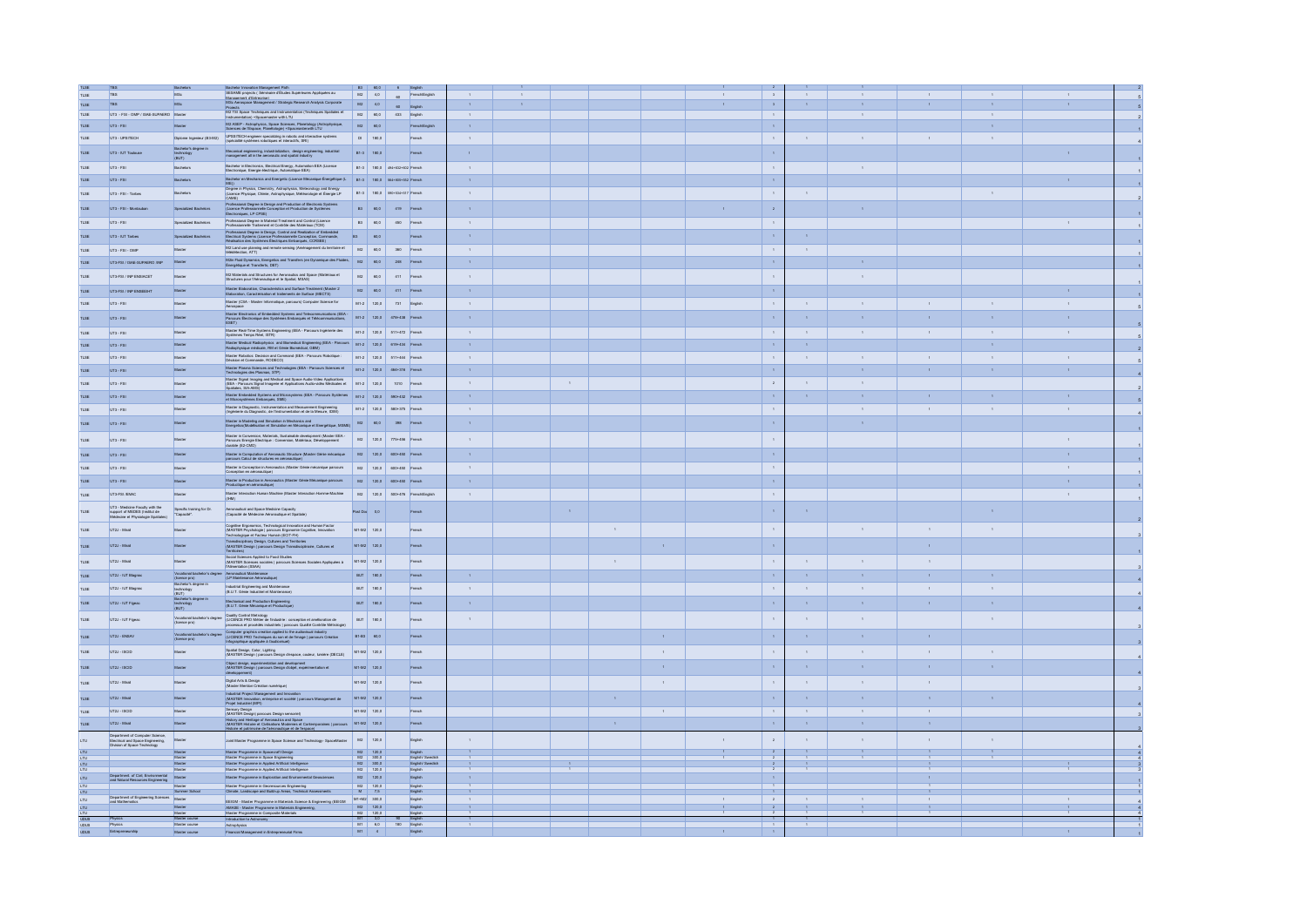|              | TBS                                                                                                  | Bachelors                                                            |                                                                                                                                                                                                                                                            |           |                                                               | B3 60,0 6 English             |                     |              |              |                |              |                     | $\frac{2}{3}$                            |                     |                             |          |                     |      |  |
|--------------|------------------------------------------------------------------------------------------------------|----------------------------------------------------------------------|------------------------------------------------------------------------------------------------------------------------------------------------------------------------------------------------------------------------------------------------------------|-----------|---------------------------------------------------------------|-------------------------------|---------------------|--------------|--------------|----------------|--------------|---------------------|------------------------------------------|---------------------|-----------------------------|----------|---------------------|------|--|
| TLSE         | TBS                                                                                                  | MSc                                                                  | Bachelor Innovation Management Path<br>SEBAME projects (Séminaire d'Études Supérieures Appliquées au                                                                                                                                                       |           |                                                               | M2 4,0 60 French/English      |                     |              |              |                |              |                     | $\,$ $\,$ $\,$                           |                     |                             |          |                     |      |  |
|              |                                                                                                      |                                                                      | Management d'Entrecrise)<br>MSc Aerospace Management / Strategic Research Analysis Corporate                                                                                                                                                               |           | $M2$ $4,0$                                                    |                               | $\mathbf{A}$        | $\mathbf{A}$ |              |                |              | $\mathbf{r}$        | $\mathfrak{s}^{\scriptscriptstyle \top}$ | $\mathbf{A}$        | $\mathcal{A}$               |          | $\mathbf{r}$        |      |  |
| TLSE         | TBS                                                                                                  | MSc                                                                  |                                                                                                                                                                                                                                                            |           |                                                               | 60 English                    |                     |              |              |                |              |                     |                                          |                     |                             |          |                     |      |  |
| TLSE         | UT3 - FSI - OMP / ISAE-SUPAERO Master                                                                |                                                                      | Projects<br>M2 TSI Space Techniques and Instrumentation (Techniques Spatiales et<br>Instrumentation) +Spacemaster with LTU                                                                                                                                 |           |                                                               | M2 60,0 433 English           | $\mathbf{A}$        |              |              |                |              |                     | $\sim$                                   |                     | $\mathbf{1}$                |          | $\sim$              |      |  |
| TLSE         | UT3 - FSI                                                                                            | Master                                                               | M2 ASEP - Astrophysics, Space Sciences, Planetology (Astrophysique, Sciences de l'Espace, Planétologie) +Spacmasterwith LTU                                                                                                                                | M2        | 60,0                                                          | French/English                |                     |              |              |                |              |                     | $\sim$                                   |                     |                             |          | $\Lambda$           |      |  |
| TLSE         |                                                                                                      | Diplome Ingenieur (B3-M2)                                            |                                                                                                                                                                                                                                                            |           | DI 180,0                                                      | French                        | $\sim$              |              |              |                |              |                     | <b>1.</b>                                | $\sim$              | $\sim$                      |          | $\sim$              |      |  |
|              | UT3 - UPSITECH                                                                                       |                                                                      | UPSSITECH engineer specializing in robotic and interactive systems (spécialité systèmes robotiques et interactifs, SRI)                                                                                                                                    |           |                                                               |                               |                     |              |              |                |              |                     |                                          |                     |                             |          |                     |      |  |
|              | UT3 - IUT Toulou                                                                                     | Bachelor's degree in<br>technology<br>(BUT)                          | Mecanical engineering, industrialization, design engineering, industrial management all in the aeronautic and spatial industry                                                                                                                             |           | B1-3 180.0                                                    | French                        |                     |              |              |                |              |                     | $\sim$                                   |                     |                             |          |                     |      |  |
|              |                                                                                                      |                                                                      |                                                                                                                                                                                                                                                            |           |                                                               |                               |                     |              |              |                |              |                     |                                          |                     |                             |          |                     |      |  |
| TLSE         | UT3 - FSI                                                                                            | Bachelors                                                            | Bachelor in Electronics, Electrical Energy, Automation EEA (Licence<br>Electronique, Energie électrique, Automatique EEA)                                                                                                                                  |           |                                                               | B1-3 180.0 494+632+602 French | $\sim$              |              |              |                |              |                     | $\mathbf{I}$                             |                     | $\sim$                      |          |                     |      |  |
| TLSE         | UT3 - FSI                                                                                            | Bachelors                                                            | Bachelor en Mechanics and Energetic (Licence Mécanique Énergétique (L B1-3 180.0 554+855+552 French                                                                                                                                                        |           |                                                               |                               | $\mathbf{A}$        |              |              |                |              |                     | $\bar{A}$                                |                     |                             |          |                     |      |  |
|              |                                                                                                      |                                                                      |                                                                                                                                                                                                                                                            |           |                                                               |                               |                     |              |              |                |              |                     |                                          |                     |                             |          |                     |      |  |
| TLSE         | UT3 - FSI - Tarbes                                                                                   | Bachelors                                                            | ) agree in Physics, Chemistry, Astrophysics, Meteorology and Energy<br>Licence Physique, Chimie, Astrophysique, Météorologie et Énergie LP<br>(Licence)<br>CAME)                                                                                           |           |                                                               | B1-3 180,0 590+534+517 French | $\sim$              |              |              |                |              |                     | $\sim$ 1                                 | $\sim$              |                             |          |                     |      |  |
|              |                                                                                                      |                                                                      | Professional Degree in Design and Production of Electronic Systems                                                                                                                                                                                         |           |                                                               |                               |                     |              |              |                |              |                     |                                          |                     |                             |          |                     |      |  |
|              | UT3 - FSI - Mortaube                                                                                 |                                                                      | (Licence Prof<br>ception et Production de Systèmes<br>roniques, LP CPSE)                                                                                                                                                                                   |           | B3 60,0                                                       | 419 French                    | $\mathbf{A}$        |              |              |                |              |                     | $^{\rm -2}$                              |                     |                             |          |                     |      |  |
| TLSE         | UT3 - FSI                                                                                            | Specialized Bachelon                                                 | .<br>Professional Degree in Material Treatment and Control (Licence)<br>Professionnelle Traitement et Contrôle des Matériaux (TCM)                                                                                                                         |           |                                                               | B3 60,0 450 French            | $\sim$              |              |              |                |              |                     | $\sim$ 1.                                |                     |                             |          |                     |      |  |
|              |                                                                                                      |                                                                      |                                                                                                                                                                                                                                                            |           |                                                               |                               |                     |              |              |                |              |                     |                                          |                     |                             |          |                     |      |  |
| TLSE         | UT3 - IUT Tarbes                                                                                     | Specialized Bachelor                                                 | Professional Degree in Design, Control and Realization of Embedded<br>Electrical Systems (Licence Professionnelle Conception, Commande,<br>Réalisation des Systèmes Électricues Embarqués, CCRSEE)                                                         | <b>B3</b> | 60,0                                                          | French                        |                     |              |              |                |              |                     | $\sim$                                   |                     |                             |          |                     |      |  |
| TLSE         | UT3 - FSI - OMP                                                                                      | Master                                                               | M2 Land use planning and remote sensing (Aménagement du territoire et   M2   60,0   360   French                                                                                                                                                           |           |                                                               |                               | $\sim$              |              |              |                |              |                     | <b>1.</b>                                | $\sim$              |                             |          |                     |      |  |
|              |                                                                                                      |                                                                      |                                                                                                                                                                                                                                                            |           |                                                               |                               |                     |              |              |                |              |                     |                                          |                     |                             |          |                     |      |  |
| TLSE         | UT3-FSI / ISAE-SUPAERD /INP                                                                          | Master                                                               | M2in Fluid Dynamics, Energetics and Transfers (en Dynamique des Fluides, M2   Energétique et Transferts, DET)                                                                                                                                              |           | 60,0                                                          | 248 French                    | $\mathbf{1}$        |              |              |                |              |                     | $\sim$                                   |                     |                             |          |                     |      |  |
|              |                                                                                                      | Master                                                               |                                                                                                                                                                                                                                                            |           | M2 60,0                                                       | 411 French                    | $\bar{1}$           |              |              |                |              |                     |                                          |                     |                             |          |                     |      |  |
| TLSE         | UT3-FSI / INP ENSIACET                                                                               |                                                                      | M2 Materials and Structures for Aeronautics and Space (Matériaux et<br>Structures pour l'Aéronautique et le Spatial, MSAS)                                                                                                                                 |           |                                                               |                               |                     |              |              |                |              |                     | $\sim$                                   |                     |                             |          |                     |      |  |
|              | UT3-FSI / INP ENSEEIHT                                                                               | Maste                                                                | -<br>Master Elaboration, Characteristics and Surface Treatment (Master 2<br>Elaboration, Caractérisation et traitements de Surface (MECTS)                                                                                                                 |           | $M2$ 60,0                                                     | 411 French                    | $\mathbf{A}$        |              |              |                |              |                     | $\bar{A}$                                |                     |                             |          |                     |      |  |
|              |                                                                                                      |                                                                      | Master (CSA - Master Informatique, parcours) Computer Science for                                                                                                                                                                                          |           |                                                               |                               |                     |              |              |                |              |                     |                                          |                     |                             |          |                     |      |  |
| TLSE         | UT3 - FSI                                                                                            | Master                                                               |                                                                                                                                                                                                                                                            |           |                                                               | M1-2 120.0 731 English        | $\sim$              |              |              |                |              |                     | $\mathbf{1}$                             | $\sim$              | $\sim$                      |          |                     |      |  |
| TI SE        | LIT3 - FSL                                                                                           | Master                                                               | Master Electronics of Embedded Systems and Telecommunications (EEA - Parcours Électronique des Systèmes Embarqués et Télécommunications,<br>ESET)                                                                                                          |           |                                                               | M1-2 120.0 478+438 French     | $\mathbf{A}$        |              |              |                |              |                     | $\sim$                                   | $\sim$              | $\mathbf{A}$                |          |                     |      |  |
|              |                                                                                                      |                                                                      |                                                                                                                                                                                                                                                            |           |                                                               |                               |                     |              |              |                |              |                     |                                          |                     |                             |          |                     |      |  |
| <b>TLSE</b>  | UT3 - FSI                                                                                            | Master                                                               | Master Real-Time Systems Engineering (EEA - Parcours Ingérierie des M1-2 120,0 511+472 French                                                                                                                                                              |           |                                                               |                               | $\mathbf{1}$        |              |              |                |              |                     | $\sim$ 1                                 | $1 -$               | $-1$                        |          | $-1$                |      |  |
| TLSE         | UT3 - FSI                                                                                            | Master                                                               | Master Medical Radiophysics and Biomedical Engineering (EEA - Parcours   M1-2   120,0   619+434   French                                                                                                                                                   |           |                                                               |                               | $\mathbf{A}$        |              |              |                |              |                     | $\sim$                                   | $\mathbf{A}$        |                             |          | $\Lambda$           |      |  |
|              |                                                                                                      |                                                                      |                                                                                                                                                                                                                                                            |           |                                                               |                               |                     |              |              |                |              |                     |                                          |                     |                             |          |                     |      |  |
| <b>TLSE</b>  | UT3 - FSI                                                                                            | Master                                                               | Master Robotics: Decision and Command (EEA - Parcours Robotique :<br>Décision et Commande, RODECO)                                                                                                                                                         |           |                                                               | M1-2 120,0 511+444 French     | $\mathbf{1}$        |              |              |                |              |                     | $\sim$ 1.                                | $\sim$              | $\sim$                      |          | $\sim$              |      |  |
| TLSE         | UT3 - FSI                                                                                            | Master                                                               | Master Plasma Sciences and Technologies (EEA - Parcours Sciences et M1-2 120,0 464+316 French                                                                                                                                                              |           |                                                               |                               | $\mathcal{A}^{\pm}$ |              |              |                |              |                     | $\mathcal{A}$                            |                     |                             |          | $\mathcal{A}^{\pm}$ |      |  |
|              |                                                                                                      |                                                                      |                                                                                                                                                                                                                                                            |           |                                                               |                               |                     |              |              |                |              |                     |                                          |                     |                             |          |                     |      |  |
| TLSE         | UT3 - FSI                                                                                            | Master                                                               | ventures and the state of the Space Audio-Video Applications<br>(IEEA - Parcours Signal Imagerie et Applications Audio-Video Applications<br>(IEEA - Parcours Signal Imagerie et Applications Audio-vidéo Médicales et M1-2 120,0 10<br>cotiales, SIA-AMS) |           |                                                               |                               | $\sim$              |              |              |                |              |                     |                                          | $\sim$              | $\sim$                      |          |                     |      |  |
| TLSE         | UT3 - FSI                                                                                            | Master                                                               | Maxim Embedded Systems and Microsystems (EEA - Parcours Systèmes M1-2 120.0 590+432 French<br>et Microsystèmes Embarqués, SME)                                                                                                                             |           |                                                               |                               | $\mathbf{A}$        |              |              |                |              |                     | $\mathbf{A}$                             | $\sim$              | $\mathcal{L}_{\mathcal{A}}$ |          |                     |      |  |
|              |                                                                                                      |                                                                      |                                                                                                                                                                                                                                                            |           |                                                               |                               |                     |              |              |                |              |                     |                                          |                     |                             |          |                     |      |  |
| TLSE         | UT3 - FSI                                                                                            | Master                                                               | Master in Diagnostic, Instrumentation and Measurement Engineering<br>(Ingénierie du Diagnostic, de l'Instrumentation et de la Mesure, IDIM)                                                                                                                |           |                                                               | M1-2 120.0 580+375 French     | $\sim$              |              |              |                |              |                     | <b>Contract</b>                          |                     | $\sim$                      |          | $\mathbf{1}$        |      |  |
| <b>TLSE</b>  | UT3 - FSI                                                                                            | Master                                                               |                                                                                                                                                                                                                                                            |           |                                                               |                               | $\sim$              |              |              |                |              |                     | $\sim$                                   |                     | $\mathbf{A}$                |          |                     |      |  |
|              |                                                                                                      |                                                                      | Master in Modeling and Simulation in Mechanics and<br>Energetics (Modelisation et Simulation en Mécanique et Energétique, MSME) M2 60,0 398 French                                                                                                         |           |                                                               |                               |                     |              |              |                |              |                     |                                          |                     |                             |          |                     |      |  |
| TLSE         | UT3 - FSI                                                                                            | Master                                                               | Master in Conversion, Materials, Sustainable development (Master EEA M2 120,0 775+456 French<br>Parocurs Energie Bectrique : Conversion, Materiaux, Développement<br>durable (E2-CMD)                                                                      |           |                                                               |                               | $\mathbf{A}$        |              |              |                |              |                     | $\sim$                                   |                     |                             |          |                     |      |  |
|              |                                                                                                      |                                                                      |                                                                                                                                                                                                                                                            |           |                                                               |                               |                     |              |              |                |              |                     |                                          |                     |                             |          |                     |      |  |
| TLSE         | UT3 - FS                                                                                             | Master                                                               | Master in Computation of Aeronautic Structure (Master Génie mécanique 182 120,0 600+450 French<br>percours Calcul de structures en aéronautique)                                                                                                           |           |                                                               |                               | $\mathbf{A}$        |              |              |                |              |                     | $\sim$                                   |                     |                             |          |                     |      |  |
|              |                                                                                                      |                                                                      |                                                                                                                                                                                                                                                            |           |                                                               |                               |                     |              |              |                |              |                     |                                          |                     |                             |          |                     |      |  |
| TLSE         | UT3 - FSI                                                                                            | Master                                                               | Master in Conception in Aeronautics (Master Génie mécanique parcours                                                                                                                                                                                       |           |                                                               | M2 120,0 600+450 French       | $\mathcal{A}$ .     |              |              |                |              |                     | $\sim$ 1.                                |                     |                             |          |                     |      |  |
| TLSE         | LIT3 - FSL                                                                                           | Master                                                               | Master in Production in Aeronautics (Master Gérée Mécanique parcours<br>Productique en aéronautique)                                                                                                                                                       |           |                                                               | M2 120.0 600+450 French       | $\mathbf{A}$        |              |              |                |              |                     | $\mathcal{A}$                            |                     |                             |          |                     |      |  |
|              |                                                                                                      |                                                                      |                                                                                                                                                                                                                                                            |           |                                                               |                               |                     |              |              |                |              |                     |                                          |                     |                             |          |                     |      |  |
| TLSE         | UT3-FSI /ENAC                                                                                        | Master                                                               | Master Interaction Human Machine (Master Interaction Homme-Machine M2 120.0 500+476 French/English<br>(MH)                                                                                                                                                 |           |                                                               |                               | $\sim$              |              |              |                |              |                     | $\sim$ 1                                 |                     |                             |          |                     |      |  |
|              | UT3 - Medicine Faculty with the<br>support of MEDES (Institut de                                     |                                                                      |                                                                                                                                                                                                                                                            |           |                                                               |                               |                     |              |              |                |              |                     |                                          |                     |                             |          |                     |      |  |
| <b>TI SE</b> | Médecine et Physiologie Spar                                                                         | Specific training for Dr.<br>"Capacité".                             | .<br>Aeronautical and Space Medicine Capacity<br>(Capacité de Médecine Aéronautique et Spatiale)                                                                                                                                                           |           | Post Doc 0,0                                                  | French                        |                     |              |              |                |              |                     | $\sim$                                   |                     |                             |          |                     |      |  |
|              |                                                                                                      |                                                                      |                                                                                                                                                                                                                                                            |           |                                                               |                               |                     |              |              |                |              |                     |                                          |                     |                             |          |                     |      |  |
| TLSE         | LIT2.L. Mirail                                                                                       | Master                                                               | <br>  Cognitive Ergonomics, Technological Innovation and Human Factor<br>  (MASTER Psychologie   parcours Ergonomie Cognitive, Innovation<br>  Technologique et Facteur Humain (ECIT-FH)                                                                   |           | M1-M2 120.0                                                   | French                        |                     |              |              | $\sim 10^{-1}$ |              |                     | $\sim$                                   |                     |                             |          | $\mathbf{A}$        |      |  |
|              |                                                                                                      |                                                                      |                                                                                                                                                                                                                                                            |           |                                                               |                               |                     |              |              |                |              |                     |                                          |                     |                             |          |                     |      |  |
| TLSE         | UT2J - Mirail                                                                                        | Master                                                               | Transdisciplinary Design, Cultures and Territories<br>(MASTER Design   parcours Design Transdisciplinaire, Cultures et                                                                                                                                     |           | M1-M2 120,0                                                   | French                        |                     |              |              |                | $\bar{1}$    |                     | $\sim$                                   |                     |                             |          |                     |      |  |
| TLSE         | UT2J - Mirail                                                                                        | Master                                                               | -<br>Social Sciences Applied to Food Studies<br>(MASTER Sciences sociales   parcours Sciences Sociales Appliquées à M1-M2 120,0<br>[Alimentation (SSAA)                                                                                                    |           |                                                               | French                        |                     |              |              | $\sim 10^{-1}$ |              |                     | $\sim$                                   | $1 -$               | $\sim$                      | $-1$     |                     |      |  |
|              |                                                                                                      |                                                                      |                                                                                                                                                                                                                                                            |           |                                                               |                               |                     |              |              |                |              |                     |                                          |                     |                             |          |                     |      |  |
| TLSE         | UT2J - IUT Blagna                                                                                    |                                                                      | Vocational bachelor's degree Aeronautical Maintenance<br>(licence pro) (LP Maintenance Aéronautique)                                                                                                                                                       |           | BUT 180,0                                                     | French                        | $\mathbf{A}$        |              |              |                |              |                     | $\sim$                                   | $\mathbf{r}$ .      | $\mathbf{A}$                |          | $\mathbf{A}$        |      |  |
|              |                                                                                                      |                                                                      |                                                                                                                                                                                                                                                            |           |                                                               |                               |                     |              |              |                |              |                     |                                          |                     |                             |          |                     |      |  |
| TLSE         | UT2J - IUT Blagnac                                                                                   | Bachelor's degree in<br>technology<br>(BL/T)<br>Bachelor's degree in | Industrial Engineering and Maintenance<br>(B.U.T. Génie Industriel et Maintenance)                                                                                                                                                                         |           | BUT 180,0                                                     | French                        | $\mathbf{1}$        |              |              |                |              |                     | $\sim$                                   | $\sim$              | $\mathbf{1}$                |          | $\sim$              |      |  |
|              | UT2J - IUT Figeed                                                                                    |                                                                      | Mechanical and Production Engineering<br>(B.U.T. Génie Mécanique et Productique                                                                                                                                                                            |           | BUT 180,0                                                     | French                        | $\mathcal{A}^{\pm}$ |              |              |                |              |                     | $\lambda$                                | $\Lambda$ .         | $\bar{1}$                   |          | $\mathcal{A}^{\pm}$ |      |  |
|              |                                                                                                      | technology<br>(BUT)                                                  |                                                                                                                                                                                                                                                            |           |                                                               |                               |                     |              |              |                |              |                     |                                          |                     |                             |          |                     |      |  |
| <b>TLSE</b>  | UT2J - IUT Figged                                                                                    | Vocational bachelor's degree<br>(licence pro)                        | Quality Control Metrology<br>(LICENCE PRO Méter de l'industrie : conception et amélioration de<br>processus et procédés industriels   parcours Qualité Contrôle Métrole                                                                                    |           | BUT 180.0                                                     | French                        | $\mathbf{r}$        |              |              |                |              |                     | $\mathcal{A}$                            | $\sim$              | $\mathbf{r}$                |          | $\mathbf{r}$        |      |  |
|              |                                                                                                      |                                                                      |                                                                                                                                                                                                                                                            |           |                                                               |                               |                     |              |              |                |              |                     |                                          |                     |                             |          |                     |      |  |
| TLSE         | UT2J - ENSAV                                                                                         | Vocational bachelor's degree<br>(licence pro)                        | Computer graphics creation applied to the audiovisual industry<br>(LICENCE PRO Techniques du son et de l'image   parcours Création<br>Infographique appliquée à l'audiovisuel)                                                                             |           | B1-B3 60,0                                                    | French                        |                     |              |              |                | $\mathbf{A}$ |                     | $\sim$                                   | $\mathbf{A}$        | $\mathbf{A}$                |          |                     |      |  |
|              |                                                                                                      |                                                                      |                                                                                                                                                                                                                                                            |           |                                                               |                               |                     |              |              |                |              |                     |                                          |                     |                             |          |                     |      |  |
| <b>TLSE</b>  | UT2J - ISCID                                                                                         | Master                                                               | Spatial Design, Color, Lighting<br>(MASTER Design   parcours Design d'espace, couleur, lumière (DECLE)                                                                                                                                                     |           | M1-M2 120,0                                                   | French                        |                     |              |              |                | $\sim$       |                     | $\sim$                                   | $\sim$              | $\mathbf{A}$                | $\sim$ 1 | $\sim$              |      |  |
|              |                                                                                                      |                                                                      | .<br>Object design, experimentation and development<br>(MASTER Design   parcours Design d'objet, expérimentation et                                                                                                                                        |           |                                                               |                               |                     |              |              |                |              |                     |                                          |                     |                             |          |                     |      |  |
|              | UT2J - ISCID                                                                                         | Master                                                               |                                                                                                                                                                                                                                                            |           | M1-M2 120.0                                                   | French                        |                     |              |              |                | $\mathbf{A}$ |                     | $\sim$                                   | $\mathbf{A}$        | $\mathbf{A}$                |          | $\mathcal{A}$       |      |  |
|              | UT2J - Mirail                                                                                        | Master                                                               | Digital Arts & Design<br>(Master Mention Création numérique)                                                                                                                                                                                               |           | M1-M2 120.0                                                   | French                        |                     |              |              |                | $\sim$       |                     | $\sim$                                   | $-1$                | $\mathbf{1}$                | $\sim$   |                     |      |  |
|              |                                                                                                      |                                                                      |                                                                                                                                                                                                                                                            |           |                                                               |                               |                     |              |              |                |              |                     |                                          |                     |                             |          |                     |      |  |
|              | LIT2.L. Mirail                                                                                       | Master                                                               | Industrial Project Management and Innovation<br>(MASTER Innovation, entreprise et société   parcours Management de<br>Projet Industrial (MPI)                                                                                                              |           | M1-M2 120.0                                                   | French                        |                     |              |              |                |              |                     | $\sim$                                   | $\mathbf{A}$        | $\mathbf{A}$                |          |                     |      |  |
|              |                                                                                                      |                                                                      |                                                                                                                                                                                                                                                            |           |                                                               |                               |                     |              |              |                |              |                     |                                          |                     |                             |          |                     |      |  |
| TLSE         | UT2J - ISCID                                                                                         | Master                                                               | Sensory Design<br>(MASTER Design) parcours Design sensorief)                                                                                                                                                                                               |           | M1-M2 120,0                                                   | French                        |                     |              |              |                |              |                     | <b>Contract</b>                          | $\sim$              | $\sim$                      |          |                     |      |  |
|              | UT2J - Mirail                                                                                        | Master                                                               | History and Heritage of Aeronautics and Space<br>(MASTER Histoire et Chilisations Modernies et Contemporaines   parcours M1-M2 120.0<br>Histoire et catrimoire de l'aéronautique et de l'escuces                                                           |           |                                                               | French                        |                     |              |              |                |              |                     | $\sim$                                   | $\mathcal{A}^{\pm}$ | $\alpha$                    |          |                     |      |  |
|              |                                                                                                      |                                                                      |                                                                                                                                                                                                                                                            |           |                                                               |                               |                     |              |              |                |              |                     |                                          |                     |                             |          |                     |      |  |
| <b>LTU</b>   | Department of Computer Science,<br>Electrical and Space Engineering,<br>Division of Space Technology | Master                                                               | Joint Master Programme in Space Science and Technology- SpaceMaster                                                                                                                                                                                        |           | M2 120,0                                                      | Ergish                        |                     |              |              |                |              | $\mathbf{L}$        | $\mathbf{2}^-$                           | $\sim$              |                             |          |                     |      |  |
| LTU          |                                                                                                      |                                                                      | Master Programme in Spacecraft Design                                                                                                                                                                                                                      |           | $M2$ 120,0                                                    | English                       |                     |              |              |                |              | $-1$                | $\sim$ 2 $^\circ$                        | $-1 - 1$            |                             |          |                     |      |  |
|              |                                                                                                      | Master                                                               |                                                                                                                                                                                                                                                            |           | M2 300,0                                                      | English/ Swedish              |                     |              |              |                |              |                     |                                          |                     |                             |          |                     |      |  |
|              |                                                                                                      | Master                                                               | Master Programme in Space Engineering<br>Master Programme in Applied Artificial Intelligence<br>Master Programme in Applied Artificial Intelligence                                                                                                        |           | $M2$ 300,0<br>$M2$ 120,0                                      | English Swedish               | $\mathbf{1}$        |              | $\mathbf{A}$ |                |              |                     | $\sim 2$<br>$\overline{z}$               | $\sim 10^{-1}$      |                             |          |                     |      |  |
| LTU          | Department. of Civil, Environmental<br>and Natural Resources Engineering                             | Master                                                               | Master Programme in Exploration and Environmental Geoscience                                                                                                                                                                                               |           | $M2$ 120.0                                                    | English                       |                     |              |              |                |              |                     | $\mathbf{A}$                             |                     |                             |          |                     |      |  |
|              |                                                                                                      | Master                                                               |                                                                                                                                                                                                                                                            |           |                                                               |                               |                     |              |              |                |              |                     |                                          |                     |                             |          |                     |      |  |
|              |                                                                                                      | Summer Schoo                                                         | Master Programme in Georescurces Engineering<br>Climate, Landscape and Build-up Areas, Technical A                                                                                                                                                         |           | $\begin{array}{c c} M2 & 120.0 \\ \hline M & 7.5 \end{array}$ | English<br>English            |                     |              |              |                |              |                     | $\,$ 1 $\,$                              |                     |                             |          |                     |      |  |
|              | Department of Engineering Sciences<br>and Mathematics                                                |                                                                      | EEIGM - Master Programme in Materials Science & Engineering (EEIGM                                                                                                                                                                                         |           | $M1+M2$ 300,0                                                 | English                       |                     |              |              |                |              |                     | $^{\rm 2}$                               |                     |                             |          |                     |      |  |
|              |                                                                                                      |                                                                      |                                                                                                                                                                                                                                                            |           | $M2$ 120,0<br>M2 120,0                                        | English                       |                     |              |              |                |              | $\langle A \rangle$ | $\sim$ – $2$ –                           | $\sim 40-10$        | $-1$                        |          |                     | $-1$ |  |
|              | Physics<br>Physics                                                                                   | Master course<br>Master course                                       | AMASE - Master Programme in Materials Engineering<br>Master Programme in Composite Materials<br>Introduction to Astronomy                                                                                                                                  | M1        | 3,0                                                           | English<br>English            |                     |              |              |                |              |                     |                                          |                     |                             |          |                     |      |  |
|              |                                                                                                      |                                                                      | Astrophysics                                                                                                                                                                                                                                               |           | $M1 \t 6,0$                                                   | Ergish                        |                     |              |              |                |              |                     |                                          |                     |                             |          |                     |      |  |
|              | Entreprener                                                                                          | Master course                                                        | Financial Management in Entrepr<br>urial Firms                                                                                                                                                                                                             |           | $M1$ 4                                                        | English                       |                     |              |              |                |              |                     | $\mathcal{A}$                            |                     |                             |          |                     |      |  |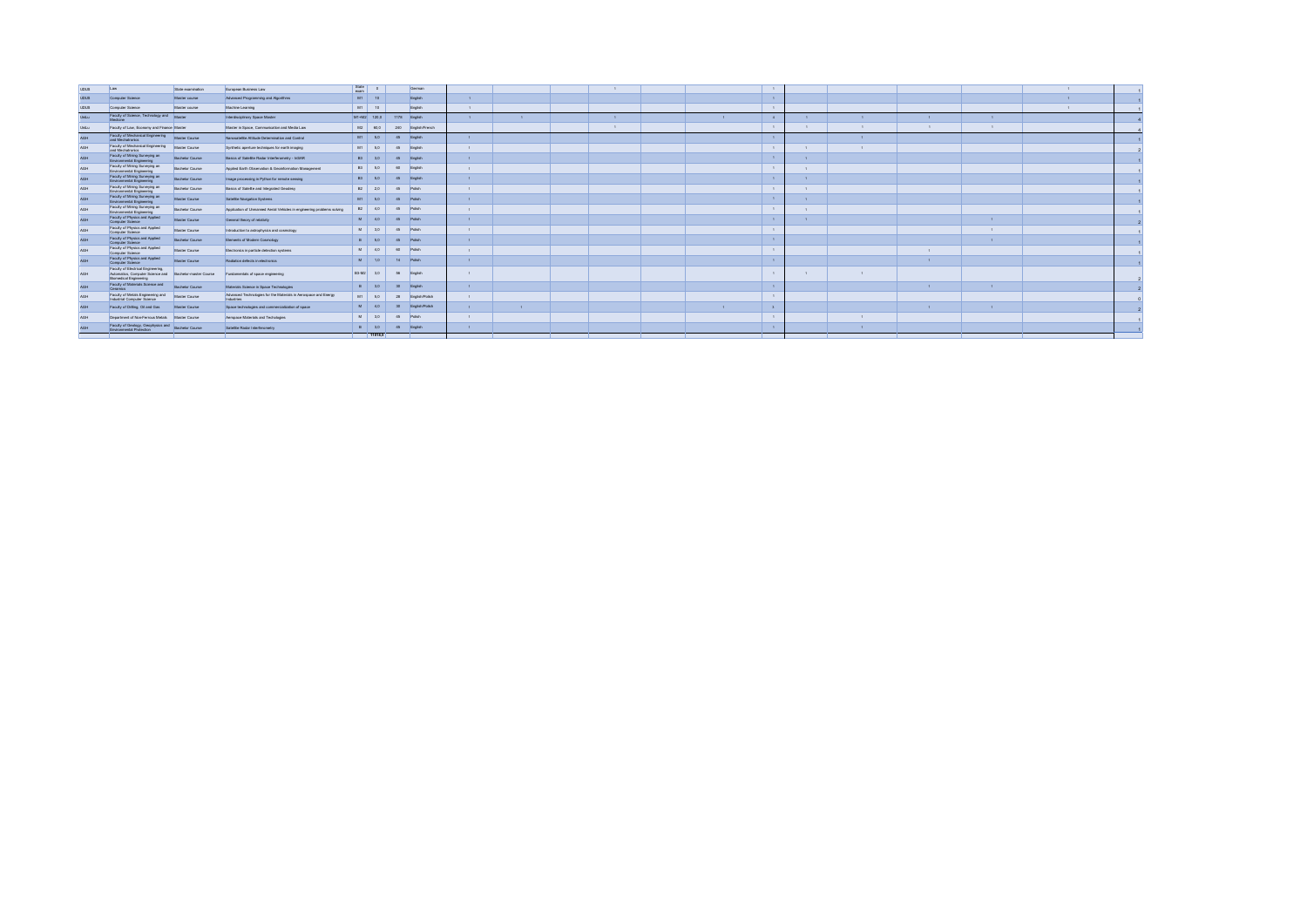| upus          | Law                                                                                                                            | State examination      | European Business Law                                                         | State<br>exam |             |                 | German             |                |              |  |              |              |              |              |              |  |
|---------------|--------------------------------------------------------------------------------------------------------------------------------|------------------------|-------------------------------------------------------------------------------|---------------|-------------|-----------------|--------------------|----------------|--------------|--|--------------|--------------|--------------|--------------|--------------|--|
| <b>UDUS</b>   | Computer Science                                                                                                               | Master course          | Advanced Programming and Algorithms                                           | M1            | 10          |                 | English            |                |              |  |              | $\mathbf{A}$ |              |              |              |  |
| upus          | Computer Science                                                                                                               | Master course          | Machine Learning                                                              | M1 10         |             |                 | English            |                |              |  |              | $\sim$       |              |              |              |  |
| <b>Unitu</b>  | Faculty of Science, Technology and Master<br>Medicine                                                                          |                        | Interdisciplinary Space Master                                                |               | M1+M2 120,0 | 1178 English    |                    | $\sim$         | $\mathbf{r}$ |  | $\mathbf{A}$ | $\sim$       | $\mathbf{A}$ | $\mathbf{A}$ | $\mathbf{I}$ |  |
| <b>Unit</b> u | Faculty of Law, Economy and Finance Master                                                                                     |                        | Master in Space, Communication and Media Law                                  | $M2$ 60,0     |             |                 | 240 English/French |                |              |  |              |              |              |              | $\mathbf{I}$ |  |
| AGH           | Faculty of Mechanical Engineering<br>and Mechatronics                                                                          | Master Course          | Nanosatelite Attitude Determination and Control                               |               | M1 5,0      |                 | 45 English         | $\overline{1}$ |              |  |              | $\mathbf{1}$ |              |              |              |  |
| AGH           | Faculty of Mechanical Engineering<br>and Mechatronics                                                                          | Master Course          | Synthetic aperture techniques for earth imaging                               |               | M1 5,0      |                 | 45 English         | $\mathbf{a}$   |              |  |              | $\mathbf{1}$ |              |              |              |  |
| AGH           | Faculty of Mining Surveying an<br>Environmental Engineering                                                                    | <b>Bachelor Course</b> | Basics of Satelite Redar Interferometry - InSAR                               |               | B3 3,0      |                 | 45 English         | $\overline{1}$ |              |  |              |              | ٠            |              |              |  |
| AGH           | Faculty of Mining Surveying an<br>Environmental Engineering                                                                    | Bachelor Course        | Applied Earth Observation & Geoinformation Management                         |               | B3 5,0      | 60              | English            | $\overline{1}$ |              |  |              | $\mathbf{1}$ | $\sim$       |              |              |  |
| <b>AGH</b>    | Faculty of Mining Surveying an<br>Environmental Engineering                                                                    | Bachelor Course        | Image processing in Python for remote sensing                                 |               | B3 5,0      | 45              | English            | $\mathbf{A}$   |              |  |              |              | ٠            |              |              |  |
| AGH           | Faculty of Mining Surveying an<br>Environmental Engineering                                                                    | <b>Bachelor Course</b> | Basics of Satellte and Integrated Geodesy                                     |               | B2 2,0      |                 | 45 Polish          | $\blacksquare$ |              |  |              |              | ×.           |              |              |  |
| AGH           | Faculty of Mining Surveying an<br>Environmental Engineering                                                                    | Master Course          | Satelite Navigation Systems                                                   |               | M1 5,0      |                 | 45 Polish          | $\mathbf{A}$   |              |  |              |              | ٠            |              |              |  |
| AGH           | Faculty of Mining Surveying an<br>Environmental Engineering                                                                    | Bachelor Course        | Application of Urmanned Aerial Vehicles in engineering problems solving       |               | B2 4,0      |                 | 45 Polish          | $\overline{1}$ |              |  |              |              |              |              |              |  |
| AGH           | Faculty of Physics and Applied<br>Computer Science                                                                             | Master Course          | General theory of relativity                                                  |               | $M$ 4,0     |                 | 45 Polish          | $\mathbf{1}$   |              |  |              |              | ٠            |              | $\sim$       |  |
| AGH           | Faculty of Physics and Applied<br>Computer Science                                                                             | Master Course          | Introduction to astrophysics and cosmology                                    |               | $M$ 3,0     |                 | 45 Polish          | $\mathbf{a}$   |              |  |              | $\mathbf{A}$ |              |              | $\sim$       |  |
| AGH           | Faculty of Physics and Applied<br>Computer Science                                                                             | <b>Bachelor Course</b> | Elements of Modern Cosmology                                                  |               | B 5,0       |                 | 45 Polish          | $\overline{1}$ |              |  |              | $\mathbf{A}$ |              |              | $\sim$       |  |
| AGH           | Faculty of Physics and Applied<br>Computer Science                                                                             | Master Course          | Electronics in particle detection systems                                     | M             | 4,0         | 60              | Polish             | $\mathbf{a}$   |              |  |              | $\mathbf{A}$ |              |              |              |  |
| AGH           | Faculty of Physics and Applied<br>Computer Science                                                                             | Master Course          | Radiation defects in electronics                                              |               | M 1,0       | 14              | Polish             | $\mathbf{A}$   |              |  |              | $\mathbf{A}$ |              |              |              |  |
| AGH           | Faculty of Electrical Engineering,<br>Automatics, Computer Science and Bachelor-master Course<br><b>Biomedical Engineering</b> |                        | Fundamentals of space engineering                                             | B3-M2 3,0     |             | 56              | English            | $\overline{1}$ |              |  |              |              |              |              |              |  |
| <b>AGH</b>    | Faculty of Materials Science and<br>Ceramics                                                                                   | <b>Bachelor Course</b> | Materials Science in Space Technologies                                       |               | B 3,0       | 30 <sub>1</sub> | English            | $\mathbf{A}$   |              |  |              | $\mathbf{A}$ |              |              | $\mathbf{A}$ |  |
| AGH           | Faculty of Metals Engineering and<br>Industrial Computer Science                                                               | Master Course          | Advanced Technologies for the Materials in Aerospace and Energy<br>Industries |               | M1 5,0      | 28              | English/Polish     | $\mathbf{A}$   |              |  |              | $\mathbf{A}$ |              |              |              |  |
| AGH           | Faculty of Drilling, Oil and Gas                                                                                               | Master Course          | Space technologies and commercialization of space                             |               | $M$ 4,0     |                 | English/Polish     | $\mathbf{A}$   |              |  | $\sim$       |              |              |              | $\sim$       |  |
| <b>AGH</b>    | Department of Non-Ferrous Metals Master Course                                                                                 |                        | Aerspace Materials and Techologies                                            |               | $M$ 3,0     | 45              | Polish             | $\mathbf{B}$   |              |  |              | $\mathbf{A}$ |              |              |              |  |
|               | Faculty of Geology, Geophysics and Bachelor Course<br>Environmental Protection                                                 |                        | Satelite Radar Interferometry                                                 |               | B 3,0       | 45              | English            | $\mathbf{A}$   |              |  |              |              |              |              |              |  |
|               |                                                                                                                                |                        |                                                                               |               | 11018.5     |                 |                    |                |              |  |              |              |              |              |              |  |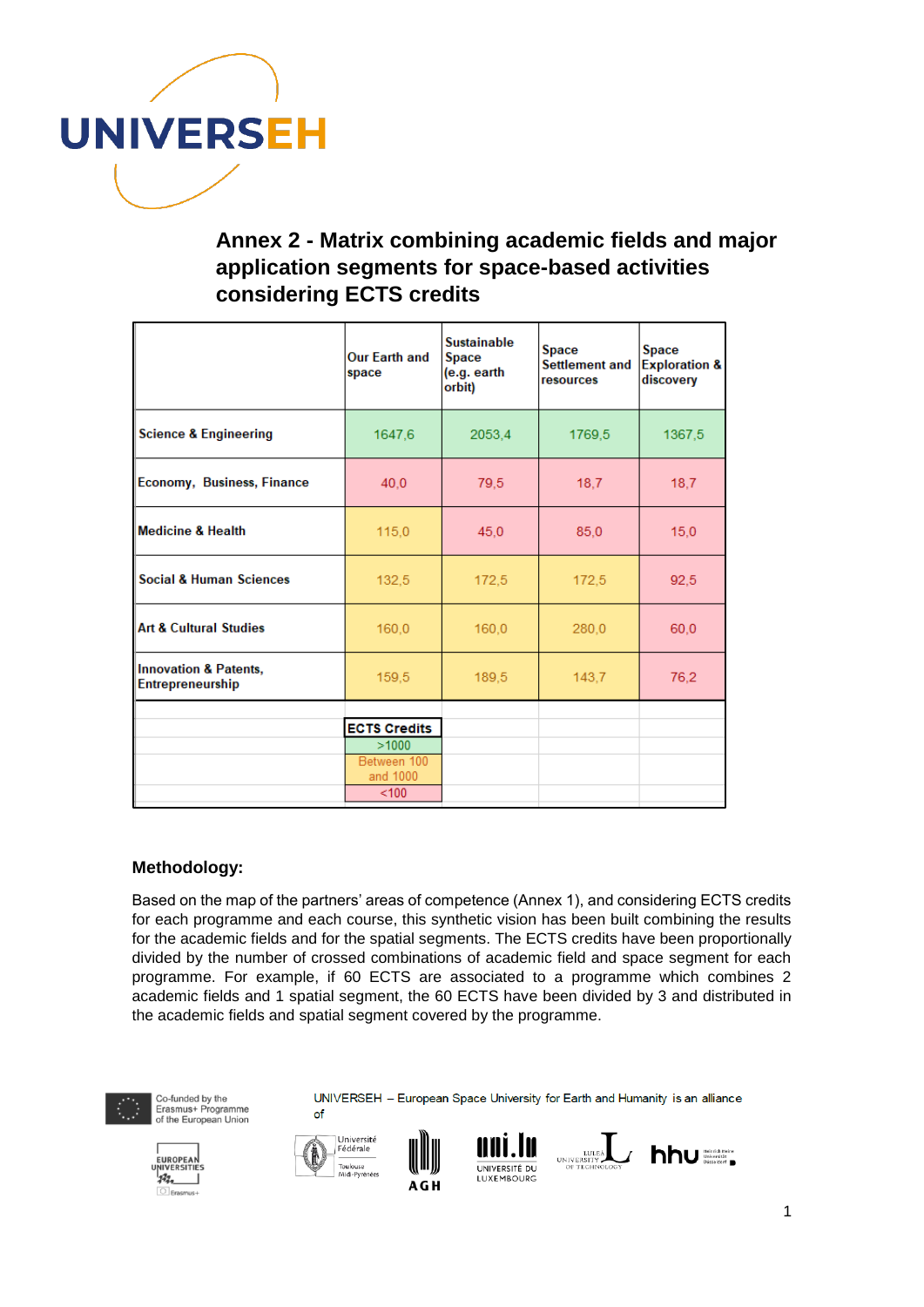

## **Annex 2 - Matrix combining academic fields and major application segments for space-based activities considering ECTS credits**

|                                                             | <b>Our Earth and</b><br>space | <b>Sustainable</b><br>Space<br>(e.g. earth<br>orbit) | <b>Space</b><br>Settlement and<br>resources | <b>Space</b><br><b>Exploration &amp;</b><br>discovery |
|-------------------------------------------------------------|-------------------------------|------------------------------------------------------|---------------------------------------------|-------------------------------------------------------|
| <b>Science &amp; Engineering</b>                            | 1647,6                        | 2053.4                                               | 1769,5                                      | 1367,5                                                |
| <b>Economy, Business, Finance</b>                           | 40,0                          | 79,5                                                 | 18,7                                        | 18,7                                                  |
| <b>Medicine &amp; Health</b>                                | 115,0                         | 45,0                                                 | 85.0                                        | 15,0                                                  |
| <b>Social &amp; Human Sciences</b>                          | 132,5                         | 172,5                                                | 172,5                                       | 92,5                                                  |
| <b>Art &amp; Cultural Studies</b>                           | 160,0                         | 160,0                                                | 280,0                                       | 60,0                                                  |
| <b>Innovation &amp; Patents,</b><br><b>Entrepreneurship</b> | 159,5                         | 189,5                                                | 143,7                                       | 76,2                                                  |
|                                                             | <b>ECTS Credits</b>           |                                                      |                                             |                                                       |
|                                                             | >1000                         |                                                      |                                             |                                                       |
|                                                             | Between 100<br>and 1000       |                                                      |                                             |                                                       |
|                                                             | < 100                         |                                                      |                                             |                                                       |

#### **Methodology:**

Based on the map of the partners' areas of competence (Annex 1), and considering ECTS credits for each programme and each course, this synthetic vision has been built combining the results for the academic fields and for the spatial segments. The ECTS credits have been proportionally divided by the number of crossed combinations of academic field and space segment for each programme. For example, if 60 ECTS are associated to a programme which combines 2 academic fields and 1 spatial segment, the 60 ECTS have been divided by 3 and distributed in the academic fields and spatial segment covered by the programme.



Co-funded by the Erasmus+ Programme<br>of the European Union









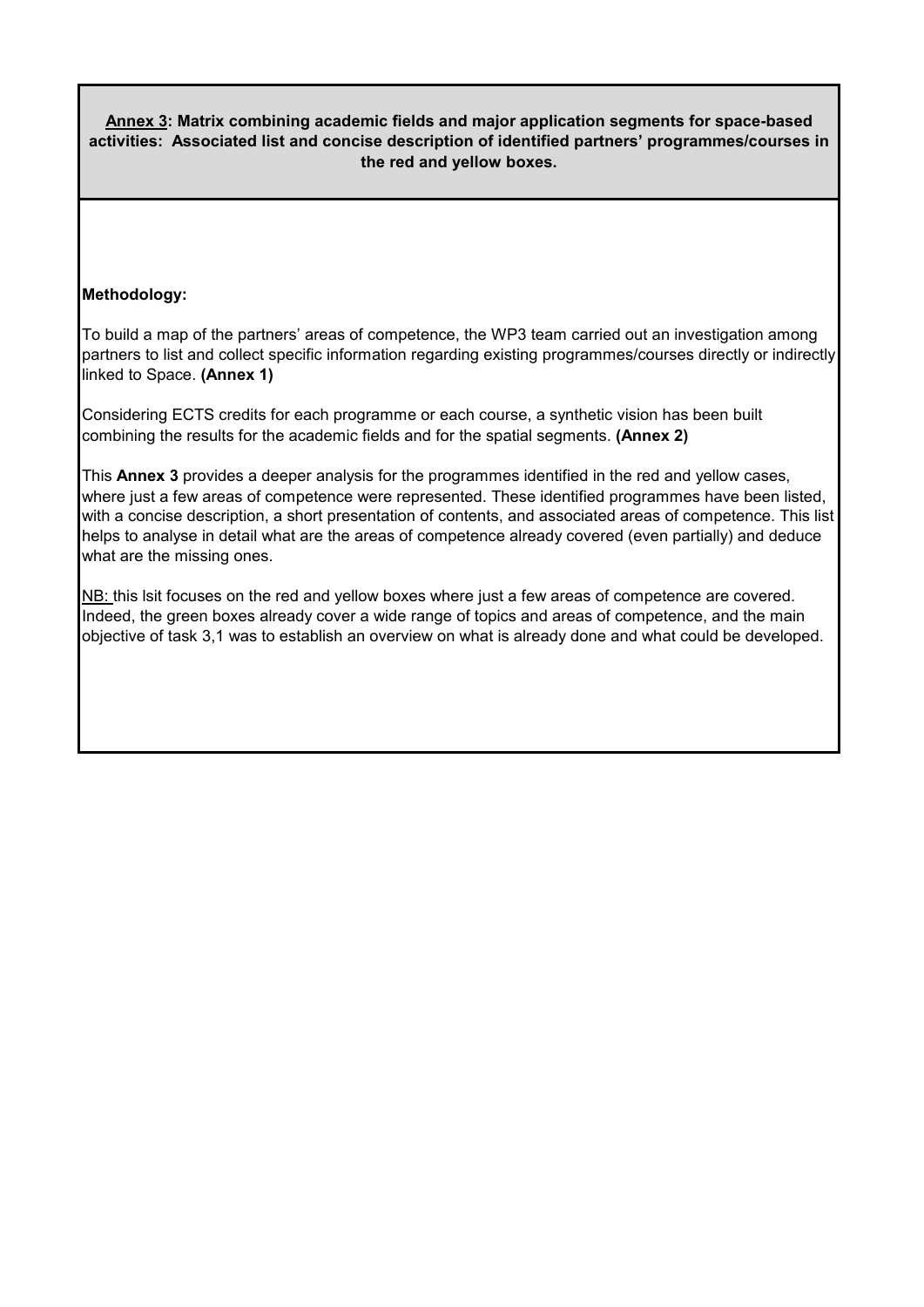**Annex 3: Matrix combining academic fields and major application segments for space-based activities: Associated list and concise description of identified partners' programmes/courses in the red and yellow boxes.**

#### **Methodology:**

To build a map of the partners' areas of competence, the WP3 team carried out an investigation among partners to list and collect specific information regarding existing programmes/courses directly or indirectly linked to Space. **(Annex 1)**

Considering ECTS credits for each programme or each course, a synthetic vision has been built combining the results for the academic fields and for the spatial segments. **(Annex 2)**

This **Annex 3** provides a deeper analysis for the programmes identified in the red and yellow cases, where just a few areas of competence were represented. These identified programmes have been listed, with a concise description, a short presentation of contents, and associated areas of competence. This list helps to analyse in detail what are the areas of competence already covered (even partially) and deduce what are the missing ones.

NB: this lsit focuses on the red and yellow boxes where just a few areas of competence are covered. Indeed, the green boxes already cover a wide range of topics and areas of competence, and the main objective of task 3,1 was to establish an overview on what is already done and what could be developed.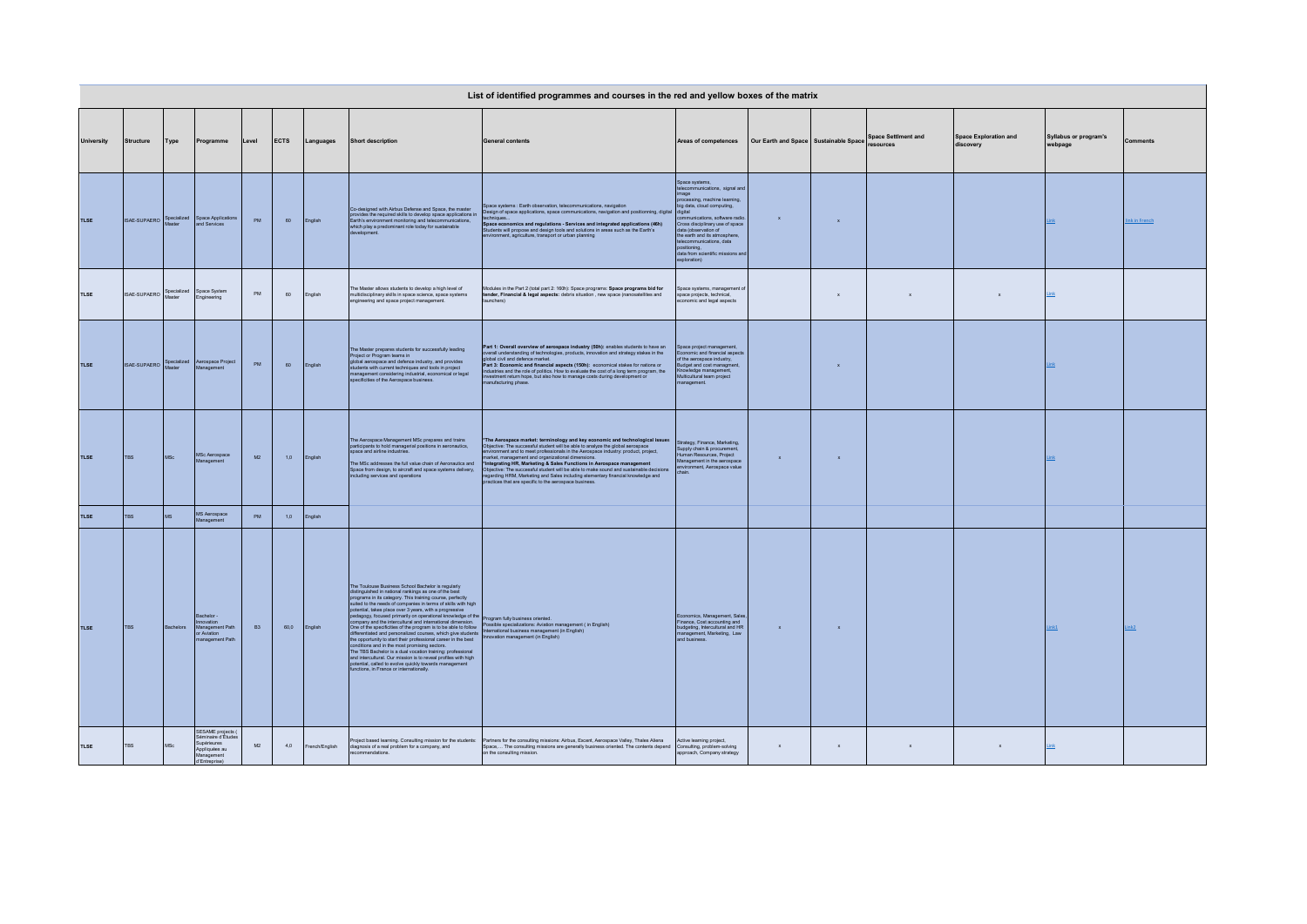|                   |                          |                       |                                                                                                        |            |             |               |                                                                                                                                                                                                                                                                                                                                                                                                                                                                                                                                                                                                                                                                                                          | List of identified programmes and courses in the red and yellow boxes of the matrix                                                                                                                                                                                                                                                                                                                                                                                                                                                        |                                                                                                                                                                                                                                                                                                                                                                   |                                       |                |                                         |                                           |                                         |                 |
|-------------------|--------------------------|-----------------------|--------------------------------------------------------------------------------------------------------|------------|-------------|---------------|----------------------------------------------------------------------------------------------------------------------------------------------------------------------------------------------------------------------------------------------------------------------------------------------------------------------------------------------------------------------------------------------------------------------------------------------------------------------------------------------------------------------------------------------------------------------------------------------------------------------------------------------------------------------------------------------------------|--------------------------------------------------------------------------------------------------------------------------------------------------------------------------------------------------------------------------------------------------------------------------------------------------------------------------------------------------------------------------------------------------------------------------------------------------------------------------------------------------------------------------------------------|-------------------------------------------------------------------------------------------------------------------------------------------------------------------------------------------------------------------------------------------------------------------------------------------------------------------------------------------------------------------|---------------------------------------|----------------|-----------------------------------------|-------------------------------------------|-----------------------------------------|-----------------|
| <b>University</b> | Structure                | Type                  | Programme                                                                                              | Level      | <b>ECTS</b> | Languages     | <b>Short description</b>                                                                                                                                                                                                                                                                                                                                                                                                                                                                                                                                                                                                                                                                                 | <b>General contents</b>                                                                                                                                                                                                                                                                                                                                                                                                                                                                                                                    | Areas of competences                                                                                                                                                                                                                                                                                                                                              | Our Earth and Space Sustainable Space |                | <b>Space Settiment and</b><br>resources | <b>Space Exploration and</b><br>discovery | <b>Syllabus or program's</b><br>webpage | <b>Comments</b> |
| <b>TLSE</b>       | ISAF-SUPAFRO             | Specialized           | Space Applications<br>and Services                                                                     | PM         | 60          | English       | Co-designed with Airbus Defense and Space, the master<br>provides the required skills to develop space applications in<br>Earth's environment monitoring and telecommunications,<br>which play a predominant role today for sustainable                                                                                                                                                                                                                                                                                                                                                                                                                                                                  | Space systems : Earth observation, telecommunications, navigation<br>Design of space applications, space communications, navigation and positionning, digital<br>techniques<br>Space economics and regulations - Services and integrated applications (46h)<br>Students will propose and design tools and solutions in areas such as the Earth's<br>nvironment, agriculture, transport or urban planning                                                                                                                                   | Space systems.<br>telecommunications, signal and<br>image<br>processing, machine learning,<br>big data, cloud computing,<br>digital<br>nmunications, software radio.<br>Cross disciplinary use of space<br>data (observation of<br>the earth and its atmosphere,<br>telecommunications, data<br>positioning.<br>data from scientific missions and<br>exploration) | $\mathbf{x}$                          | $\mathbf{x}$   |                                         |                                           | .ink                                    | ink in French   |
| TLSE              | <b>ISAE-SUPAERO</b>      | Specialized<br>Master | Space System<br>Engineering                                                                            | PM         | 60          | English       | The Master allows students to develop a high level of<br>multidisciplinary skills in space science, space systems<br>engineering and space project management.                                                                                                                                                                                                                                                                                                                                                                                                                                                                                                                                           | Modules in the Part 2 (total part 2: 160h): Space programs: Space programs bid for<br>tender, Financial & legal aspects: debris situation, new space (nanosatellites and<br>aunchers)                                                                                                                                                                                                                                                                                                                                                      | Space systems, management of<br>space projects, technical,<br>economic and legal aspects                                                                                                                                                                                                                                                                          |                                       | $\mathbf{x}$   | $\mathbf{x}$                            | $\mathbf x$                               | Link                                    |                 |
| <b>TLSE</b>       | ISAE-SUPAERO Specialized |                       | Aerospace Project<br>Management                                                                        | ${\sf PM}$ | 60          | English       | The Master prepares students for successfully leading<br>Project or Program teams in<br>global aerospace and defence industry, and provides<br>students with current techniques and tools in project<br>management considering industrial, economical or legal<br>specificities of the Aerospace business.                                                                                                                                                                                                                                                                                                                                                                                               | Part 1: Overall overview of aerospace industry (50h): enables students to have an overall understanding of technologies, products, innovation and strategy stakes in the golden in the<br>good uninum consumer financial aspects (150h): economical stakes for nations or<br>industries and the role of politics. How to evaluate the cost of a long term program, the<br>investment return hope, but also how to manage costs<br>nanufacturing phase.                                                                                     | Space project management,<br>Economic and financial aspects<br>of the aerospace industry,<br>Budget and cost managment,<br>Knowledge management,<br>Multicultural team project<br>nanagement.                                                                                                                                                                     |                                       | $\mathbf{x}$   |                                         |                                           | .ink                                    |                 |
| <b>TLSE</b>       | <b>TBS</b>               | <b>MSc</b>            | <b>MSc Aerospace</b><br>Management                                                                     | M2         | 1,0         | English       | The Aerospace Management MSc prepares and trains<br>participants to hold managerial positions in aeronautics,<br>space and airline industries.<br>The MSc addresses the full value chain of Aeronautics and<br>Space from design, to aircraft and space systems delivery,<br>ncluding services and operations                                                                                                                                                                                                                                                                                                                                                                                            | *The Aerospace market: terminology and key economic and technological issues<br>Objective: The successful student will be able to analyze the global aerospace<br>environment and to meet professionals in the Aerospace industry: product, project,<br>arket, management and organizational dimensions.<br>muncu, munagement and was mathematically and the Finders and Schedule This present of Chiefders. The successful student will be able to make sound and sustainable decisions regarding PHRM, Marketing at State in the able to | Strategy, Finance, Marketing,<br>Supply chain & procurement<br>Human Resources, Project<br>Management in the aerospace<br>rironment, Aerospace value<br>chair                                                                                                                                                                                                     | $\mathbf x$                           | $\mathbf{x}$   |                                         |                                           | .ink                                    |                 |
| <b>TLSE</b>       | <b>TBS</b>               | MS                    | MS Aerospace<br>Management                                                                             | PM         | 1,0         | English       |                                                                                                                                                                                                                                                                                                                                                                                                                                                                                                                                                                                                                                                                                                          |                                                                                                                                                                                                                                                                                                                                                                                                                                                                                                                                            |                                                                                                                                                                                                                                                                                                                                                                   |                                       |                |                                         |                                           |                                         |                 |
| <b>TLSE</b>       | <b>TBS</b>               | Bachelors             | Bachelor -<br>Innovation<br>Management Path<br>or Aviation<br>management Path                          | <b>B3</b>  | 60.0        | English       | The Toulouse Business School Bachelor is regularly<br>distinguished in national rankings as one of the best<br>programs in its category. This training course, perfectly<br>suited to the needs of companies in terms of skills with high<br>potential, takes place over 3 years, with a progressive<br>potential, takes place over 3 years, with a progressive<br>popy, focused primarily on operational knowledge<br>onditions and in the most promising sectors.<br>The TBS Bachelor is a dual vocation training: professional<br>and intercultural. Our mission is to reveal profiles with high<br>potential, called to evolve quickly towards management<br>unctions, in France or internationally. | compagn sources primality on operational knowledge of the program fully business oriented.<br>Company and the intercultural and international dimensions (Possible specializations Aviaton management (in English)<br>Californizatio                                                                                                                                                                                                                                                                                                       | Economics, Management, Sales,<br>Finance, Cost accounting and<br>budgeting, Intercultural and HR<br>management, Marketing, Law<br>and business.                                                                                                                                                                                                                   | $\mathbf{x}$                          | $\mathbf{x}$   |                                         |                                           | ink1                                    | ink2            |
| TLSE              | TBS                      | MSc                   | SESAME projects (<br>Séminaire d'Études<br>Supérieures<br>Appliquées au<br>Management<br>d'Entreprise) | M2         | 4,0         | rench/English | diagnosis of a real problem for a company, and<br>endations.                                                                                                                                                                                                                                                                                                                                                                                                                                                                                                                                                                                                                                             | Project based learning, Consulting mission for the students: Partners for the consulting missions: Airbus, Excent, Aerospace Valley, Thales Aliena<br>Space, The consulting missions are generally business oriented. The contents depend<br>on the consulting mission.                                                                                                                                                                                                                                                                    | Active learning project,<br>Consulting, problem-solving<br>approach, Company strategy                                                                                                                                                                                                                                                                             | $\mathbf x$                           | $\mathbf{x}$ . | $\mathbf{x}$                            | $\mathbf{x}$                              | Link                                    |                 |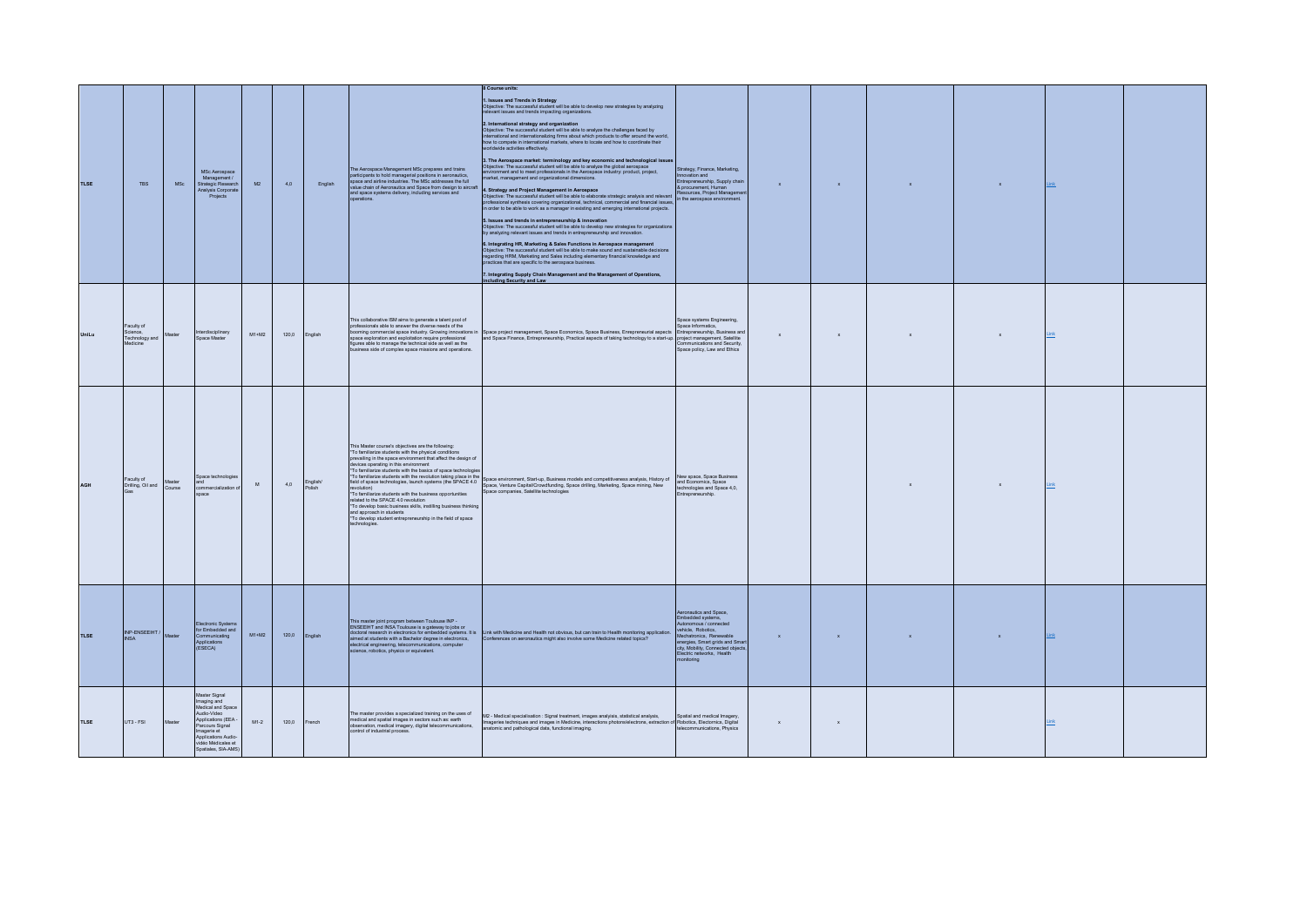| <b>TLSE</b> | <b>TRS</b>                                           | MSc.             | MSc Aerospace<br>Management /<br>Strategic Research<br>Analysis Corporate<br>Projects                                                                                                         | M2      | 40    | English            | The Aerospace Management MSc prepares and trains<br>participants to hold managerial positions in aeronautics,<br>space and airline industries. The MSc addresses the full<br>value chain of Aeronautics and Space from design to aircraft<br>and space systems delivery, including services and<br>coerations                                                                                                                                                                                               | 8 Course units:<br>1. Issues and Trends in Strategy<br>Objective: The successful student will be able to develop new strategies by analyzing<br>relevant issues and trends impacting organizations.<br>2. International strategy and organization<br>Objective: The successful sludent will be able to analyze the challenges faced by<br>International and internationalizing firms about which products to offer around the world,<br>how to compete in international markets, where to locate and how to coordinate their<br>worldwide activities effectively.<br>3. The Aerospace market: terminology and key economic and technological issues<br>Objective: The successful student will be able to analyze the global aerospace<br>environment and to meet professionals in the Aerospace industry:<br>market, management and organizational dimensions.<br>4. Strategy and Project Management in Aerospace<br>Objective: The successful student will be able to elaborate strategic analysis and relevant Resources, Project Manageme<br>professional synthesis covering organizational, techni<br>5. Issues and trends in entrepreneurship & innovation<br>Objective: The successful student will be able to develop new strategies for organizations<br>by analyzing relevant issues and trends in entrepreneurship and innovation.<br>6. Integrating HR, Marketing & Sales Functions in Aerospace management<br>Objective: The successful student will be able to make sound and sustainable decisions<br>regarding HRM, Marketing and Sales including elementary financia<br>actices that are specific to the aerospace business.<br>7. Integrating Supply Chain Management and the Management of Operations,<br>cluding Security and Law | Strategy, Finance, Marketing,<br>Innovation and<br>Entrepreneurship, Supply chain<br>& procurement, Human                                                                                                                            | $\mathbf{x}$ | $\mathbf{x}$ | $\mathbf{x}$ | $\mathbf{x}$ | Link |  |
|-------------|------------------------------------------------------|------------------|-----------------------------------------------------------------------------------------------------------------------------------------------------------------------------------------------|---------|-------|--------------------|-------------------------------------------------------------------------------------------------------------------------------------------------------------------------------------------------------------------------------------------------------------------------------------------------------------------------------------------------------------------------------------------------------------------------------------------------------------------------------------------------------------|------------------------------------------------------------------------------------------------------------------------------------------------------------------------------------------------------------------------------------------------------------------------------------------------------------------------------------------------------------------------------------------------------------------------------------------------------------------------------------------------------------------------------------------------------------------------------------------------------------------------------------------------------------------------------------------------------------------------------------------------------------------------------------------------------------------------------------------------------------------------------------------------------------------------------------------------------------------------------------------------------------------------------------------------------------------------------------------------------------------------------------------------------------------------------------------------------------------------------------------------------------------------------------------------------------------------------------------------------------------------------------------------------------------------------------------------------------------------------------------------------------------------------------------------------------------------------------------------------------------------------------------------------------------------------------------------------------------------------------------------------|--------------------------------------------------------------------------------------------------------------------------------------------------------------------------------------------------------------------------------------|--------------|--------------|--------------|--------------|------|--|
| UniLu       | Faculty of<br>Science,<br>Technology and<br>Medicine | Master           | Interdisciplinary<br>Space Master                                                                                                                                                             | $M1+M2$ | 1200  | English            | This collaborative ISM aims to generate a talent pool of<br>professionals able to answer the diverse needs of the<br>space exploration and exploitation require professional<br>figures able to manage the technical side as well as the<br>business side of complex space missions and operations.                                                                                                                                                                                                         | booming commercial space industry. Growing innovations in Space project management, Space Economics, Space Business, Enrepreneurial aspects Entrepreneurship, Business and<br>and Space Finance, Entrepreneurship, Practical aspects of taking technology to a start-up. project management, Satellite                                                                                                                                                                                                                                                                                                                                                                                                                                                                                                                                                                                                                                                                                                                                                                                                                                                                                                                                                                                                                                                                                                                                                                                                                                                                                                                                                                                                                                               | Space systems Engineering,<br>Space Informatics,<br>Communications and Security.<br>Space policy Law and Ethics                                                                                                                      | $\mathbf{x}$ | $\mathbf{x}$ | $\mathbf{x}$ | $\mathbf{x}$ | Link |  |
| <b>AGH</b>  | Faculty of<br>Drilling, Oil and<br>Gas               | Master<br>Course | Space technologies<br>and<br>commercialization<br>space                                                                                                                                       | M       | 4.0   | English/<br>Polish | This Master course's objectives are the following:<br>*To familiarize students with the physical conditions<br>prevailing in the space environment that affect the design of<br>devices operating in this environment<br>*To familiarize students with the basics of space technologie<br>related to the SPACE 4.0 revolution<br>*To develop basic business skills, instilling business thinking<br>and approach in students<br>*To develop student entrepreneurship in the field of space<br>technologies. | TO Bellisation awayes with the revolution background in the Space environment, Startup, Business models and competitiveness analysis, Hisbory of<br>Testi of space isotrodogies, Darmin systems (the SPACE 4) Space, environment,                                                                                                                                                                                                                                                                                                                                                                                                                                                                                                                                                                                                                                                                                                                                                                                                                                                                                                                                                                                                                                                                                                                                                                                                                                                                                                                                                                                                                                                                                                                    | New space, Space Business<br>and Economics, Space<br>technologies and Space 4,0,<br>Entrepreneurship                                                                                                                                 |              |              | $\mathbf{x}$ | $\mathbf{x}$ | Link |  |
| <b>TLSE</b> | INP-ENSEEIHT /<br><b>INSA</b>                        | Master           | Electronic Systems<br>for Embedded and<br>Communicating<br>Applications<br>(ESECA)                                                                                                            | $M1+M2$ | 120.0 | English            | This master joint program between Toulouse INP -<br>aimed at students with a Bachelor degree in electronics,<br>electrical engineering, telecommunications, computer<br>science, robotics, physics or equivalent.                                                                                                                                                                                                                                                                                           | The matter program constant of the state of the state of the state of the state of the state of the state of the state of the state of the state of the state of the state of the state of the state of the state of the state<br>Conferences on aeronautics might also involve some Medicine related topics?                                                                                                                                                                                                                                                                                                                                                                                                                                                                                                                                                                                                                                                                                                                                                                                                                                                                                                                                                                                                                                                                                                                                                                                                                                                                                                                                                                                                                                        | Aeronautics and Space,<br>Embedded systems,<br>Autonomous / connected<br>vehicle, Robotics,<br>Mechatronics. Renewable<br>energies, Smart grids and Smartisty, Mobility, Connected objects<br>Electric networks, Health<br>onitoring | $\mathbf{x}$ | $\mathbf{x}$ | $\mathbf{x}$ |              |      |  |
| <b>TLSE</b> | UT3 - FSI                                            |                  | Master Signal<br>Imaging and<br>Medical and Space<br>Audio-Video<br>Applications (EEA -<br>Parcours Signal<br>Imagerie et<br>Applications Audio-<br>vidéo Médicales et<br>Spatiales, SIA-AMS) | $M1-2$  | 120,0 | French             | The master provides a specialized training on the uses of<br>medical and spatial images in sectors such as: earth<br>observation, medical imagery, digital telecommunications.<br>control of industrial process.                                                                                                                                                                                                                                                                                            | M2 - Medical specialisation : Signal treatment, images analyisis, statistical analysis,<br>Imageries techniques and images in Medicine, interactions photons/electrons, extraction of Robotics, Electornics, Digital<br>anatomic and pathological data, functional imaging.                                                                                                                                                                                                                                                                                                                                                                                                                                                                                                                                                                                                                                                                                                                                                                                                                                                                                                                                                                                                                                                                                                                                                                                                                                                                                                                                                                                                                                                                          | Spatial and medical Imagery,<br>telecommunications. Physics                                                                                                                                                                          | $\mathbf{x}$ | $\mathbf x$  |              |              |      |  |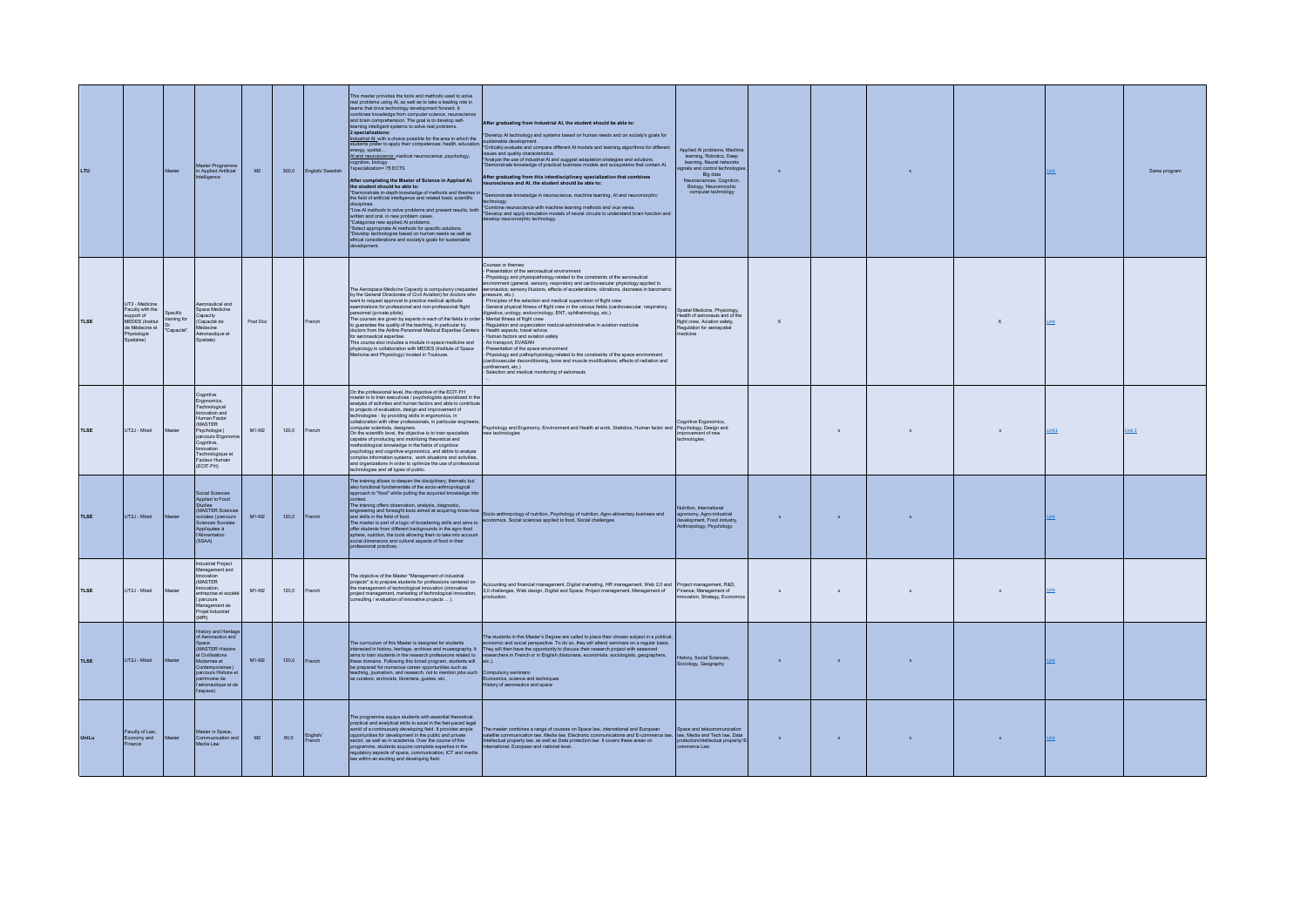| LTU         |                                                                                                                    |                        | Master Programme<br>in Applied Artificial<br>elligence                                                                                                                                                          | M2       |       | 300,0 English/Swedish | This master provides the tools and methods used to solve<br>real problems using AI, as well as to take a leading role in<br>teams that drive technology development forward. It<br>combines knowledge from computer science, neuroscient<br>and brain comprehension. The goal is to develop self-<br>learning intelligent systems to solve real problems.<br>2 specializations:<br>Industrial AL with a choice possible for the area in which the<br>students prefer to apply their competences: health, education<br>nergy, spatial<br>Al and neuroscience: medical neuroscience, psychology,<br>cognition, biology<br>1specialization= 75 ECTS<br>After completing the Master of Science in Applied Al,<br>the student should be able to:<br>*Demonstrate in-depth knowledge of methods and theories in<br>the field of artificial intelligence and related basic scientific<br>lisciplines.<br>*Use AI methods to solve problems and present results, both<br>written and oral, in new problem cases.<br>"Categorize new applied Al problems.<br>*Select appropriate AI methods for specific solutions.<br>*Develop technologies based on human needs as well as<br>ethical considerations and society's goals for sustainable<br>levelopment. | After graduating from Industrial AI, the student should be able to:<br>*Develop AI technology and systems based on human needs and on society's goals for<br>sustainable development.<br>*Critically evaluate and compare different AI models and learning algorithms for different<br>issues and quality characteristics.<br>*Analyze the use of industrial AI and suggest adaptation strategies and solutions.<br>Demonstrate knowledge of practical business models and ecosystems that contain AI.<br>After graduating from this interdisciplinary specialization that combines<br>uroscience and AI, the student should be able to:<br>*Demonstrate knowledge in neuroscience, machine learning, AI and neuromorphic<br>hnology.<br>*Combine neuroscience with machine learning methods and vice versa.<br>*Develop and apply simulation models of neural circuits to understand brain function and<br>welop neuromorphic technology.                                                                                                                                                                  | Applied Al problems, Machine<br>learning, Robotics, Deep<br>learning, Neural networks<br>hals and control technologie<br>Big data<br>Neuros<br>Neurosciences, Cognition,<br>Biology, Neuromorphic<br>computer technology | $\mathbf{x}$ |              |              |                           |       | Same program     |
|-------------|--------------------------------------------------------------------------------------------------------------------|------------------------|-----------------------------------------------------------------------------------------------------------------------------------------------------------------------------------------------------------------|----------|-------|-----------------------|---------------------------------------------------------------------------------------------------------------------------------------------------------------------------------------------------------------------------------------------------------------------------------------------------------------------------------------------------------------------------------------------------------------------------------------------------------------------------------------------------------------------------------------------------------------------------------------------------------------------------------------------------------------------------------------------------------------------------------------------------------------------------------------------------------------------------------------------------------------------------------------------------------------------------------------------------------------------------------------------------------------------------------------------------------------------------------------------------------------------------------------------------------------------------------------------------------------------------------------------------|-------------------------------------------------------------------------------------------------------------------------------------------------------------------------------------------------------------------------------------------------------------------------------------------------------------------------------------------------------------------------------------------------------------------------------------------------------------------------------------------------------------------------------------------------------------------------------------------------------------------------------------------------------------------------------------------------------------------------------------------------------------------------------------------------------------------------------------------------------------------------------------------------------------------------------------------------------------------------------------------------------------------------------------------------------------------------------------------------------------|--------------------------------------------------------------------------------------------------------------------------------------------------------------------------------------------------------------------------|--------------|--------------|--------------|---------------------------|-------|------------------|
| <b>TLSE</b> | UT3 - Medicine<br>Faculty with the<br>support of<br>MEDES (Institut<br>de Médecine et<br>Physiologie<br>Soatiales) | ecific<br>training for | Aeronautical and<br>Space Medicine<br>Capacity<br>Capacité de<br>Médecine<br>Aéronautique et<br>Spatiale)                                                                                                       | Post Doc |       | rench                 | The Aerospace Medicine Capacity is compulsory (requested<br>by the General Directorate of Civil Aviation) for doctors who<br>want to request approval to practice medical aptitude<br>examinations for professional and non-professional flight<br>personnel (private pilots).<br>The courses are given by experts in each of the fields in order<br>to quarantee the quality of the teaching, in particular by<br>ctors from the Airline Personnel Medical Expertise Cent<br>for aeronautical expertise.<br>This course also includes a module in space medicine and<br>physiology in collaboration with MEDES (Institute of Space<br>edicine and Physiology) located in Toulouse.                                                                                                                                                                                                                                                                                                                                                                                                                                                                                                                                                               | Courses or themes:<br>Presentation of the aeronautical environment<br>Physiology and physiopathology related to the constraints of the aeronautical<br>vironment (general, sensory, respiratory and cardiovascular physiology applied to<br>eronautics; sensory illusions, effects of accelerations, vibrations, decrease in barometric<br>pressure, etc.)<br>Principles of the selection and medical supervision of flight crew<br>General physical fitness of flight crew in the various fields (cardiovascular, respiratory,<br>digestive, urology, endocrinology, ENT, ophthalmology, etc.)<br>Mental fitness of flight crew<br>Regulation and organization medical-administrative in aviation medicine<br>Health aspects, travel advice<br>Human factors and aviation safety<br>Air transport, EVASAN<br>Presentation of the space environment<br>Physiology and pathophysiology related to the constraints of the space environment<br>cardiovascular deconditioning, bone and muscle modifications, effects of radiation and<br>confinement, etc.)<br>Selection and medical monitoring of astronauts | Spatial Medicine Physiology<br>Health of astronauts and of the<br>flight crew, Aviation safety,<br>Regulation for aerospatial<br>dicine                                                                                  | $\mathsf{x}$ |              |              | $\boldsymbol{\mathsf{x}}$ |       |                  |
| <b>TLSE</b> | LIT2.L-Mirail                                                                                                      |                        | Cognitive<br>Ergonomics,<br>Technological<br>Innovation and<br><b>Human Factor</b><br>(MASTER<br>Psychologie  <br>parcours Ergon<br>Cognitive,<br>Innovation<br>Technologique et<br>Facteur Humain<br>(ECIT-FH) | 841-842  | 1200  | French                | On the professional level, the objective of the ECIT-FH<br>master is to train executives / psychologists specialized in the<br>analysis of activities and human factors and able to contribute<br>to projects of evaluation, design and improvement of<br>technologies - by providing skills in ergonomics, in<br>collaboration with other professionals, in particular enginee<br>computer scientists, designers<br>On the scientific level, the objective is to train specialists<br>apable of producing and mobilizing theoretical and<br>nethodological knowledge in the fields of cognitive<br>sychology and cognitive ergonomics, and abble to analyze<br>omplex information systems, work situations and activities<br>additional systems with account and account of the set of profer technologies and all types of public.                                                                                                                                                                                                                                                                                                                                                                                                              | Psychology and Ergonomy, Environment and Health at work, Statistics, Human factor and Psychology, Design and<br>new technologies                                                                                                                                                                                                                                                                                                                                                                                                                                                                                                                                                                                                                                                                                                                                                                                                                                                                                                                                                                            | Cognitive Ergonomics,<br>mprovement of new<br>chnologies.                                                                                                                                                                |              | x.           |              |                           | Link1 | ink <sub>2</sub> |
| <b>TLSE</b> | UT2J - Mirail                                                                                                      |                        | Social Sciences<br>Applied to Food<br>Studies<br>(MASTER Science<br>sociales   parcours<br>Sciences Sociale<br>Appliquées à<br>l'Alimentation<br>(SSAA)                                                         | M1-M2    | 120,0 | rench                 | The training allows to deepen the disciplinary, thematic but<br>also functional fundamentals of the socio-anthropological<br>approach to "food" while putting the acquired knowledge in<br>The training offers observation, analysis, diagnostic,<br>engineering and foresight tools aimed at acquiring know-how<br>and skills in the field of food.<br>and skills in the lield of todd.<br>The master is part of a logic of broadening skills and aims to<br>offer students from different backgrounds in the agro-food<br>sphere, nutrition, the tools allowing them to take into account social dimensions and cultural aspects of food in their<br>fessional practices.                                                                                                                                                                                                                                                                                                                                                                                                                                                                                                                                                                       | Socio-anthropology of nutrition, Psychology of nutrition, Agro-alimentary business and<br>economics, Social sciences applied to food, Social challenges                                                                                                                                                                                                                                                                                                                                                                                                                                                                                                                                                                                                                                                                                                                                                                                                                                                                                                                                                     | Nutrition, International<br>agronomy, Agro-industrial<br>elopment, Food industry,<br>ropology, Psychology                                                                                                                | $\mathbf x$  | $\mathbf{x}$ |              |                           |       |                  |
| <b>TLSE</b> | UT2J - Mirail                                                                                                      |                        | Industrial Project<br>Management and<br>Innovation<br>(MASTER<br>nnovation<br>entreprise et sociét<br>parcours<br>Management de<br>Projet Industriel<br>(MPD                                                    | $M1-M2$  | 120.0 | rench                 | The objective of the Master "Management of industrial<br>projects" is to prepare students for professions centered on<br>the management of technological innovation (innovative<br>project management, marketing of technological innovation,<br>consulting / evaluation of innovative projects  ).                                                                                                                                                                                                                                                                                                                                                                                                                                                                                                                                                                                                                                                                                                                                                                                                                                                                                                                                               | Accounting and financial management, Digital marketing, HR management, Web 2,0 and Project management, R&D,<br>3,0 challenges, Web design, Digital and Space, Project management, Management of Finance, Management of<br>production                                                                                                                                                                                                                                                                                                                                                                                                                                                                                                                                                                                                                                                                                                                                                                                                                                                                        | nnovation, Strategy, Economics                                                                                                                                                                                           | $\mathsf x$  | $\mathbf x$  |              |                           |       |                  |
| <b>TLSE</b> | UT2J - Mirail                                                                                                      |                        | <b>History and Heritar</b><br>of Aeronautics and<br>Space<br>(MASTER Histoire<br>et Civilisations<br>Modernes et<br>Contemporaines<br>parcours Histoire e<br>patrimoine de<br>l'aéronautique et de<br>'espace)  | $M1-M2$  | 120,0 | French                | The curriculum of this Master is designed for students<br>interested in history, heritage, archives and museography. It<br>aims to train students in the research professions related to<br>these domains. Following this broad program, students will<br>be prepared for numerous career opportunities such as<br>teaching, journalism, and research, not to mention jobs such<br>s curators, archivists, librarians, guides, etc.                                                                                                                                                                                                                                                                                                                                                                                                                                                                                                                                                                                                                                                                                                                                                                                                               | The students in this Master's Degree are called to place their chosen subject in a political<br>economic and social perspective. To do so, they will attend seminars on a regular basis.<br>They will then have the opportunity to discuss their research project with seasoned<br>research project with seasoned research project with seasoned researchers in French or in English (historians, economists, sociologists, geographers, etc.).<br>Compulsory seminars:<br>Economics, science and techniques<br>History of aeronautics and space                                                                                                                                                                                                                                                                                                                                                                                                                                                                                                                                                            | History, Social Sciences,<br>Sociology, Geography                                                                                                                                                                        | $\mathbf{x}$ | $\mathbf{x}$ |              |                           |       |                  |
| UniLu       | Faculty of Law,<br>Economy and<br>Finance                                                                          |                        | Master in Space<br>Communication and<br>Media Law                                                                                                                                                               | M2       | 60,0  | English/<br>French    | The programme equips students with essential theoretical,<br>vractical and analytical skills to excel in the fast-paced lega<br>world of a continuously developing field. It provides ample<br>opportunities for development in the public and private<br>sector, as well as in academia. Over the course of this<br>programme, students acquire complete expertise in the<br>regulatory aspects of space, communication, ICT and medi-<br>law within an exciting and developing field.                                                                                                                                                                                                                                                                                                                                                                                                                                                                                                                                                                                                                                                                                                                                                           | The master combines a range of courses on Space law, international and European<br>satellite communication law, Media law, Electronic communications and E-commerce law,<br>Intellectual property law, as well as Data protection law. It covers these areas on<br>rnational, European and national level.                                                                                                                                                                                                                                                                                                                                                                                                                                                                                                                                                                                                                                                                                                                                                                                                  | Space and telecommunication<br>law, Media and Tech law, Data<br>protection/intellectual property/ E<br>merce Law                                                                                                         | $\mathbf x$  | $\mathbf{x}$ | $\mathbf{x}$ |                           | Link  |                  |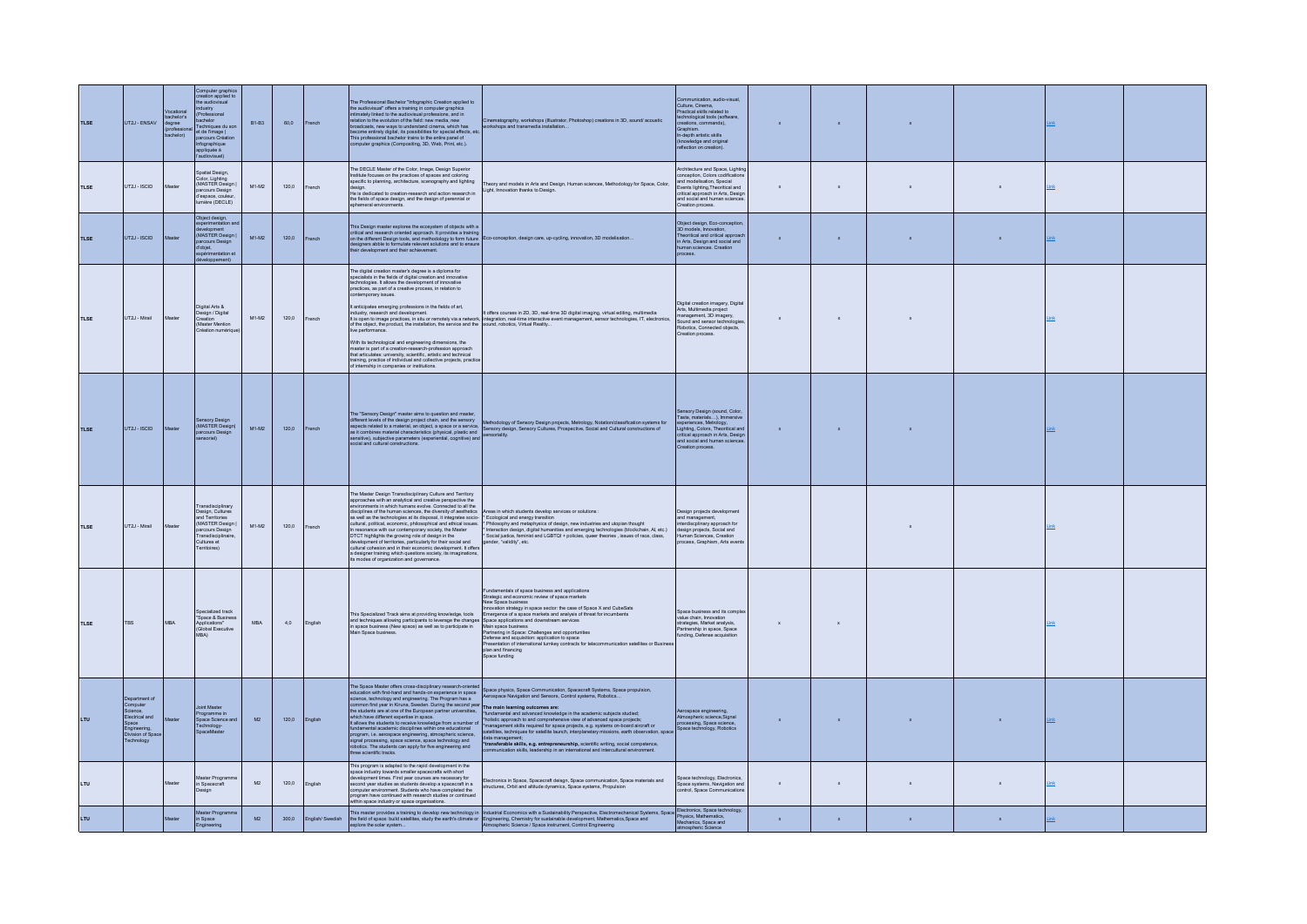| <b>TLSE</b> | UT2J - ENSAV                                                                                                        | ocational<br>achelor's<br>legree<br>chelor) | Computer graphics<br>creation applied to<br>the audiovisual<br><b>Justry</b><br>Professional<br>chelor<br>echniques du sor<br>et de l'image  <br>parcours Créa<br>Infographique<br>appliquée à<br>audiovisuel) | <b>B1-B3</b> | 60,0  | French          | The Professional Bachelor "Infographic Creation annijed to<br>the audiovisual" offers a training in computer graphics<br>intimately linked to the audiovisual professions, and in<br>relation to the evolution of the field: new media, new<br>broadcasts, new ways to understand cinema, which has<br>become entirely digital, its possibilities for special effects, etc.<br>This professional bachelor trains to the entire panel of<br>computer graphics (Compositing, 3D, Web, Print, etc.).                                                                                                                                                                                    | :<br>Inematography, workshops (Illustrator, Photoshop) creations in 3D, sound/acoustic<br>rorkshops and transmedia installation                                                                                                                                                                                                                                                                                                                                                                                                                                                                                                                                                                                         | unication, audio-visual<br>Culture, Cinema,<br>Practical skills related to<br>technological tools (software,<br>creations, commands),<br>Graphism<br>In-depth artistic skills<br>(knowledge and original<br>reflection on creation). |              | $\bar{\mathbf{x}}$        |                           |                           |             |  |
|-------------|---------------------------------------------------------------------------------------------------------------------|---------------------------------------------|----------------------------------------------------------------------------------------------------------------------------------------------------------------------------------------------------------------|--------------|-------|-----------------|--------------------------------------------------------------------------------------------------------------------------------------------------------------------------------------------------------------------------------------------------------------------------------------------------------------------------------------------------------------------------------------------------------------------------------------------------------------------------------------------------------------------------------------------------------------------------------------------------------------------------------------------------------------------------------------|-------------------------------------------------------------------------------------------------------------------------------------------------------------------------------------------------------------------------------------------------------------------------------------------------------------------------------------------------------------------------------------------------------------------------------------------------------------------------------------------------------------------------------------------------------------------------------------------------------------------------------------------------------------------------------------------------------------------------|--------------------------------------------------------------------------------------------------------------------------------------------------------------------------------------------------------------------------------------|--------------|---------------------------|---------------------------|---------------------------|-------------|--|
| <b>TISE</b> | LIT2J - ISCID                                                                                                       | <b>Agota</b>                                | <b>Inatial Design</b><br>Color, Lighting<br>(MASTER Design<br>arcours Desigi<br>d'espace, couleur<br>nière (DECLE)                                                                                             | M1-M2        | 1200  | French          | The DECLE Master of the Color, Image, Design Superior<br>Interaction was certainly interactions in any consumer between the practices of spaces and coloring<br>specific to planning, architecture, scenography and lighting<br>design.<br>He is dedicated to creation-research and action research in<br>the fields of space design, and the design of perennial or<br>hemeral environm                                                                                                                                                                                                                                                                                             | heory and models in Arts and Design, Human sciences, Methodology for Space, Color,<br>Light, Innovation thanks to Design.                                                                                                                                                                                                                                                                                                                                                                                                                                                                                                                                                                                               | Architecture and Space Lighting<br>conception, Colors codification, Colors codification<br><b>Events lighting Theoritical and</b><br>critical approach in Arts, Design<br>and social and human science<br>Creation proces            | $\mathbf{x}$ | $\mathbf{x}$              | $\mathbf{x}$              | $\mathbf{x}$              |             |  |
| <b>TLSE</b> | UT2J - ISCID                                                                                                        |                                             | Object design,<br>(MASTER Design<br>arcours Design<br>.<br>ďobjet,<br>vérimentation<br>doppement                                                                                                               | $M1-M2$      | 120,0 | rench           | This Design master explores the ecosystem of objects with a<br>critical and research oriented approach. It provides a training<br>on the different Design tools, and methodology to form future<br>designers abble to formulate relevant solutions and to ensure<br>their development and their achievement.                                                                                                                                                                                                                                                                                                                                                                         | co-conception, design care, up-cycling, innovation, 3D modelisation                                                                                                                                                                                                                                                                                                                                                                                                                                                                                                                                                                                                                                                     | Object design, Eco-conception,<br>3D models, Innovation,<br>Theoritical and critical approac<br>in Arts, Design and social and<br>human sciences. Creation<br>process.                                                               |              | $\bar{\mathbf{x}}$        | $\boldsymbol{\mathsf{x}}$ | $\bar{\mathbf{x}}$        |             |  |
| <b>TLSE</b> | UT2J - Mirail                                                                                                       |                                             | Digital Arts &<br>Design / Digital<br>Creation<br>Master Mention<br>réation numériqu                                                                                                                           | $M1-M2$      | 120.0 | French          | The digital creation master's degree is a diploma for<br>specialists in the fields of digital creation and innovative<br>technologies. It allows the development of innovative<br>practices, as part of a creative process, in relation to<br>contemporary issues.<br>live performance.<br>With its technological and engineering dimensions, the<br>master is part of a creation-research-profession approach<br>that articulates: university, scientific, artistic and technical<br>training, practice of individual and collective projects, practice of internship in companies or institutions.                                                                                 | 1 anticipate emerging professions in the fields of art.<br>Industry, research and development in the fields of the courses in 2D. 3D, real-time 3D digital imaging, virtual editing, multimedia<br>It is open to map enactions, in s                                                                                                                                                                                                                                                                                                                                                                                                                                                                                    | Digital creation imagery, Digital<br>Arts, Multimedia project<br>management, 3D imagery,<br>Sound and sensor technologies<br>Robotics, Connected objects<br>Creation process.                                                        |              | $\mathbf{x}$ .            |                           |                           |             |  |
| <b>TLSE</b> | UT2J - ISCID                                                                                                        |                                             | (MASTER Design)<br>arcours Desi                                                                                                                                                                                | $M1-M2$      | 120,0 | French          | The "Sensory Design" master aims to question and master,<br>social and cultural constructions.                                                                                                                                                                                                                                                                                                                                                                                                                                                                                                                                                                                       | (effects layer)<br>appear to the design project channel and ansatz and projected projects and projects, Metology, Notaton/dassification systems for<br>appear neided to a material an depet, a space or a service and propry design,                                                                                                                                                                                                                                                                                                                                                                                                                                                                                    | Sensory Design (sound, Color,<br>Taste, materials), Immersive<br>experiences, Metrology,<br>Lighting, Colors, Theoritical and<br>critical approach in Arts, Design<br>and social and human sciences.<br>Creation process.            | $\mathbf x$  | $\mathbf{x}$              | $\mathbf x$               |                           |             |  |
| <b>TLSE</b> | UT2J - Mirail                                                                                                       |                                             | ransdisciplinary<br>Design, Cultures<br>and Territories<br>MASTER Design<br>arcours Desi<br>ransdiscio<br>Cultures et<br>Territoires)                                                                          | M1-M2        | 120,0 | French          | The Master Design Transdisciplinary Culture and Territory<br>approaches with an analytical and creative perspective the<br>environments in which humans evolve. Connected to all the<br>disciplines of the human sciences, the diversity of aesthetics Areas in which students develop services or solutions :<br>In resonance with our contemporary society, the Master<br>DTCT highlights the growing role of design in the<br>development of territories, particularly for their social and<br>cultural cohesion and in their economic development. It offers<br>a designer training which questions society, its imaginations,<br>its modes of organization and gove             | assuperment of the contract service and the contract of the contract service and the contract of service and the contract of service and the contract of service and the contract of the contract of the contract of the contr<br>* Interaction design, digital humanities and emerging technologies (blockchain, AI, etc.)<br>* Social justice, feminist and LGBTQI + policies, queer theories, issues of race, class,<br>gender, "validity", etc.                                                                                                                                                                                                                                                                     | Design projects development<br>and management,<br>interdiscplinary approach for<br>design projects, Social and<br>Human Sciences, Creation<br>process, Graphism, Arts events                                                         |              |                           |                           |                           |             |  |
| TLSE        | TBS                                                                                                                 | <b>MBA</b>                                  | pecialized track<br>"Space & Busines<br>Applications"<br>(Global Executive<br>MRA)                                                                                                                             | <b>MBA</b>   | 4,0   | English         | This Specialized Track aims at providing knowledge, tools<br>and techniques allowing participants to leverage the change<br>in space business (New space) as well as to participate in<br>Main Space business.                                                                                                                                                                                                                                                                                                                                                                                                                                                                       | Fundamentals of space business and applications<br>Strategic and economic review of space markets<br>New Space business<br>wation strategy in space sector: the case of Space X and CubeSats<br>ergence of a space markets and analysis of threat for incumbents<br>Space applications and downstream services<br>Main space business<br>Partnering in Space: Challenges and opportunities<br>Defense and acquisition: application to space<br>Presentation of international turnkey contracts for telecommunication satellites or Busines<br>plan and financing<br>Space funding                                                                                                                                       | Space business and its comple<br>value chain Innovation<br>strategies, Market analysis,<br>Partnership in space, Space<br>funding. Defense acquisition                                                                               |              | $\boldsymbol{\mathsf{x}}$ |                           |                           |             |  |
| LTU.        | Department of<br>Computer<br>Science.<br>Electrical and<br>Space<br>Engineering,<br>Division of Space<br>Technology |                                             | oint Master<br>Programme in<br>Space Science and<br>echnology-<br>baceMa                                                                                                                                       | M2           | 120.0 | English         | The Space Master offers cross-disciplinary research-oriented<br>The Space wasser offers cross-customerative research-commented education with first-hand and hands-on experience in space common first year in this man of common first year in Kiruna, Sweden, During the second year the stu<br>which have different expertise in space.<br>It allows the students to receive knowledge from a number of<br>fundamental academic disciplines within one educational<br>program, i.e. aerospace engineering, atmospheric science,<br>signal processing, space science, space technology and<br>robotics. The students can apply for five engineering and<br>three scientific tracks | Space physics, Space Communication, Spacecraft Systems, Space propulsion,<br>Aerospace Navigation and Sensors, Control systems, Robotics<br>The main learning outcomes are:<br>"fundamental and advanced knowledge in the academic subjects studied;<br>*holistic approach to and comprehensive view of advanced space projects;<br>*management skills required for space projects, e.g. systems on-board aircraft or<br>satellites, techniques for satellite launch, interplanetary mission<br>Satentice, recomposed<br>data management;<br>"transferable skills, e.g. entrepreneurship, scientific writing, social competence,<br>communication skills, leadership in an international and intercultural environment. | Atmospheric science, Signal<br>amospheric science, organiz<br>processing, Space science,<br>Space technology, Robotics                                                                                                               | $\mathbf{x}$ | $\mathbf{x}$              | $\mathbf{x}$              | $\mathbf{x}$              | <b>Link</b> |  |
| LTU         |                                                                                                                     |                                             | sster Progra<br>in Spacecraft<br>lesign                                                                                                                                                                        | M2           | 120,0 | English         | This program is adapted to the rapid development in the<br>space industry towards smaller spacecrafts with short<br>development times. First year courses are necessary for<br>second year studies as students develop a spacecraft in a<br>computer environment. Students who have completed the<br>ogram have continued with research studies or continued<br>thin space industry or space organisations.                                                                                                                                                                                                                                                                          | Electronics in Space, Spacecraft deisgn, Space communication, Space materials and<br>structures. Orbit and altitude dynamics. Space systems. Propulsion                                                                                                                                                                                                                                                                                                                                                                                                                                                                                                                                                                 | Space technology, Electronics<br>Space systems, Navigation and<br>control. Space Communications                                                                                                                                      |              | $\bar{\mathbf{x}}$        | $\boldsymbol{\mathsf{x}}$ | $\boldsymbol{\mathsf{x}}$ | Link        |  |
| LTU.        |                                                                                                                     |                                             | Master Progra<br>in Space<br>eering                                                                                                                                                                            | M2           | 300.0 | English/Swedish |                                                                                                                                                                                                                                                                                                                                                                                                                                                                                                                                                                                                                                                                                      | This master provides a training to develop new technology in   Industrial Economics with a Sustainability Perspective, Electromechanical Systems, Space Boytown, Space Boytown, Space Boytown, Space Boytown, Space and The Ec                                                                                                                                                                                                                                                                                                                                                                                                                                                                                          |                                                                                                                                                                                                                                      |              | $\mathbf{x}$              |                           | $\mathbf{x}$              |             |  |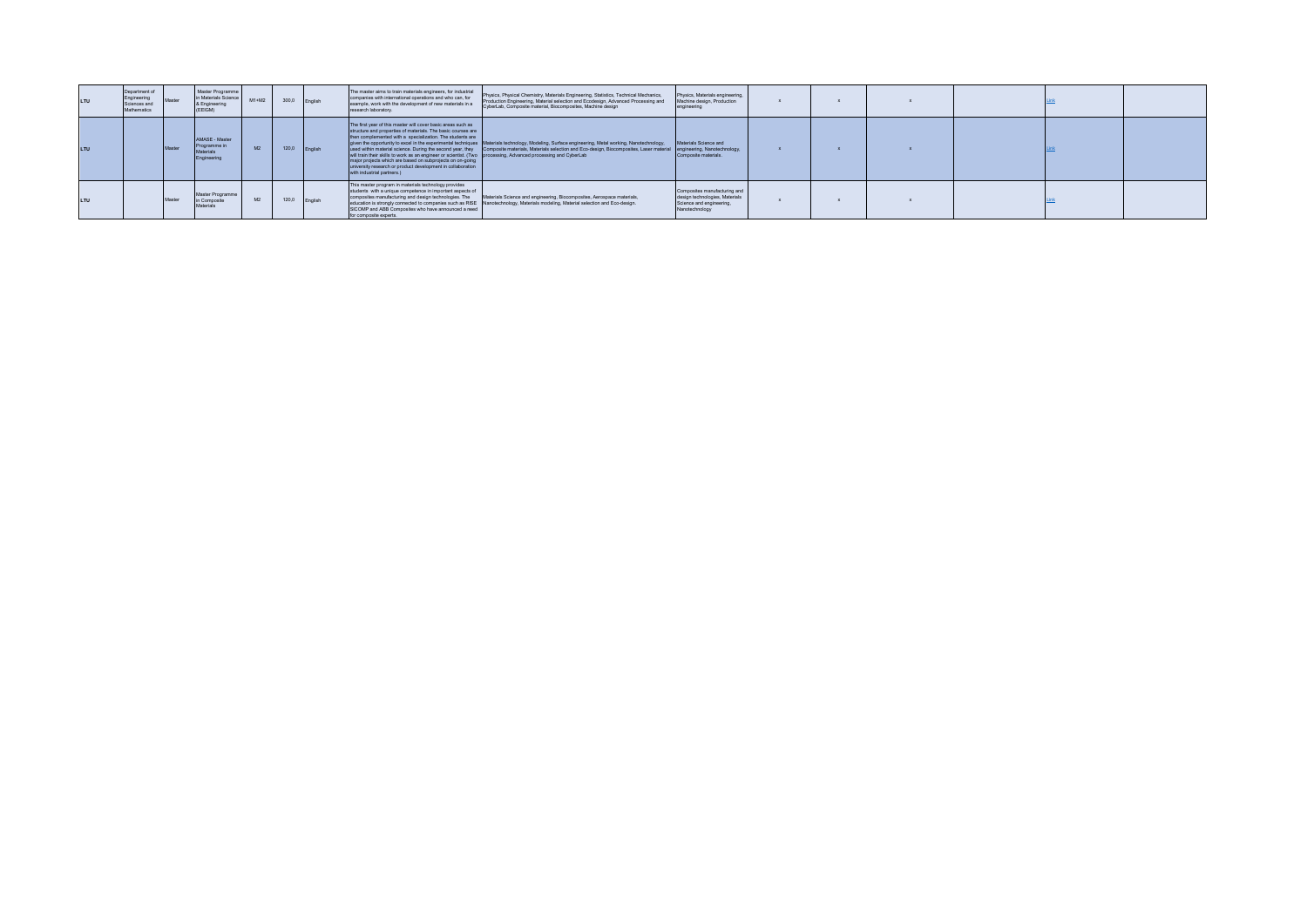|     | Department of<br>Engineering<br>Sciences and<br>Mathematics | Master Programme<br>in Materials Science<br>& Engineering<br>(EEIGM) | $M1+M2$ | 300.0 | English | The master aims to train materials engineers, for industrial<br>companies with international operations and who can, for<br>example, work with the development of new materials in a<br>research laboratory.                                                                                                                                                                                                                                                          | Physics, Physical Chemistry, Materials Engineering, Statistics, Technical Mechanics,<br>Production Engineering, Material selection and Ecodesign, Advanced Processing and<br>CyberLab, Composite material, Biocomposites, Machine design                                                               | Physics, Materials engineering,<br>Machine design, Production<br>engineering                                 |  |  |  |
|-----|-------------------------------------------------------------|----------------------------------------------------------------------|---------|-------|---------|-----------------------------------------------------------------------------------------------------------------------------------------------------------------------------------------------------------------------------------------------------------------------------------------------------------------------------------------------------------------------------------------------------------------------------------------------------------------------|--------------------------------------------------------------------------------------------------------------------------------------------------------------------------------------------------------------------------------------------------------------------------------------------------------|--------------------------------------------------------------------------------------------------------------|--|--|--|
| LTU |                                                             | AMASE - Master<br>Programme in<br>Materials<br>Engineering           | M2      | 120.0 | English | The first year of this master will cover basic areas such as<br>structure and properties of materials. The basic courses are<br>then complemented with a specialization. The students are<br>will train their skills to work as an engineer or scientist. (Two processing, Advanced processing and CyberLab<br>major projects which are based on subprojects on on-going<br>university research or product development in collaboration<br>with industrial partners.) | given the opportunity to excel in the experimental techniques Materials technology, Modeling, Surface engineering, Metal working, Nanotechnology,<br>used within material science. During the second year, they Composite materials, Materials selection and Eco-design, Biocomposites, Laser material | Materials Science and<br>engineering, Nanotechnology.<br>Composite materials.                                |  |  |  |
| LTU |                                                             | Master Programme<br>in Composite<br>Materials                        | M2      | 120.0 | English | This master program in materials technology provides<br>students with a unique competence in important aspects of<br>composites manufacturing and design technologies. The<br>SICOMP and ABB Composites who have announced a need<br>for composite experts.                                                                                                                                                                                                           | Materials Science and engineering, Biocomposites, Aerospace materials,<br>education is strongly connected to companies such as RISE Nanotechnology, Materials modeling, Material selection and Eco-design.                                                                                             | Composites manufacturing and<br>design technologies, Materials<br>Science and engineering,<br>Nanotechnology |  |  |  |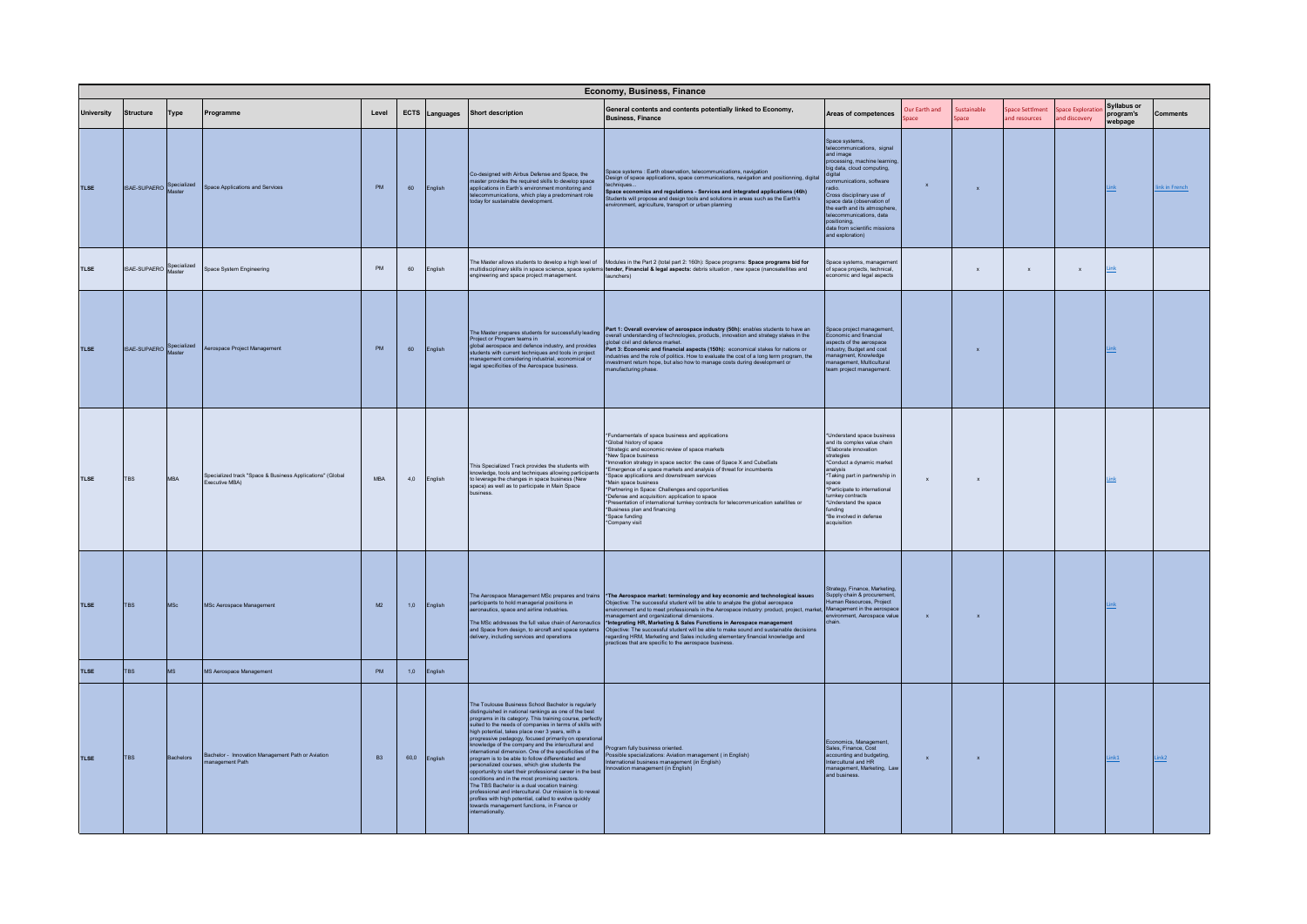|                            |                          |                         |                                                                             |           |             |                    |                                                                                                                                                                                                                                                                                                                                                                                                                                                                                                                                                                                                                                                                                                                                                                                                                                                                                                                              | Economy, Business, Finance                                                                                                                                                                                                                                                                                                                                                                                                                                                                                                                                                                                                                                                                                |                                                                                                                                                                                                                                                                                                                                                            |                      |                           |                                |                                  |                                            |                  |
|----------------------------|--------------------------|-------------------------|-----------------------------------------------------------------------------|-----------|-------------|--------------------|------------------------------------------------------------------------------------------------------------------------------------------------------------------------------------------------------------------------------------------------------------------------------------------------------------------------------------------------------------------------------------------------------------------------------------------------------------------------------------------------------------------------------------------------------------------------------------------------------------------------------------------------------------------------------------------------------------------------------------------------------------------------------------------------------------------------------------------------------------------------------------------------------------------------------|-----------------------------------------------------------------------------------------------------------------------------------------------------------------------------------------------------------------------------------------------------------------------------------------------------------------------------------------------------------------------------------------------------------------------------------------------------------------------------------------------------------------------------------------------------------------------------------------------------------------------------------------------------------------------------------------------------------|------------------------------------------------------------------------------------------------------------------------------------------------------------------------------------------------------------------------------------------------------------------------------------------------------------------------------------------------------------|----------------------|---------------------------|--------------------------------|----------------------------------|--------------------------------------------|------------------|
| <b>University</b>          | Structure                | Type                    | Programme                                                                   | Level     | <b>ECTS</b> | Languages          | <b>Short description</b>                                                                                                                                                                                                                                                                                                                                                                                                                                                                                                                                                                                                                                                                                                                                                                                                                                                                                                     | General contents and contents potentially linked to Economy,<br><b>Business, Finance</b>                                                                                                                                                                                                                                                                                                                                                                                                                                                                                                                                                                                                                  | Areas of competences                                                                                                                                                                                                                                                                                                                                       | Our Farth and<br>ace | Sustainable<br>Space      | nace Settlment<br>nd resources | inace Explorati<br>and discovery | <b>Syllabus or</b><br>program's<br>webpage | Comments         |
| <b>TLSE</b>                | ISAE-SUPAERO Specialized |                         | Space Applications and Services                                             | <b>PM</b> | 60          | English            | Co-designed with Airbus Defense and Space, the<br>master provides the required skills to develop space<br>applications in Earth's environment monitoring and<br>telecommunications, which play a predominant role<br>today for sustainable development.                                                                                                                                                                                                                                                                                                                                                                                                                                                                                                                                                                                                                                                                      | Space systems : Earth observation, telecommunications, navigation<br>Design of space applications, space communications, navigation and positionning, digital<br>techniques<br>Space economics and regulations - Services and integrated applications (46h)<br>udents will propose and design tools and solutions in areas such as the Earth's<br>wironment, agriculture, transport or urban planning                                                                                                                                                                                                                                                                                                     | Space systems,<br>ecommunications, signal<br>and image<br>processing, machine learning<br>big data, cloud computing,<br>qital<br>mmunications, software<br>adio.<br>Cross disciplinary use of<br>space data (observation of<br>the earth and its atmosphere<br>eteb anoiteations data<br>positioning.<br>data from scientific missions<br>and exploration) | $\mathbf{x}$         | $\boldsymbol{\mathsf{x}}$ |                                |                                  | Link                                       | link in French   |
| <b>TLSE</b>                | ISAE-SUPAERO Specialized |                         | Space System Engineering                                                    | <b>PM</b> | 60          | English            | engineering and space project management.                                                                                                                                                                                                                                                                                                                                                                                                                                                                                                                                                                                                                                                                                                                                                                                                                                                                                    | The Master allows students to develop a high level of Modules in the Part 2 (total part 2: 160h): Space programs: Space programs bid for<br>multidisciplinary skills in space science, space systems tender, Financial & legal aspects: debris situation, new space (nanosatellites and<br>aunchers)                                                                                                                                                                                                                                                                                                                                                                                                      | Space systems, managemen<br>of space projects, technical,<br>pnomic and legal aspects                                                                                                                                                                                                                                                                      |                      | $\mathbf{x}$              |                                | $\mathsf{x}$                     | Link                                       |                  |
| <b>TLSE</b>                | ISAE-SUPAERO Specialized |                         | Aerospace Project Management                                                | PM        | 60          | English            | Project or Program teams in<br>global aerospace and defence industry, and provides<br>students with current techniques and tools in project<br>management considering industrial, economical or<br>legal specificities of the Aerospace business.                                                                                                                                                                                                                                                                                                                                                                                                                                                                                                                                                                                                                                                                            | The Master prepares students for successfully leading Part 1: Overall overview of aerospace industry (50h): enables students to have an<br>Project or Program Inama in<br>global civil and defence market.<br>Part 3: Economic and financial aspects (150h): economical stakes for nations or<br>lustries and the role of politics. How to evaluate the cost of a long term program, the<br>nvestment return hope, but also how to manage costs during development or<br>nanufacturing phase.                                                                                                                                                                                                             | Space project management,<br>Economic and financial<br>spects of the aerospace<br>dustry, Budget and cost<br>anagment, Knowledge<br>nanagement, Multicultural<br>eam project management.                                                                                                                                                                   |                      | $\boldsymbol{\mathsf{x}}$ |                                |                                  | Link                                       |                  |
| <b>TLSE</b>                | TBS                      | MBA                     | Specialized track "Space & Business Applications" (Global<br>Executive MBA) | MBA       | 4,0         | English            | This Specialized Track provides the students with<br>knowledge, tools and techniques allowing participants<br>to leverage the changes in space business (New<br>space) as well as to participate in Main Space<br><b>RRANISIO</b>                                                                                                                                                                                                                                                                                                                                                                                                                                                                                                                                                                                                                                                                                            | *Fundamentals of space business and applications<br>*Global history of space<br>*Strategic and economic review of space markets<br>*New Space business<br>Innovation strategy in space sector: the case of Space X and CubeSats<br>Emergence of a space markets and analysis of threat for incumbents<br>*Space applications and downstream services<br>*Main space business<br>*Partnering in Space: Challenges and opportunities<br>*Defense and acquisition: application to space<br>*Presentation of international turnkey contracts for telecommunication satellites or<br>*Business plan and financing<br>*Space funding<br>*Company visit                                                          | *Understand space business<br>and its complex value chain<br>*Elaborate innovation<br>trategies<br>*Conduct a dynamic market<br>analysis<br>Taking part in partnership in<br>space<br>*Participate to international<br>umkey contracts<br>*Understand the space<br>poibnu<br>*Be involved in defense<br>acquisition                                        | $\pmb{\mathsf{x}}$   | $\mathbf x$               |                                |                                  | Link                                       |                  |
| <b>TLSE</b><br><b>TLSE</b> | <b>TBS</b><br><b>TBS</b> | <b>MSc</b><br><b>MS</b> | MSc Aerospace Management<br>MS Aerospace Management                         | M2<br>PM  | 1,0<br>1,0  | English<br>English | participants to hold managerial positions in<br>aeronautics, space and airline industries.<br>delivery, including services and operations                                                                                                                                                                                                                                                                                                                                                                                                                                                                                                                                                                                                                                                                                                                                                                                    | The Aerospace Management MSc prepares and trains *The Aerospace market: terminology and key economic and technological issues<br>Objective: The successful student will be able to analyze the global aerospace<br>wronment and to meet professionals in the Aerospace industry: product, project, market<br>nagement and organizational dimensions<br>The MSc addresses the full value chain of Aeronautics<br>and Space from design, to aircraft and space systems (Objective: The successful student will be able to make sound and sustainable decisions<br>regarding HRM, Marketing and Sales including elementary financial knowledge and<br>practices that are specific to the aerospace business. | Strategy, Finance, Marketing,<br>Supply chain & procurement<br>Human Resources, Project<br>Management in the aerospac<br>nvironment Aerosnace value                                                                                                                                                                                                        | $\mathbf{x}$         | $\mathbf{x}$              |                                |                                  | <b>Jnk</b>                                 |                  |
|                            |                          |                         |                                                                             |           |             |                    |                                                                                                                                                                                                                                                                                                                                                                                                                                                                                                                                                                                                                                                                                                                                                                                                                                                                                                                              |                                                                                                                                                                                                                                                                                                                                                                                                                                                                                                                                                                                                                                                                                                           |                                                                                                                                                                                                                                                                                                                                                            |                      |                           |                                |                                  |                                            |                  |
| <b>TLSE</b>                | <b>TBS</b>               | Bachelors               | Bachelor - Innovation Management Path or Aviation<br>management Path        | <b>B3</b> |             | 60,0 English       | The Toulouse Business School Bachelor is regularly<br>distinguished in national rankings as one of the best<br>programs in its category. This training course, perfectly<br>suited to the needs of companies in terms of skills with<br>high potential, takes place over 3 years, with a<br>progressive pedagogy, focused primarily on operationa<br>knowledge of the company and the intercultural and<br>ernational dimension. One of the specificities of the<br>program is to be able to follow differentiated and<br>personalized courses, which give students the<br>opportunity to start their professional career in the best<br>conditions and in the most promising sectors.<br>The TBS Bachelor is a dual vocation training:<br>rofessional and intercultural. Our mission is to reveal<br>profiles with high potential, called to evolve quickly<br>towards management functions, in France or<br>ternationally. | Program fully business oriented.<br>Possible specializations: Aviation management ( in English)<br>International business management (in English)<br>Innovation management (in English)                                                                                                                                                                                                                                                                                                                                                                                                                                                                                                                   | conomics, Management,<br>Sales Finance Cost<br>accounting and budgeting.<br>ntercultural and HR<br>management, Marketing, Law<br>and business.                                                                                                                                                                                                             | $\mathbf{x}$         | $\mathbf{x}$              |                                |                                  | Link1                                      | ink <sub>2</sub> |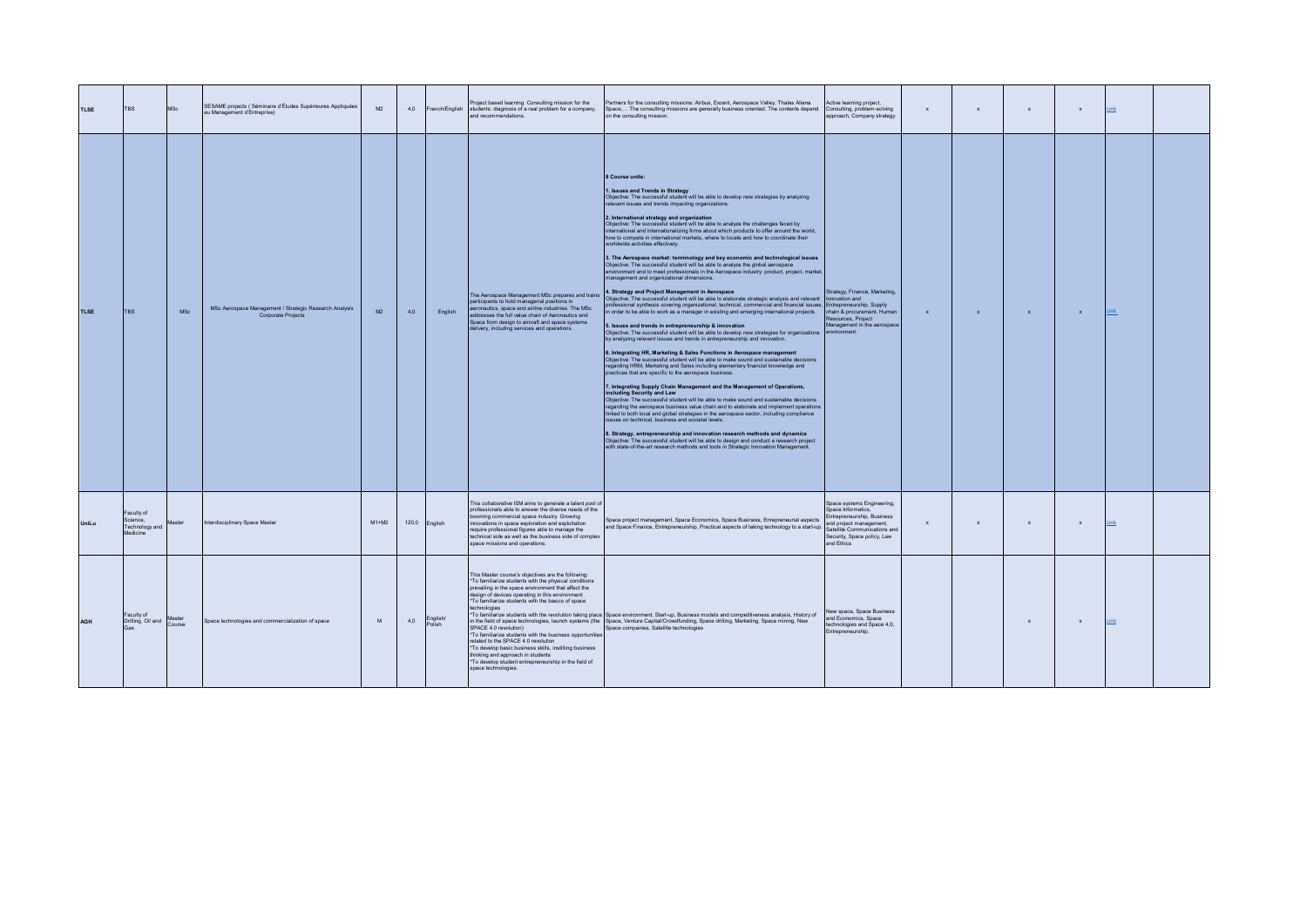| <b>TLSE</b> | TBS                                                  | <b>MSc</b> | SESAME projects (Séminaire d'Études Supérieures Appliquées<br>au Management d'Entreprise) | M2        | 4,0           |                    | Project based learning, Consulting mission for the<br>French/English students: diagnosis of a real problem for a company,<br>and recommendations.                                                                                                                                                                                                                                                                                                                                                                                                                                                    | Partners for the consulting missions: Airbus, Excent, Aerospace Valley, Thales Aliena<br>Space, The consulting missions are generally business oriented. The contents depend<br>on the consulting mission.                                                                                                                                                                                                                                                                                                                                                                                                                                                                                                                                                                                                                                                                                                                                                                                                                                                                                                                                                                                                                                                                                                                                                                                                                                                                                                                                                                                                                                                                                                                                                                                                                                                                                                                                                                                                                                                                                                                                                                                                                                                                                                                                                                                                                                                                                                                                  | Active learning project,<br>Consulting, problem-solving<br>approach, Company strategy                                                                                                 | $\mathbf{x}$ | $\mathbf{x}$ | $\mathbf{x}$ | $\mathbf{x}$ | Link |  |
|-------------|------------------------------------------------------|------------|-------------------------------------------------------------------------------------------|-----------|---------------|--------------------|------------------------------------------------------------------------------------------------------------------------------------------------------------------------------------------------------------------------------------------------------------------------------------------------------------------------------------------------------------------------------------------------------------------------------------------------------------------------------------------------------------------------------------------------------------------------------------------------------|---------------------------------------------------------------------------------------------------------------------------------------------------------------------------------------------------------------------------------------------------------------------------------------------------------------------------------------------------------------------------------------------------------------------------------------------------------------------------------------------------------------------------------------------------------------------------------------------------------------------------------------------------------------------------------------------------------------------------------------------------------------------------------------------------------------------------------------------------------------------------------------------------------------------------------------------------------------------------------------------------------------------------------------------------------------------------------------------------------------------------------------------------------------------------------------------------------------------------------------------------------------------------------------------------------------------------------------------------------------------------------------------------------------------------------------------------------------------------------------------------------------------------------------------------------------------------------------------------------------------------------------------------------------------------------------------------------------------------------------------------------------------------------------------------------------------------------------------------------------------------------------------------------------------------------------------------------------------------------------------------------------------------------------------------------------------------------------------------------------------------------------------------------------------------------------------------------------------------------------------------------------------------------------------------------------------------------------------------------------------------------------------------------------------------------------------------------------------------------------------------------------------------------------------|---------------------------------------------------------------------------------------------------------------------------------------------------------------------------------------|--------------|--------------|--------------|--------------|------|--|
| <b>TLSE</b> | <b>TBS</b>                                           | <b>MSc</b> | MSc Aerospace Management / Strategic Research Analysis<br>Corporate Projects              | <b>M2</b> | 4.0           | English            | The Aerospace Management MSc prepares and trains<br>participants to hold managerial positions in<br>aeronautics, space and airline industries. The MSc<br>addresses the full value chain of Aeronautics and<br>Space from design to aircraft and space systems<br>delivery, including services and operations.                                                                                                                                                                                                                                                                                       | 8 Course units:<br>1. Issues and Trends in Strategy<br>Objective: The successful student will be able to develop new strategies by analyzing<br>relevant issues and trends impacting organizations.<br>2. International strategy and organization<br>Objective: The successful student will be able to analyze the challenges faced by<br>nternational and internationalizing firms about which products to offer around the world,<br>how to compete in international markets, where to locate and how to coordinate their<br>worldwide activities effectively.<br>3. The Aerospace market: terminology and key economic and technological issues<br>Objective: The successful student will be able to analyze the global aerospace<br>wironment and to meet professionals in the Aerospace industry: product, project, market,<br>management and organizational dimensions.<br>4. Strategy and Project Management in Aerospace<br>Objective: The successful student will be able to elaborate strategic analysis and relevant   Innovation and<br>professional synthesis covering organizational, technical, commercial and financial issues, Entrepreneurship, Supply<br>in order to be able to work as a manager in existing and emerging international projects.<br>5. Issues and trends in entrepreneurship & innovation<br>Objective: The successful student will be able to develop new strategies for organizations<br>by analyzing relevant issues and trends in entrepreneurship and innovation.<br>6. Integrating HR, Marketing & Sales Functions in Aerospace management<br>Objective: The successful student will be able to make sound and sustainable decisions<br>regarding HRM, Marketing and Sales including elementary financial knowledge and<br>practices that are specific to the aerospace business.<br>7. Integrating Supply Chain Management and the Management of Operations,<br>including Security and Law<br>Objective: The successful student will be able to make sound and sustainable decisions<br>regarding the aerospace business value chain and to elaborate and implement operations<br>hked to both local and global strategies in the aerospace sector, including compliance<br>issues on technical, business and societal levels.<br>8. Strategy, entrepreneurship and innovation research methods and dynamics<br>Objective: The successful student will be able to design and conduct a research project<br>with state-of-the-art research methods and tools in Strategic Innovation Management. | Strategy, Finance, Marketing,<br>chain & procurement, Human<br>Resources, Project<br>Management in the aerospace<br><b>Anvironment</b>                                                | $\mathbf{x}$ | $\mathbf{x}$ | $\mathbf{x}$ | $\mathbf{x}$ | Link |  |
| UniLu       | Faculty of<br>Science,<br>Technology and<br>Medicine | Master     | Interdisciplinary Space Master                                                            | $M1+M2$   | 120,0 English |                    | This collaborative ISM aims to generate a talent pool of<br>professionals able to answer the diverse needs of the<br>booming commercial space industry. Growing<br>innovations in space exploration and exploitation<br>require professional figures able to manage the<br>technical side as well as the business side of complex<br>space missions and operations.                                                                                                                                                                                                                                  | Space project management, Space Economics, Space Business, Enrepreneurial aspects<br>and Space Finance, Entrepreneurship, Practical aspects of taking technology to a start-up.                                                                                                                                                                                                                                                                                                                                                                                                                                                                                                                                                                                                                                                                                                                                                                                                                                                                                                                                                                                                                                                                                                                                                                                                                                                                                                                                                                                                                                                                                                                                                                                                                                                                                                                                                                                                                                                                                                                                                                                                                                                                                                                                                                                                                                                                                                                                                             | Space systems Engineering,<br>Space Informatics<br>Entrepreneurship, Business<br>and project management,<br>Satellite Communications and<br>Security, Space policy, Law<br>and Ethics | $\mathbf x$  | $\mathbf{x}$ | $\mathbf{x}$ | $\mathbf{x}$ | Link |  |
| <b>AGH</b>  | Faculty of<br>Drilling, Oil and Course<br>Gas        |            | Space technologies and commercialization of space                                         | M         | 4,0           | English/<br>Polish | This Master course's objectives are the following:<br>*To familiarize students with the physical conditions<br>prevailing in the space environment that affect the<br>design of devices operating in this environment<br>*To familiarize students with the basics of space<br>technologies<br>SPACE 4.0 revolution)<br>*To familiarize students with the business opportunities<br>related to the SPACE 4.0 revolution<br>*To develop basic business skills, instilling business<br>thinking and approach in students<br>*To develop student entrepreneurship in the field of<br>space technologies. | *To familiarize students with the revolution taking place Space environment, Start-up, Business models and competitiveness analysis, History of<br>in the field of space technologies, launch systems (the Space, Venture Capital/Crowdfunding, Space drilling, Marketing, Space mining, New<br>Space companies, Satellite technologies                                                                                                                                                                                                                                                                                                                                                                                                                                                                                                                                                                                                                                                                                                                                                                                                                                                                                                                                                                                                                                                                                                                                                                                                                                                                                                                                                                                                                                                                                                                                                                                                                                                                                                                                                                                                                                                                                                                                                                                                                                                                                                                                                                                                     | New space, Space Business<br>and Economics, Space<br>technologies and Space 4,0,<br>Entrepreneurship.                                                                                 |              |              | $\mathbf{x}$ | $\mathbf{x}$ | Link |  |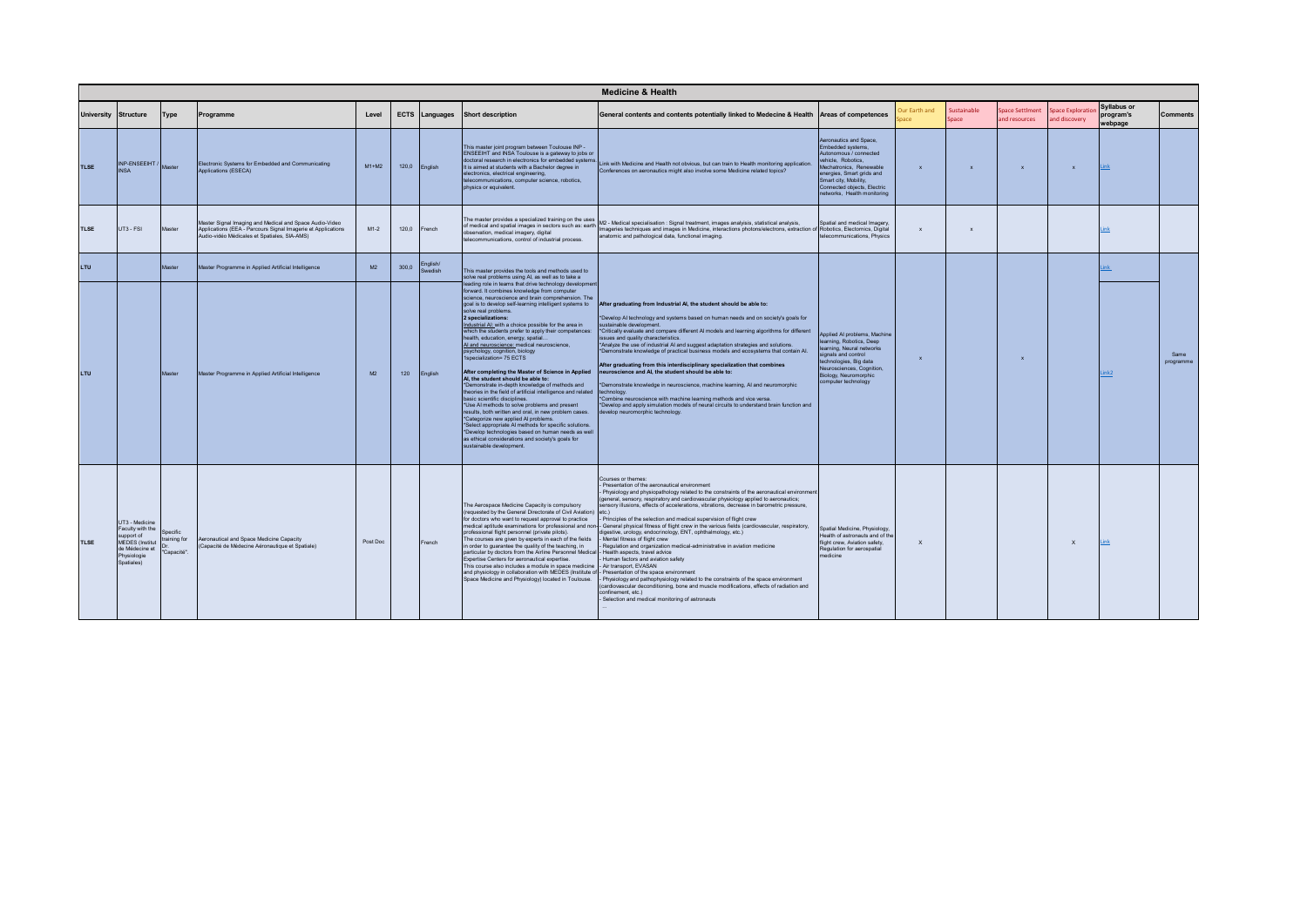|             | <b>Medicine &amp; Health</b>                                                                                              |                                              |                                                                                                                                                                         |                |       |                     |                                                                                                                                                                                                                                                                                                                                                                                                                                                                                                                                                                                                                                                                                                                                                                                                                                                                                                                                                                                                                                                                                                                                            |                                                                                                                                                                                                                                                                                                                                                                                                                                                                                                                                                                                                                                                                                                                                                                                                                                                                                                                                                                                                                                                                                        |                                                                                                                                                                                                                                            |                           |                     |                                  |                                   |                                            |                   |
|-------------|---------------------------------------------------------------------------------------------------------------------------|----------------------------------------------|-------------------------------------------------------------------------------------------------------------------------------------------------------------------------|----------------|-------|---------------------|--------------------------------------------------------------------------------------------------------------------------------------------------------------------------------------------------------------------------------------------------------------------------------------------------------------------------------------------------------------------------------------------------------------------------------------------------------------------------------------------------------------------------------------------------------------------------------------------------------------------------------------------------------------------------------------------------------------------------------------------------------------------------------------------------------------------------------------------------------------------------------------------------------------------------------------------------------------------------------------------------------------------------------------------------------------------------------------------------------------------------------------------|----------------------------------------------------------------------------------------------------------------------------------------------------------------------------------------------------------------------------------------------------------------------------------------------------------------------------------------------------------------------------------------------------------------------------------------------------------------------------------------------------------------------------------------------------------------------------------------------------------------------------------------------------------------------------------------------------------------------------------------------------------------------------------------------------------------------------------------------------------------------------------------------------------------------------------------------------------------------------------------------------------------------------------------------------------------------------------------|--------------------------------------------------------------------------------------------------------------------------------------------------------------------------------------------------------------------------------------------|---------------------------|---------------------|----------------------------------|-----------------------------------|--------------------------------------------|-------------------|
|             | University Structure                                                                                                      | Type                                         | Programme                                                                                                                                                               | Level          |       | ECTS Languages      | <b>Short description</b>                                                                                                                                                                                                                                                                                                                                                                                                                                                                                                                                                                                                                                                                                                                                                                                                                                                                                                                                                                                                                                                                                                                   | General contents and contents potentially linked to Medecine & Health                                                                                                                                                                                                                                                                                                                                                                                                                                                                                                                                                                                                                                                                                                                                                                                                                                                                                                                                                                                                                  | Areas of competences                                                                                                                                                                                                                       | Our Earth and             | iustainable<br>pace | Space Settlment<br>and resources | pace Exploration<br>and discovery | <b>Syllabus or</b><br>program's<br>webpage | <b>Comments</b>   |
| <b>TLSE</b> | INP-ENSEEIHT / Master<br><b>INSA</b>                                                                                      |                                              | Electronic Systems for Embedded and Communicating<br>Applications (ESECA)                                                                                               | $M1+M2$        |       | 120,0 English       | This master joint program between Toulouse INP -<br>ENSEEIHT and INSA Toulouse is a gateway to jobs or<br>doctoral research in electronics for embedded systems.<br>It is aimed at students with a Bachelor degree in<br>electronics, electrical engineering,<br>telecommunications, computer science, robotics,<br>physics or equivalent.                                                                                                                                                                                                                                                                                                                                                                                                                                                                                                                                                                                                                                                                                                                                                                                                 | Link with Medicine and Health not obvious, but can train to Health monitoring application.<br>Conferences on aeronautics might also involve some Medicine related topics?                                                                                                                                                                                                                                                                                                                                                                                                                                                                                                                                                                                                                                                                                                                                                                                                                                                                                                              | Aeronautics and Space.<br>Embedded systems,<br>Autonomous / connected<br>vehicle. Robotics.<br>Mechatronics, Renewable<br>energies, Smart grids and<br>Smart city, Mobility,<br>Connected objects, Electric<br>networks, Health monitoring | $\mathbf{x}$              | $\mathbf{x}$        | $\mathbf{x}$                     | $\mathbf{x}$                      | Link                                       |                   |
| <b>TLSE</b> | UT3 - FSI                                                                                                                 | Master                                       | Master Signal Imaging and Medical and Space Audio-Video<br>Applications (EEA - Parcours Signal Imagerie et Applications<br>Audio-vidéo Médicales et Spatiales, SIA-AMS) | $M1-2$         | 120,0 | French              | of medical and spatial images in sectors such as: earth<br>observation, medical imagery, digital<br>telecommunications, control of industrial process.                                                                                                                                                                                                                                                                                                                                                                                                                                                                                                                                                                                                                                                                                                                                                                                                                                                                                                                                                                                     | The master provides a specialized training on the uses M2 - Medical specialisation : Signal treatment, images analyisis, statistical analysis,<br>Imageries techniques and images in Medicine, interactions photons/electrons, extraction of Robotics, Electornics, Digital<br>anatomic and pathological data, functional imaging.                                                                                                                                                                                                                                                                                                                                                                                                                                                                                                                                                                                                                                                                                                                                                     | Spatial and medical Imagery,<br>telecommunications, Physics                                                                                                                                                                                | $\mathbf{x}$              | $\mathbf{x}$        |                                  |                                   |                                            |                   |
| LTU         |                                                                                                                           | Master                                       | Master Programme in Applied Artificial Intelligence                                                                                                                     | M2             | 300,0 | English/<br>Swedish | This master provides the tools and methods used to<br>solve real problems using AI, as well as to take a                                                                                                                                                                                                                                                                                                                                                                                                                                                                                                                                                                                                                                                                                                                                                                                                                                                                                                                                                                                                                                   |                                                                                                                                                                                                                                                                                                                                                                                                                                                                                                                                                                                                                                                                                                                                                                                                                                                                                                                                                                                                                                                                                        |                                                                                                                                                                                                                                            |                           |                     |                                  |                                   | ink                                        |                   |
| LTU         |                                                                                                                           | Master                                       | Master Programme in Applied Artificial Intelligence                                                                                                                     | M <sub>2</sub> | 120   | English             | leading role in teams that drive technology development<br>forward. It combines knowledge from computer<br>science, neuroscience and brain comprehension. The<br>goal is to develop self-learning intelligent systems to<br>solve real problems.<br>2 specializations:<br>Industrial AL with a choice possible for the area in<br>which the students prefer to apply their competences:<br>health, education, energy, spatial<br>Al and neuroscience: medical neuroscience,<br>psychology, cognition, biology<br>1specialization= 75 ECTS<br>After completing the Master of Science in Applied<br>Al. the student should be able to:<br>*Demonstrate in-depth knowledge of methods and<br>theories in the field of artificial intelligence and related<br>basic scientific disciplines.<br>*Use AI methods to solve problems and present<br>results, both written and oral, in new problem cases.<br>*Categorize new applied AI problems.<br>*Select appropriate AI methods for specific solutions.<br>*Develop technologies based on human needs as well<br>as ethical considerations and society's goals for<br>sustainable development. | After graduating from Industrial AI, the student should be able to:<br>*Develop AI technology and systems based on human needs and on society's goals for<br>sustainable development.<br>*Critically evaluate and compare different AI models and learning algorithms for different<br>issues and quality characteristics.<br>*Analyze the use of industrial AI and suggest adaptation strategies and solutions.<br>*Demonstrate knowledge of practical business models and ecosystems that contain Al.<br>After graduating from this interdisciplinary specialization that combines<br>neuroscience and AI, the student should be able to:<br>*Demonstrate knowledge in neuroscience, machine learning, AI and neuromorphic<br>technology.<br>*Combine neuroscience with machine learning methods and vice versa.<br>*Develop and apply simulation models of neural circuits to understand brain function and<br>develop neuromorphic technology.                                                                                                                                     | Applied Al problems, Machine<br>learning, Robotics, Deep<br>earning, Neural networks<br>signals and control<br>technologies, Big data<br>Neurosciences, Cognition,<br>Biology, Neuromorphic<br>computer technology                         | $\boldsymbol{\mathsf{x}}$ |                     | $\mathbf{x}$                     |                                   | lnk2                                       | Same<br>programme |
| <b>TLSE</b> | UT3 - Medicine<br>Faculty with the<br>support of<br><b>MEDES</b> (Institut<br>de Médecine et<br>Physiologie<br>Spatiales) | Specific<br>training for<br>Dr<br>"Capacité" | Aeronautical and Space Medicine Capacity<br>(Capacité de Médecine Aéronautique et Spatiale)                                                                             | Post Doc       |       | French              | The Aerospace Medicine Capacity is compulsory<br>(requested by the General Directorate of Civil Aviation)<br>for doctors who want to request approval to practice<br>professional flight personnel (private pilots).<br>The courses are given by experts in each of the fields<br>in order to guarantee the quality of the teaching, in<br>particular by doctors from the Airline Personnel Medical - Health aspects, travel advice<br>Expertise Centers for aeronautical expertise.<br>This course also includes a module in space medicine  - Air transport, EVASAN<br>and physiology in collaboration with MEDES (Institute of - Presentation of the space environment<br>Space Medicine and Physiology) located in Toulouse.                                                                                                                                                                                                                                                                                                                                                                                                           | Courses or themes:<br>- Presentation of the aeronautical environment<br>- Physiology and physiopathology related to the constraints of the aeronautical environment<br>(general, sensory, respiratory and cardiovascular physiology applied to aeronautics;<br>sensory illusions, effects of accelerations, vibrations, decrease in barometric pressure,<br>etc.)<br>- Principles of the selection and medical supervision of flight crew<br>medical aptitude examinations for professional and non- - General physical fitness of flight crew in the various fields (cardiovascular, respiratory,<br>digestive, urology, endocrinology, ENT, ophthalmology, etc.)<br>- Mental fitness of flight crew<br>- Regulation and organization medical-administrative in aviation medicine<br>- Human factors and aviation safety<br>- Physiology and pathophysiology related to the constraints of the space environment<br>(cardiovascular deconditioning, bone and muscle modifications, effects of radiation and<br>confinement, etc.)<br>- Selection and medical monitoring of astronauts | Spatial Medicine, Physiology,<br>Health of astronauts and of the<br>flight crew, Aviation safety,<br>Regulation for aerospatial<br>medicine                                                                                                | $\boldsymbol{\mathsf{x}}$ |                     |                                  | $\mathbf{x}$                      | <b>Link</b>                                |                   |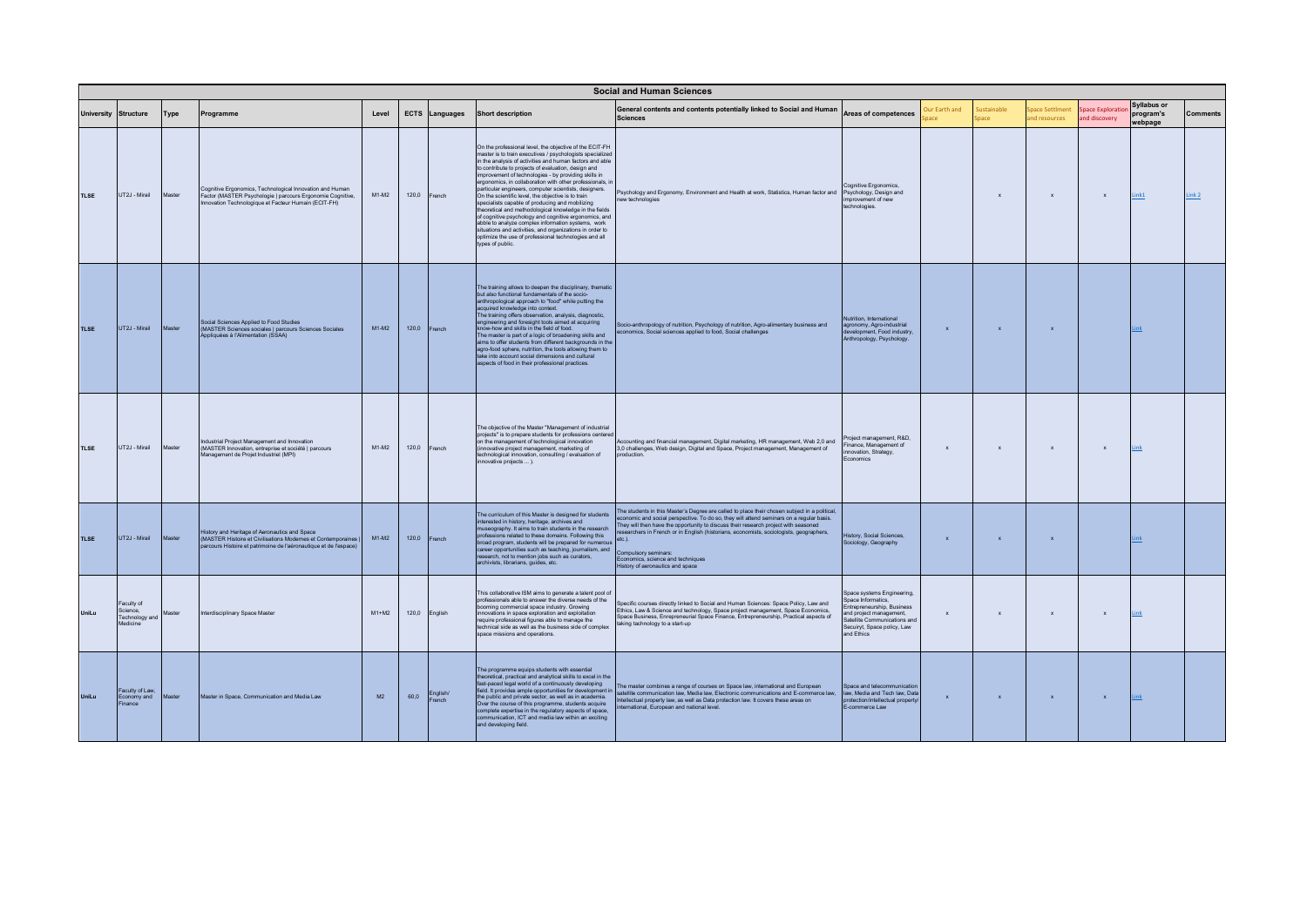|             | <b>Social and Human Sciences</b> |                                                      |        |                                                                                                                                                                                           |         |       |                   |                                                                                                                                                                                                                                                                                                                                                                                                                                                                                                                                                                                                                                                                                                                                                                                                                                                  |                                                                                                                                                                                                                                                                                                                                                                                                                                                                                    |                                                                                                                                                                                            |               |                    |                                |                                   |                                     |          |
|-------------|----------------------------------|------------------------------------------------------|--------|-------------------------------------------------------------------------------------------------------------------------------------------------------------------------------------------|---------|-------|-------------------|--------------------------------------------------------------------------------------------------------------------------------------------------------------------------------------------------------------------------------------------------------------------------------------------------------------------------------------------------------------------------------------------------------------------------------------------------------------------------------------------------------------------------------------------------------------------------------------------------------------------------------------------------------------------------------------------------------------------------------------------------------------------------------------------------------------------------------------------------|------------------------------------------------------------------------------------------------------------------------------------------------------------------------------------------------------------------------------------------------------------------------------------------------------------------------------------------------------------------------------------------------------------------------------------------------------------------------------------|--------------------------------------------------------------------------------------------------------------------------------------------------------------------------------------------|---------------|--------------------|--------------------------------|-----------------------------------|-------------------------------------|----------|
|             | <b>University</b>                | <b>Structure</b>                                     | Type   | Programme                                                                                                                                                                                 | Level   |       | ECTS Languages    | <b>Short description</b>                                                                                                                                                                                                                                                                                                                                                                                                                                                                                                                                                                                                                                                                                                                                                                                                                         | General contents and contents potentially linked to Social and Human<br><b>Sciences</b>                                                                                                                                                                                                                                                                                                                                                                                            | Areas of competences                                                                                                                                                                       | Our Earth and | ustainable<br>pace | pace Settiment<br>nd resources | Space Exploratio<br>and discovery | Syllabus or<br>program's<br>webpage | Comments |
| <b>TLSE</b> |                                  | UT2J - Mirail                                        | Master | Cognitive Ergonomics, Technological Innovation and Human<br>Factor (MASTER Psychologie   parcours Ergonomie Cognitive,<br>nnovation Technologique et Facteur Humain (ECIT-FH)             | $M1-M2$ | 120,0 | French            | On the professional level, the objective of the ECIT-FH<br>master is to train executives / psychologists specialized<br>in the analysis of activities and human factors and able<br>to contribute to projects of evaluation, design and<br>improvement of technologies - by providing skills in<br>ergonomics, in collaboration with other professionals, in<br>particular engineers, computer scientists, designers.<br>On the scientific level, the objective is to train<br>specialists capable of producing and mobilizing<br>theoretical and methodological knowledge in the fields<br>of cognitive psychology and cognitive ergonomics, and<br>abble to analyze complex information systems, work<br>situations and activities, and organizations in order to<br>optimize the use of professional technologies and all<br>types of public. | Psychology and Ergonomy, Environment and Health at work, Statistics, Human factor and Psychology, Design and<br>ew technologies                                                                                                                                                                                                                                                                                                                                                    | Cognitive Ergonomics,<br>provement of new<br>echnologies.                                                                                                                                  |               | $\mathbf{x}$       | $\mathbf x$                    | $\mathbf x$                       | Link1                               | Link2    |
| <b>TLSE</b> |                                  | UT2J - Mirail                                        | Master | Social Sciences Applied to Food Studies<br>(MASTER Sciences sociales   parcours Sciences Sociales<br>Appliquées à l'Alimentation (SSAA)                                                   | $M1-M2$ | 120.0 | French            | The training allows to deepen the disciplinary, thematic<br>but also functional fundamentals of the socio-<br>anthropological approach to "food" while putting the<br>acquired knowledge into context.<br>The training offers observation, analysis, diagnostic,<br>engineering and foresight tools aimed at acquiring<br>know-how and skills in the field of food.<br>The master is part of a logic of broadening skills and<br>aims to offer students from different backgrounds in the<br>agro-food sphere, nutrition, the tools allowing them to<br>take into account social dimensions and cultural<br>aspects of food in their professional practices                                                                                                                                                                                      | Socio-anthropology of nutrition, Psychology of nutrition, Agro-alimentary business and<br>economics, Social sciences applied to food, Social challenges                                                                                                                                                                                                                                                                                                                            | Nutrition, International<br>agronomy, Agro-industrial<br>development, Food industry,<br>Anthropology, Psychology.                                                                          | $\mathbf{x}$  | $\mathbf{x}$       | $\mathbf{x}$                   |                                   | Link                                |          |
| <b>TLSE</b> |                                  | UT2J - Mirail                                        | Master | Industrial Project Management and Innovation<br>(MASTER Innovation, entreprise et société   parcours<br>.<br>Management de Projet Industriel (MPI)                                        | $M1-M2$ | 120.0 | French            | The objective of the Master "Management of industrial<br>projects" is to prepare students for professions centere<br>on the management of technological innovation<br>(innovative project management, marketing of<br>technological innovation, consulting / evaluation of<br>innovative projects  ).                                                                                                                                                                                                                                                                                                                                                                                                                                                                                                                                            | Accounting and financial management, Digital marketing, HR management, Web 2,0 and<br>3,0 challenges, Web design, Digital and Space, Project management, Management of<br>production.                                                                                                                                                                                                                                                                                              | Project management, R&D,<br>Finance Management of<br>novation, Strategy,<br>conomics                                                                                                       | $\mathbf{x}$  | $\mathbf{x}$       | $\mathbf{x}$                   | $\mathbf x$                       | Link                                |          |
| <b>TLSE</b> |                                  | UT2J - Mirail                                        | Master | History and Heritage of Aeronautics and Space<br>(MASTER Histoire et Civilisations Modernes et Contemporaines I<br>.<br>parcours Histoire et patrimoine de l'aéronautique et de l'espace) | $M1-M2$ | 120.0 | French            | The curriculum of this Master is designed for students<br>interested in history, heritage, archives and<br>museography. It aims to train students in the research<br>professions related to these domains. Following this<br>broad program, students will be prepared for numerous<br>career opportunities such as teaching, journalism, and<br>research, not to mention jobs such as curators,<br>archivists, librarians, guides, etc.                                                                                                                                                                                                                                                                                                                                                                                                          | The students in this Master's Degree are called to place their chosen subject in a political,<br>conomic and social perspective. To do so, they will attend seminars on a regular basis.<br>They will then have the opportunity to discuss their research project with seasoned<br>esearchers in French or in English (historians, economists, sociologists, geographers,<br>etc.<br>Compulsory seminars:<br>Economics, science and techniques<br>History of aeronautics and space | listory, Social Sciences,<br>Sociology, Geography                                                                                                                                          | $\mathbf{x}$  | $\mathbf{x}$       | $\mathbf{x}$                   |                                   | .ink                                |          |
| Unil.u      |                                  | Faculty of<br>Science,<br>Technology and<br>Medicine | Master | Interdisciplinary Space Master                                                                                                                                                            | $M1+M2$ | 120,0 | English           | This collaborative ISM aims to generate a talent pool of<br>professionals able to answer the diverse needs of the<br>booming commercial space industry. Growing<br>innovations in space exploration and exploitation<br>require professional figures able to manage the<br>technical side as well as the business side of complex<br>snace missions and operations                                                                                                                                                                                                                                                                                                                                                                                                                                                                               | Specific courses directly linked to Social and Human Sciences: Space Policy, Law and<br>Ethics, Law & Science and technology, Space project management, Space Economics,<br>Space Business, Enrepreneurial Space Finance, Entrepreneurship, Practical aspects of<br>aking tachnology to a start-up                                                                                                                                                                                 | Space systems Engineering,<br>Space Informatics,<br>.<br>ntrepreneurship, Business<br>and project management,<br>Satellite Communications and<br>Secuiryt, Space policy, Law<br>and Ethics | $\mathbf{x}$  | $\mathbf{x}$       | $\mathbf{x}$                   | $\mathbf{x}$                      | Link                                |          |
| UniLu       |                                  | Faculty of Law,<br>Economy and<br><b>Finance</b>     | Master | Master in Space, Communication and Media Law                                                                                                                                              | M2      | 60,0  | English/<br>rench | The programme equips students with essential<br>theoretical, practical and analytical skills to excel in the<br>fast-paced legal world of a continuously developing<br>field. It provides ample opportunities for development in<br>the public and private sector, as well as in academia.<br>Over the course of this programme, students acquire<br>complete expertise in the regulatory aspects of space,<br>communication, ICT and media law within an exciting<br>and developing field.                                                                                                                                                                                                                                                                                                                                                      | The master combines a range of courses on Space law, international and European<br>satellite communication law, Media law, Electronic communications and E-commerce law,<br>tellectual property law, as well as Data protection law. It covers these areas on<br>national, European and national level.                                                                                                                                                                            | Space and telecommunication<br>law Media and Tech law Data<br>rotection/intellectual property.<br>-commerce Law                                                                            | $\mathbf{x}$  | $\mathbf x$        | $\mathbf{x}$                   | $\mathbf x$                       | <b>Link</b>                         |          |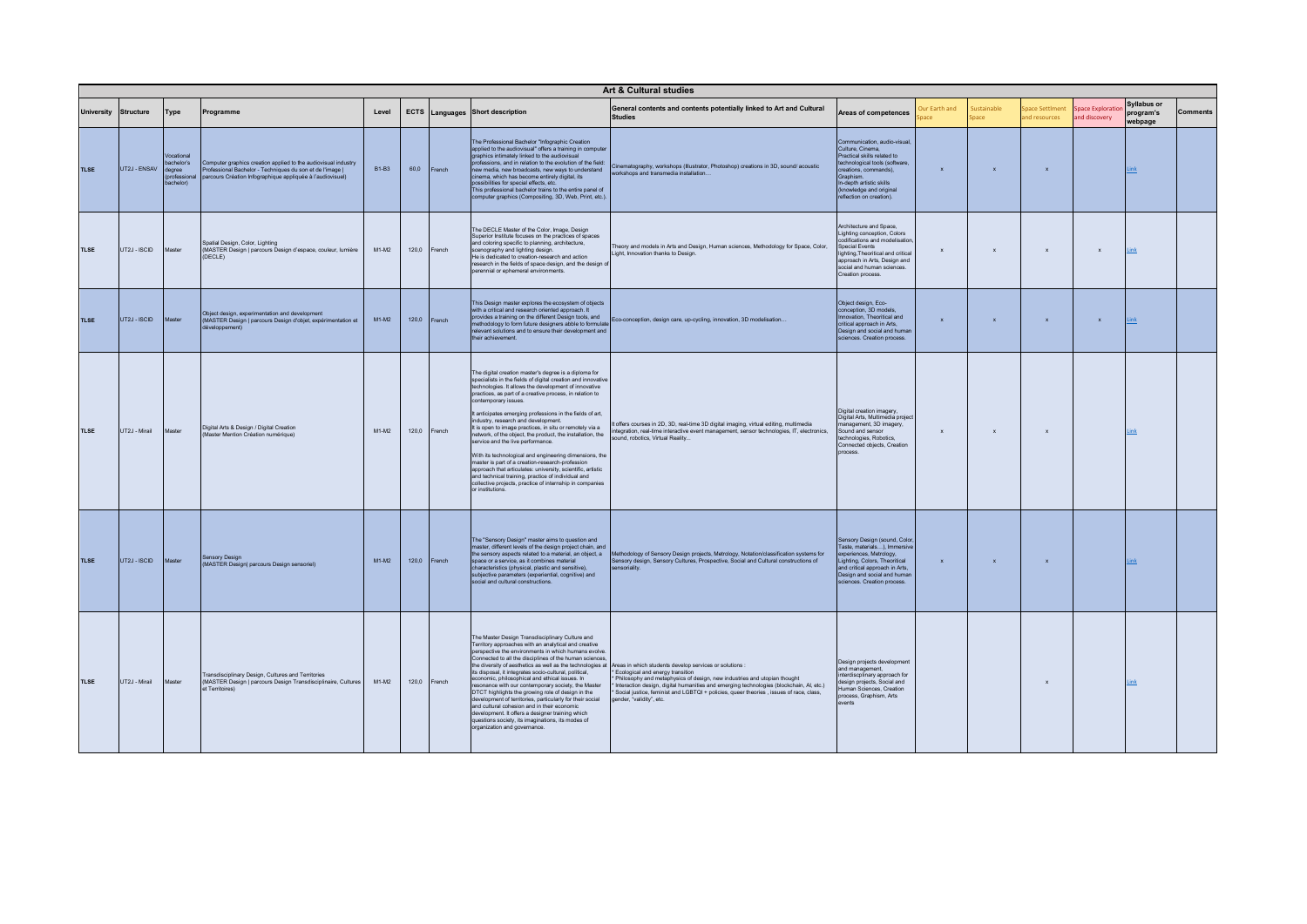|                   | Art & Cultural studies |                                                                |                                                                                                                                                                                           |              |       |        |                                                                                                                                                                                                                                                                                                                                                                                                                                                                                                                                                                                                                                                                                                                                                                                                                                                         |                                                                                                                                                                                                                                                                                                                                                                                                                                                     |                                                                                                                                                                                                                                            |                     |                   |                                 |                                   |                                            |          |
|-------------------|------------------------|----------------------------------------------------------------|-------------------------------------------------------------------------------------------------------------------------------------------------------------------------------------------|--------------|-------|--------|---------------------------------------------------------------------------------------------------------------------------------------------------------------------------------------------------------------------------------------------------------------------------------------------------------------------------------------------------------------------------------------------------------------------------------------------------------------------------------------------------------------------------------------------------------------------------------------------------------------------------------------------------------------------------------------------------------------------------------------------------------------------------------------------------------------------------------------------------------|-----------------------------------------------------------------------------------------------------------------------------------------------------------------------------------------------------------------------------------------------------------------------------------------------------------------------------------------------------------------------------------------------------------------------------------------------------|--------------------------------------------------------------------------------------------------------------------------------------------------------------------------------------------------------------------------------------------|---------------------|-------------------|---------------------------------|-----------------------------------|--------------------------------------------|----------|
| <b>University</b> | Structure              | Type                                                           | Programme                                                                                                                                                                                 | Level        |       |        | <b>ECTS</b> Languages Short description                                                                                                                                                                                                                                                                                                                                                                                                                                                                                                                                                                                                                                                                                                                                                                                                                 | General contents and contents potentially linked to Art and Cultural<br><b>Studies</b>                                                                                                                                                                                                                                                                                                                                                              | Areas of competences                                                                                                                                                                                                                       | ur Earth and<br>ace | ustainable<br>ace | pace Settiment<br>and resources | Space Exploratio<br>and discovery | <b>Syllabus or</b><br>program's<br>webpage | Comments |
| <b>TLSE</b>       | UT2J - ENSAV           | Vocational<br>bachelor's<br>degree<br>rofassional<br>bachelor) | Computer graphics creation applied to the audiovisual industry<br>Professional Bachelor - Techniques du son et de l'image  <br>parcours Création Infographique appliquée à l'audiovisuel) | <b>B1-B3</b> | 60,0  | French | The Professional Bachelor "Infographic Creation<br>applied to the audiovisual" offers a training in computer<br>graphics intimately linked to the audiovisual<br>professions, and in relation to the evolution of the field:<br>new media, new broadcasts, new ways to understand<br>cinema, which has become entirely digital, its<br>possibilities for special effects, etc.<br>This professional bachelor trains to the entire panel of<br>computer graphics (Compositing, 3D, Web, Print, etc.)                                                                                                                                                                                                                                                                                                                                                     | Cinematography, workshops (Illustrator, Photoshop) creations in 3D, sound/acoustic<br>workshops and transmedia installation                                                                                                                                                                                                                                                                                                                         | Communication audio-visual<br>Culture Cinema<br>Proctical skills related to<br>technological tools (software<br>creations commands)<br>Graphism<br>In-depth artistic skills<br>(knowledge and original<br>reflection on creation).         | $\mathbf x$         | $\mathbf{x}$      | $\mathbf x$                     |                                   | ink                                        |          |
| <b>TLSE</b>       | UT2J - ISCID           | Master                                                         | Spatial Design, Color, Lighting<br>(MASTER Design   parcours Design d'espace, couleur, lumière<br>(DECLE)                                                                                 | $M1-M2$      | 120.0 | French | The DECLE Master of the Color, Image, Design<br>Superior Institute focuses on the practices of spaces<br>and coloring specific to planning, architecture.<br>scenography and lighting design.<br>He is dedicated to creation-research and action<br>research in the fields of space design, and the design o<br>perennial or ephemeral environments                                                                                                                                                                                                                                                                                                                                                                                                                                                                                                     | heory and models in Arts and Design, Human sciences, Methodology for Space, Color,<br>Light, Innovation thanks to Design.                                                                                                                                                                                                                                                                                                                           | Architecture and Space,<br>Lighting conception, Colors<br>codifications and modelisation<br><b>Special Events</b><br>lighting, Theoritical and critical<br>approach in Arts, Design and<br>social and human sciences.<br>Creation process. | $\mathbf{x}$        | $\mathbf{x}$      | $\mathbf{x}$                    | $\mathbf{x}$                      | Link                                       |          |
| <b>TLSE</b>       | UT2J - ISCID           | Master                                                         | Object design, experimentation and development<br>(MASTER Design   parcours Design d'objet, expérimentation et<br>léveloppement)                                                          | $M1-M2$      | 120,0 | French | This Design master explores the ecosystem of objects<br>with a critical and research oriented approach. It<br>relevant solutions and to ensure their development and<br>their achievement                                                                                                                                                                                                                                                                                                                                                                                                                                                                                                                                                                                                                                                               | procedus a uannity un une unterent Design tools, and<br>methodology to form future designers abble to formulate Eco-conception, design care, up-cycling, innovation, 3D modelisation                                                                                                                                                                                                                                                                | Object design, Eco-<br>conception, 3D models.<br>Innovation Theoritical and<br>critical approach in Arts.<br>Design and social and human<br>sciences. Creation process.                                                                    | $\mathbf{x}$        |                   | $\boldsymbol{\mathsf{x}}$       | $\boldsymbol{\mathsf{x}}$         | Link                                       |          |
| <b>TLSE</b>       | UT2J - Mirail          | Master                                                         | Digital Arts & Design / Digital Creation<br>(Master Mention Création numérique)                                                                                                           | $M1-M2$      | 120,0 | French | The digital creation master's degree is a diploma for<br>specialists in the fields of digital creation and innovative<br>technologies, It allows the development of innovative<br>practices, as part of a creative process, in relation to<br>contemporary issues.<br>It anticipates emerging professions in the fields of art,<br>industry, research and development.<br>It is open to image practices, in situ or remotely via a<br>network, of the object, the product, the installation, the<br>service and the live performance.<br>With its technological and engineering dimensions, the<br>master is part of a creation-research-profession<br>approach that articulates: university, scientific, artistic<br>and technical training, practice of individual and<br>collective projects, practice of internship in companies<br>or institutions | offers courses in 2D, 3D, real-time 3D digital imaging, virtual editing, multimedia<br>integration, real-time interactive event management, sensor technologies, IT, electronics,<br>sound robotics Virtual Reality                                                                                                                                                                                                                                 | Digital creation imagery,<br>Digital Arts. Multimedia project<br>management, 3D imagery,<br>Sound and sensor<br>technologies Robotics<br>Connected objects, Creation<br>process.                                                           | $\mathbf{x}$        | $\mathbf{x}$      | $\mathbf{x}$                    |                                   | Link                                       |          |
| <b>TLSE</b>       | UT2J - ISCID           | Master                                                         | <b>Sensory Design</b><br>(MASTER Design) parcours Design sensoriel)                                                                                                                       | $M1-M2$      | 120,0 | French | The "Sensory Design" master aims to question and<br>master, different levels of the design project chain, and<br>the sensory aspects related to a material, an object, a<br>space or a service, as it combines material<br>characteristics (physical, plastic and sensitive).<br>subjective parameters (experiential, cognitive) and<br>social and cultural constructions.                                                                                                                                                                                                                                                                                                                                                                                                                                                                              | Methodology of Sensory Design projects, Metrology, Notation/classification systems for<br>Sensory design, Sensory Cultures, Prospective, Social and Cultural constructions of<br>ensoriality                                                                                                                                                                                                                                                        | Sensory Design (sound, Color,<br>Taste, materials), Immersive<br>experiences, Metrology,<br>Lighting, Colors, Theoritical<br>and critical approach in Arts<br>Design and social and human<br>sciences. Creation process.                   | $\mathbf{x}$        | $\mathbf{x}$      | $\mathbf{x}$                    |                                   | Link                                       |          |
| <b>TLSE</b>       | UT2J - Mirail          | Master                                                         | ransdisciplinary Design, Cultures and Territories<br>(MASTER Design   parcours Design Transdisciplinaire, Cultures<br>et Territoires)                                                     | $M1-M2$      | 120,0 | French | The Master Design Transdisciplinary Culture and<br>Territory approaches with an analytical and creative<br>perspective the environments in which humans evolve<br>Connected to all the disciplines of the human sciences,<br>its disposal, it integrates socio-cultural, political,<br>economic, philosophical and ethical issues. In<br>resonance with our contemporary society, the Master<br>DTCT highlights the growing role of design in the<br>development of territories, particularly for their social<br>and cultural cohesion and in their economic<br>development. It offers a designer training which<br>questions society, its imaginations, its modes of<br>organization and governance.                                                                                                                                                  | the diversity of aesthetics as well as the technologies at Areas in which students develop services or solutions :<br>Ecological and energy transition<br>Philosophy and metaphysics of design, new industries and utopian thought<br>Interaction design, digital humanities and emerging technologies (blockchain, AI, etc.)<br>Social justice, feminist and LGBTQI + policies, queer theories, issues of race, class,<br>gender, "validity", etc. | Design projects development<br>and management.<br>interdiscolinary approach for<br>design projects, Social and<br>Human Sciences, Creation<br>process, Graphism, Arts<br>events                                                            |                     |                   | $\mathbf{x}$                    |                                   | Link                                       |          |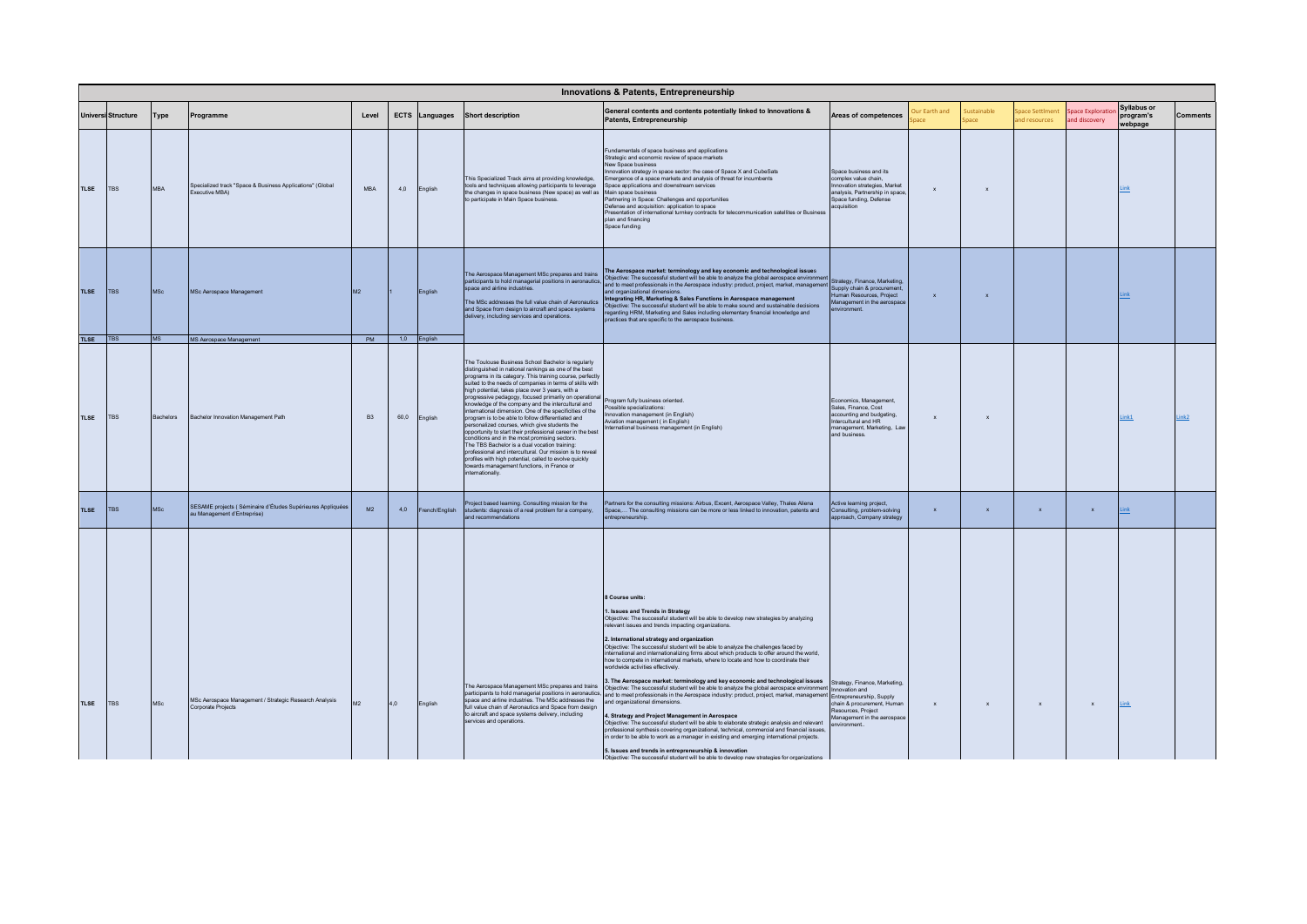|             |                           |            |                                                                                           |           |      |                |                                                                                                                                                                                                                                                                                                                                                                                                                                                                                                                                                                                                                                                                                                                                                                                                                                                                                                                                          | <b>Innovations &amp; Patents, Entrepreneurship</b>                                                                                                                                                                                                                                                                                                                                                                                                                                                                                                                                                                                                                                                                                                                                                                                                                                                                                                                                                                                                                                                                                                                                                                                                                                                                                                                                                                                              |                                                                                                                                                                              |                           |                            |                               |                                           |                                            |                 |
|-------------|---------------------------|------------|-------------------------------------------------------------------------------------------|-----------|------|----------------|------------------------------------------------------------------------------------------------------------------------------------------------------------------------------------------------------------------------------------------------------------------------------------------------------------------------------------------------------------------------------------------------------------------------------------------------------------------------------------------------------------------------------------------------------------------------------------------------------------------------------------------------------------------------------------------------------------------------------------------------------------------------------------------------------------------------------------------------------------------------------------------------------------------------------------------|-------------------------------------------------------------------------------------------------------------------------------------------------------------------------------------------------------------------------------------------------------------------------------------------------------------------------------------------------------------------------------------------------------------------------------------------------------------------------------------------------------------------------------------------------------------------------------------------------------------------------------------------------------------------------------------------------------------------------------------------------------------------------------------------------------------------------------------------------------------------------------------------------------------------------------------------------------------------------------------------------------------------------------------------------------------------------------------------------------------------------------------------------------------------------------------------------------------------------------------------------------------------------------------------------------------------------------------------------------------------------------------------------------------------------------------------------|------------------------------------------------------------------------------------------------------------------------------------------------------------------------------|---------------------------|----------------------------|-------------------------------|-------------------------------------------|--------------------------------------------|-----------------|
|             | <b>Universi Structure</b> | Type       | Programme                                                                                 | Level     |      | ECTS Languages | <b>Short description</b>                                                                                                                                                                                                                                                                                                                                                                                                                                                                                                                                                                                                                                                                                                                                                                                                                                                                                                                 | General contents and contents potentially linked to Innovations &<br>Patents, Entrepreneurship                                                                                                                                                                                                                                                                                                                                                                                                                                                                                                                                                                                                                                                                                                                                                                                                                                                                                                                                                                                                                                                                                                                                                                                                                                                                                                                                                  | Areas of competences                                                                                                                                                         | Jur Earth and             | <b>justainable</b><br>pace | nace Settlmen<br>nd resources | <b>Space Exploration</b><br>and discovery | <b>Syllabus or</b><br>program's<br>webpage | <b>Comments</b> |
| <b>TLSE</b> | <b>TBS</b>                | <b>MBA</b> | Specialized track "Space & Business Applications" (Global<br>Executive MBA)               | MBA       | 4,0  | English        | This Specialized Track aims at providing knowledge,<br>tools and techniques allowing participants to leverage<br>the changes in space business (New space) as well as<br>to participate in Main Space business.                                                                                                                                                                                                                                                                                                                                                                                                                                                                                                                                                                                                                                                                                                                          | Fundamentals of space business and applications<br>Strategic and economic review of space markets<br>New Space business<br>Innovation strategy in space sector: the case of Space X and CubeSats<br>Emergence of a space markets and analysis of threat for incumbents<br>Space applications and downstream services<br>Main space business<br>Partnering in Space: Challenges and opportunities<br>Defense and acquisition: application to space<br>Presentation of international turnkey contracts for telecommunication satellites or Business<br>plan and financing<br>Space funding                                                                                                                                                                                                                                                                                                                                                                                                                                                                                                                                                                                                                                                                                                                                                                                                                                                        | Space business and its<br>complex value chain,<br>novation strategies, Market<br>analysis, Partnership in space,<br>Space funding, Defense<br>acquisition                    | $\boldsymbol{\mathsf{x}}$ | $\boldsymbol{\mathsf{x}}$  |                               |                                           |                                            |                 |
| <b>TLSE</b> | <b>TBS</b>                | <b>MSc</b> | MSc Aerospace Management                                                                  | M2        |      | English        | The Aerospace Management MSc prepares and trains<br>space and airline industries.<br>The MSc addresses the full value chain of Aeronautics<br>and Space from design to aircraft and space systems<br>delivery, including services and operations.                                                                                                                                                                                                                                                                                                                                                                                                                                                                                                                                                                                                                                                                                        | The Aerospace market: terminology and key economic and technological issues<br>The Aerospace Management MSc prepares and trains<br>  participants to hold managerial positions in aeronautics,   Objective: The successful student will be able to analyze the global aerospace environment  <br>  enace and airlin<br>and organizational dimensions.<br>Integrating HR, Marketing & Sales Functions in Aerospace management<br>Objective: The successful student will be able to make sound and sustainable decisions<br>regarding HRM, Marketing and Sales including elementary financial knowledge and<br>practices that are specific to the aerospace business.                                                                                                                                                                                                                                                                                                                                                                                                                                                                                                                                                                                                                                                                                                                                                                             | Strategy, Finance, Marketing,<br>Supply chain & procurement.<br>Human Resources Project<br>Management in the aerospace<br>nnovironment                                       | $\mathbf{x}$              | $\mathbf{x}$               |                               |                                           | .ink                                       |                 |
| TLSE   TBS  |                           | <b>MS</b>  | <b>MS Aerospace Management</b>                                                            | PM        |      | 1,0 English    |                                                                                                                                                                                                                                                                                                                                                                                                                                                                                                                                                                                                                                                                                                                                                                                                                                                                                                                                          |                                                                                                                                                                                                                                                                                                                                                                                                                                                                                                                                                                                                                                                                                                                                                                                                                                                                                                                                                                                                                                                                                                                                                                                                                                                                                                                                                                                                                                                 |                                                                                                                                                                              |                           |                            |                               |                                           |                                            |                 |
| <b>TLSE</b> | <b>TBS</b>                | Bachelors  | Bachelor Innovation Management Path                                                       | <b>B3</b> | 60,0 | English        | The Toulouse Business School Bachelor is regularly<br>distinguished in national rankings as one of the best<br>programs in its category. This training course, perfectly<br>suited to the needs of companies in terms of skills with<br>high potential, takes place over 3 years, with a<br>progressive pedagogy, focused primarily on operational<br>.<br>knowledge of the company and the intercultural and<br>international dimension. One of the specificities of the<br>program is to be able to follow differentiated and<br>personalized courses, which give students the<br>conortunity to start their professional career in the best<br>conditions and in the most promising sectors.<br>The TBS Bachelor is a dual vocation training:<br>professional and intercultural. Our mission is to reveal<br>profiles with high potential, called to evolve guickly<br>towards management functions, in France or<br>internationally. | Program fully business oriented.<br>cossible specializations:<br>novation management (in English)<br>Aviation management ( in English)<br>International business management (in English)                                                                                                                                                                                                                                                                                                                                                                                                                                                                                                                                                                                                                                                                                                                                                                                                                                                                                                                                                                                                                                                                                                                                                                                                                                                        | Economics, Management,<br>Sales, Finance, Cost<br>accounting and budgeting,<br>Intercultural and HR<br>management, Marketing, Law<br>and business.                           | $\mathbf{x}$              | $\mathbf{x}$               |                               |                                           | Link1                                      | Link2           |
| <b>TLSE</b> | <b>TBS</b>                | <b>MSc</b> | SESAME projects (Séminaire d'Études Supérieures Appliquées<br>au Management d'Entreprise) | M2        | 4,0  | French/English | roject based learning. Consulting mission for the<br>students: diagnosis of a real problem for a company,<br>and recommendations                                                                                                                                                                                                                                                                                                                                                                                                                                                                                                                                                                                                                                                                                                                                                                                                         | Partners for the consulting missions: Airbus, Excent, Aerospace Valley, Thales Aliena<br>Space, The consulting missions can be more or less linked to innovation, patents and<br>entrepreneurship.                                                                                                                                                                                                                                                                                                                                                                                                                                                                                                                                                                                                                                                                                                                                                                                                                                                                                                                                                                                                                                                                                                                                                                                                                                              | Active learning project.<br>Consulting, problem-solving<br>approach, Company strategy                                                                                        | $\mathbf{x}$              | $\mathbf{x}$               | $\mathbf{x}$                  | $\mathbf{x}$                              | <b>Link</b>                                |                 |
| <b>TLSE</b> | TBS                       | MSc        | MSc Aerospace Management / Strategic Research Analysis<br>Corporate Projects              | M2        | 4,0  | English        | The Aerospace Management MSc prepares and trains<br>space and airline industries. The MSc addresses the<br>full value chain of Aeronautics and Space from design<br>to aircraft and space systems delivery, including<br>services and operations.                                                                                                                                                                                                                                                                                                                                                                                                                                                                                                                                                                                                                                                                                        | 8 Course units:<br>1. Issues and Trends in Strategy<br>Objective: The successful student will be able to develop new strategies by analyzing<br>relevant issues and trends impacting organizations.<br>2. International strategy and organization<br>Objective: The successful student will be able to analyze the challenges faced by<br>international and internationalizing firms about which products to offer around the world,<br>how to compete in international markets, where to locate and how to coordinate their<br>worldwide activities effectively.<br>3. The Aerospace market: terminology and key economic and technological issues<br>Objective: The successful student will be able to analyze the global aerospace environment<br>participants to hold managerial positions in aeronautics, and to meet professionals in the Aerospace industry: product, project, market, management<br>and organizational dimensions.<br>4. Strategy and Project Management in Aerospace<br>Objective: The successful student will be able to elaborate strategic analysis and relevant<br>professional synthesis covering organizational, technical, commercial and financial issues,<br>in order to be able to work as a manager in existing and emerging international projects.<br>5. Issues and trends in entrepreneurship & innovation<br>Objective: The successful student will be able to develop new strategies for organizations | Strategy, Finance, Marketing,<br>hne noitevond<br>Entrepreneurship, Supply<br>chain & procurement. Human<br>Resources, Project<br>Management in the aerospace<br>environment | $\mathbf{x}$              | $\mathbf{x}$               | $\mathbf{x}$                  | $\mathbf{x}$                              | Link                                       |                 |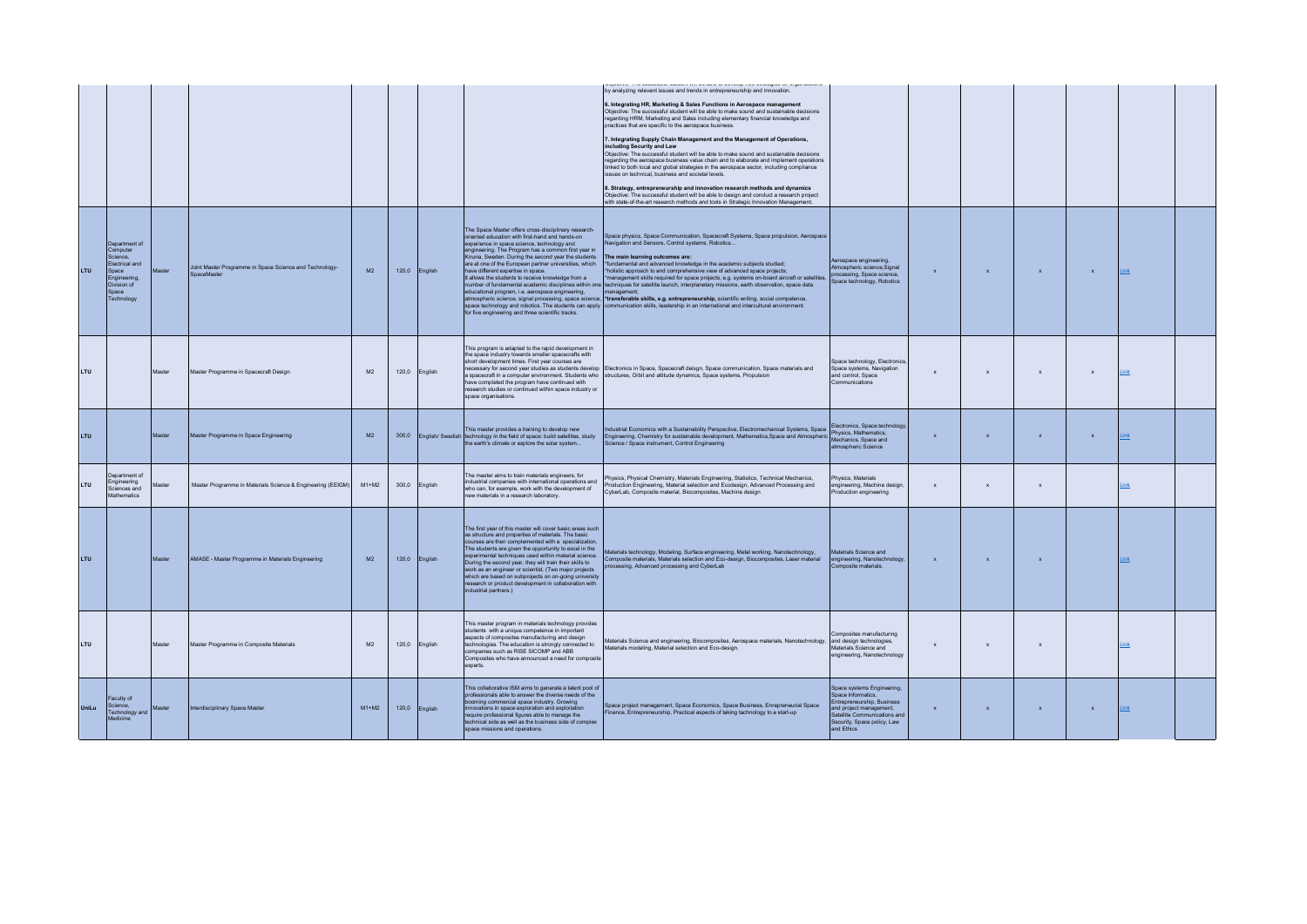|              |                                                                                                                        |               |                                                                        |                |      |               |                                                                                                                                                                                                                                                                                                                                                                                                                                                                                                                                                            | in understand from one capture au court unique court und<br>ynu na uryumumum<br>by analyzing relevant issues and trends in entrepreneurship and innovation.<br>6. Integrating HR, Marketing & Sales Functions in Aerospace management<br>Objective: The successful student will be able to make sound and sustainable decisions<br>regarding HRM, Marketing and Sales including elementary financial knowledge and<br>practices that are specific to the aerospace business.<br>7. Integrating Supply Chain Management and the Management of Operations,<br>including Security and Law<br>Objective: The successful student will be able to make sound and sustainable decisions<br>regarding the aerospace business value chain and to elaborate and implement operations<br>linked to both local and global strategies in the aerospace sector, including compliance<br>issues on technical, business and societal levels.<br>8. Strategy, entrepreneurship and innovation research methods and dynamics<br>Objective: The successful student will be able to design and conduct a research project<br>with state-of-the-art research methods and tools in Strategic Innovation Management. |                                                                                                                                                                                       |              |              |              |              |             |  |
|--------------|------------------------------------------------------------------------------------------------------------------------|---------------|------------------------------------------------------------------------|----------------|------|---------------|------------------------------------------------------------------------------------------------------------------------------------------------------------------------------------------------------------------------------------------------------------------------------------------------------------------------------------------------------------------------------------------------------------------------------------------------------------------------------------------------------------------------------------------------------------|-----------------------------------------------------------------------------------------------------------------------------------------------------------------------------------------------------------------------------------------------------------------------------------------------------------------------------------------------------------------------------------------------------------------------------------------------------------------------------------------------------------------------------------------------------------------------------------------------------------------------------------------------------------------------------------------------------------------------------------------------------------------------------------------------------------------------------------------------------------------------------------------------------------------------------------------------------------------------------------------------------------------------------------------------------------------------------------------------------------------------------------------------------------------------------------------------|---------------------------------------------------------------------------------------------------------------------------------------------------------------------------------------|--------------|--------------|--------------|--------------|-------------|--|
| <b>LTU</b>   | Department of<br>Computer<br>Science,<br>Electrical and<br>Space<br>Engineering,<br>Division of<br>Snace<br>Technology | Master        | Joint Master Programme in Space Science and Technology-<br>SnaceMaster | M2             |      | 120,0 English | The Space Master offers cross-disciplinary research-<br>oriented education with first-hand and hands-on<br>experience in space science, technology and<br>engineering. The Program has a common first year in<br>Kiruna, Sweden. During the second year the students<br>are at one of the European partner universities, which<br>have different expertise in space.<br>It allows the students to receive knowledge from a<br>educational program, i.e. aerospace engineering,<br>for five engineering and three scientific tracks.                        | Space physics, Space Communication, Spacecraft Systems, Space propulsion, Aerospace<br>Navigation and Sensors, Control systems, Robotics<br>The main learning outcomes are:<br>*fundamental and advanced knowledge in the academic subjects studied;<br>holistic approach to and comprehensive view of advanced space projects;<br>management skills required for space projects, e.g. systems on-board aircraft or satellites,<br>number of fundamental academic disciplines within one techniques for satellite launch, interplanetary missions, earth observation, space data<br>management:<br>atmospheric science, signal processing, space science, *transferable skills, e.g. entrepreneurship, scientific writing, social competence,<br>space technology and robotics. The students can apply communication skills, leadership in an international and intercultural environment.                                                                                                                                                                                                                                                                                                    | Aerospace engineering,<br>Atmospheric science, Signal<br>processing. Space science<br>Space technology, Robotics                                                                      | $\mathbf{x}$ | $\mathbf{x}$ | $\mathbf{x}$ | $\mathbf{x}$ | Link        |  |
| <b>LTU</b>   |                                                                                                                        | Master        | Master Programme in Spacecraft Design                                  | M <sub>2</sub> |      | 120,0 English | This program is adapted to the rapid development in<br>the space industry towards smaller spacecrafts with<br>short development times. First year courses are<br>have completed the program have continued with<br>research studies or continued within space industry or<br>space organisations.                                                                                                                                                                                                                                                          | necessary for second year studies as students develop Electronics in Space, Spacecraft deisgn, Space communication, Space materials and<br>a spacecraft in a computer environment. Students who structures, Orbit and altitude dynamics, Space systems, Propulsion                                                                                                                                                                                                                                                                                                                                                                                                                                                                                                                                                                                                                                                                                                                                                                                                                                                                                                                            | Snace technology, Electronics<br>Space systems, Navigation<br>and control. Space<br>Communications                                                                                    | $\mathbf{x}$ | $\mathbf{x}$ | $\mathbf{x}$ | $\mathbf{x}$ | <b>Link</b> |  |
| <b>LTU</b>   |                                                                                                                        | Master        | Master Programme in Space Engineering                                  | M2             | 3000 |               | This master provides a training to develop new<br>English/ Swedish technology in the field of space: build satellites, study<br>the earth's climate or explore the solar system                                                                                                                                                                                                                                                                                                                                                                            | Industrial Economics with a Sustainability Perspective, Electromechanical Systems, Space   Electronics, Space technology,<br>Engineering, Chemistry for sustainable development, Mathematics, Space and Atmospheric Mechanics, Space and<br>Science / Space instrument, Control Engineering                                                                                                                                                                                                                                                                                                                                                                                                                                                                                                                                                                                                                                                                                                                                                                                                                                                                                                   | atmospheric Science                                                                                                                                                                   | $\mathbf{x}$ | $\mathbf{x}$ | $\mathbf{x}$ | $\mathbf{x}$ | Link        |  |
| <b>LTU</b>   | Department of<br>Engineering<br>Sciences and<br>Mathematics                                                            | <b>Aaster</b> | Master Programme in Materials Science & Engineering (EEIGM)            | $M1+M2$        |      | 300,0 English | The master aims to train materials engineers, for<br>industrial companies with international operations and<br>who can, for example, work with the development of<br>new materials in a research laboratory.                                                                                                                                                                                                                                                                                                                                               | Physics, Physical Chemistry, Materials Engineering, Statistics, Technical Mechanics,<br>Production Engineering, Material selection and Ecodesign, Advanced Processing and<br>CyberLab, Composite material, Biocomposites, Machine design                                                                                                                                                                                                                                                                                                                                                                                                                                                                                                                                                                                                                                                                                                                                                                                                                                                                                                                                                      | Physics, Materials<br>engineering, Machine design,<br>Production engineering                                                                                                          | $\mathbf{x}$ | $\mathbf{x}$ | $\mathbf{x}$ |              | Link        |  |
| <b>LTU</b>   |                                                                                                                        | Master        | AMASE - Master Programme in Materials Engineering                      | M <sup>2</sup> |      | 120,0 English | The first year of this master will cover basic areas such<br>as structure and properties of materials. The basic<br>courses are then complemented with a specialization.<br>The students are given the opportunity to excel in the<br>experimental techniques used within material science.<br>During the second year, they will train their skills to<br>work as an engineer or scientist. (Two major projects<br>which are based on subprojects on on-going university<br>research or product development in collaboration with<br>industrial partners.) | Materials technology, Modeling, Surface engineering, Metal working, Nanotechnology,<br>Composite materials, Materials selection and Eco-design, Biocomposites, Laser material<br>processing, Advanced processing and CyberLab                                                                                                                                                                                                                                                                                                                                                                                                                                                                                                                                                                                                                                                                                                                                                                                                                                                                                                                                                                 | Materials Science and<br>engineering, Nanotechnology,<br>Composite materials.                                                                                                         | $\mathbf{x}$ | $\mathbf{x}$ | $\mathbf{x}$ |              | ink         |  |
| <b>LTU</b>   |                                                                                                                        | Master        | Master Programme in Composite Materials                                | M <sup>2</sup> |      | 120,0 English | This master program in materials technology provides<br>students with a unique competence in important<br>aspects of composites manufacturing and design<br>technologies. The education is strongly connected to<br>companies such as RISE SICOMP and ABB<br>Composites who have announced a need for composite<br>experts.                                                                                                                                                                                                                                | Materials Science and engineering, Biocomposites, Aerospace materials, Nanotechnology,<br>Materials modeling. Material selection and Eco-design.                                                                                                                                                                                                                                                                                                                                                                                                                                                                                                                                                                                                                                                                                                                                                                                                                                                                                                                                                                                                                                              | Composites manufacturing<br>and design technologies,<br>Materials Science and<br>engineering, Nanotechnology                                                                          | $\mathbf{x}$ | $\mathbf x$  | $\mathbf{x}$ |              | Link        |  |
| <b>UniLu</b> | Faculty of<br>Science.<br>Technology and<br>Medicine                                                                   | Master        | Interdisciplinary Space Master                                         | $MA + MA2$     |      | 120,0 English | This collaborative ISM aims to generate a talent pool of<br>professionals able to answer the diverse needs of the<br>booming commercial space industry. Growing<br>innovations in space exploration and exploitation<br>require professional figures able to manage the<br>chnical side as well as the business side of complex<br>space missions and operations.                                                                                                                                                                                          | Space project management, Space Economics, Space Business, Enrepreneurial Space<br>Finance, Entrepreneurship, Practical aspects of taking tachnology to a start-up                                                                                                                                                                                                                                                                                                                                                                                                                                                                                                                                                                                                                                                                                                                                                                                                                                                                                                                                                                                                                            | Space systems Engineering,<br>Space Informatics<br>Entrepreneurship, Business<br>and project management,<br>Satellite Communications and<br>Security, Space policy, Law<br>and Ethics | $\mathbf{x}$ | $\mathbf{x}$ | $\mathbf{x}$ | $\mathbf{x}$ | <b>Link</b> |  |